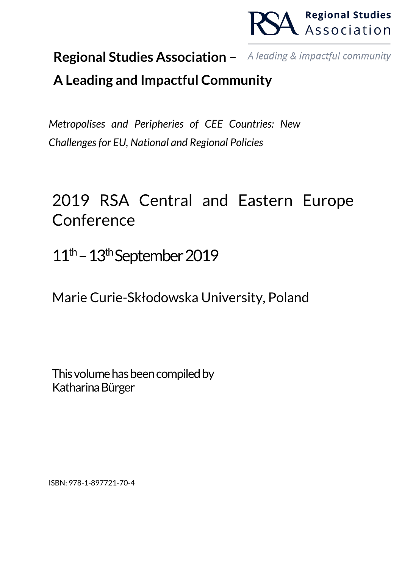

#### **Regional Studies Association –** A leading & impactful community

# **A Leading and Impactful Community**

*Metropolises and Peripheries of CEE Countries: New Challenges for EU, National and Regional Policies*

# 2019 RSA Central and Eastern Europe Conference

 $11<sup>th</sup> - 13<sup>th</sup>$ September 2019

Marie Curie-Skłodowska University, Poland

This volume has been compiled by Katharina Bürger

ISBN: 978-1-897721-70-4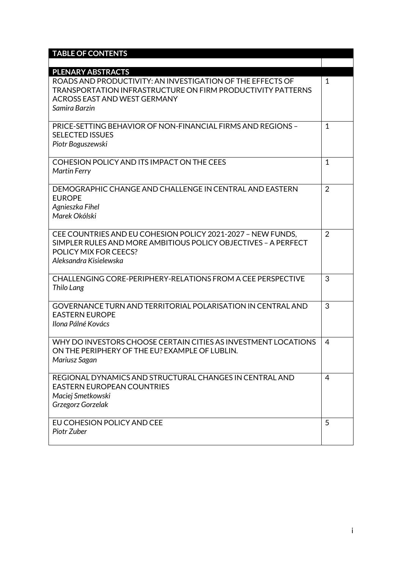| <b>TABLE OF CONTENTS</b>                                                                                                                                                          |                |
|-----------------------------------------------------------------------------------------------------------------------------------------------------------------------------------|----------------|
|                                                                                                                                                                                   |                |
| <b>PLENARY ABSTRACTS</b>                                                                                                                                                          |                |
| ROADS AND PRODUCTIVITY: AN INVESTIGATION OF THE EFFECTS OF<br>TRANSPORTATION INFRASTRUCTURE ON FIRM PRODUCTIVITY PATTERNS<br><b>ACROSS EAST AND WEST GERMANY</b><br>Samira Barzin | $\mathbf{1}$   |
|                                                                                                                                                                                   |                |
| <b>PRICE-SETTING BEHAVIOR OF NON-FINANCIAL FIRMS AND REGIONS -</b><br><b>SELECTED ISSUES</b><br>Piotr Boguszewski                                                                 | $\mathbf{1}$   |
| COHESION POLICY AND ITS IMPACT ON THE CEES<br><b>Martin Ferry</b>                                                                                                                 | $\mathbf{1}$   |
| DEMOGRAPHIC CHANGE AND CHALLENGE IN CENTRAL AND EASTERN<br><b>EUROPE</b><br>Agnieszka Fihel<br>Marek Okólski                                                                      | $\overline{2}$ |
| CEE COUNTRIES AND EU COHESION POLICY 2021-2027 - NEW FUNDS.<br>SIMPLER RULES AND MORE AMBITIOUS POLICY OBJECTIVES - A PERFECT<br>POLICY MIX FOR CEECS?<br>Aleksandra Kisielewska  | $\overline{2}$ |
| CHALLENGING CORE-PERIPHERY-RELATIONS FROM A CEE PERSPECTIVE<br>Thilo Lang                                                                                                         | 3              |
| <b>GOVERNANCE TURN AND TERRITORIAL POLARISATION IN CENTRAL AND</b><br><b>EASTERN EUROPE</b><br>Ilona Pálné Kovács                                                                 | 3              |
| WHY DO INVESTORS CHOOSE CERTAIN CITIES AS INVESTMENT LOCATIONS<br>ON THE PERIPHERY OF THE EU? EXAMPLE OF LUBLIN.<br>Mariusz Sagan                                                 | 4              |
| REGIONAL DYNAMICS AND STRUCTURAL CHANGES IN CENTRAL AND<br><b>EASTERN EUROPEAN COUNTRIES</b><br>Maciej Smetkowski<br>Grzegorz Gorzelak                                            | $\overline{4}$ |
| EU COHESION POLICY AND CEE<br>Piotr Zuber                                                                                                                                         | 5              |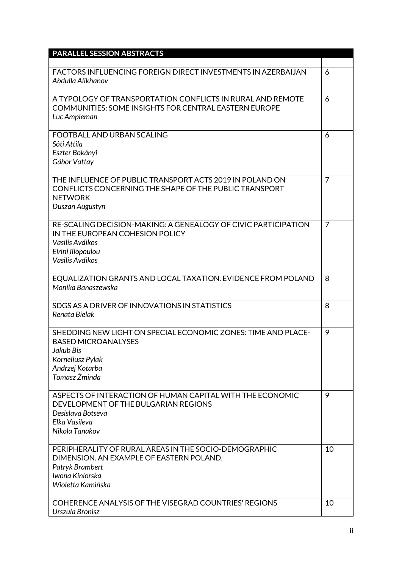| <b>PARALLEL SESSION ABSTRACTS</b>                                                                                                                                |                |
|------------------------------------------------------------------------------------------------------------------------------------------------------------------|----------------|
| <b>FACTORS INFLUENCING FOREIGN DIRECT INVESTMENTS IN AZERBAIJAN</b><br>Abdulla Alikhanov                                                                         | 6              |
| A TYPOLOGY OF TRANSPORTATION CONFLICTS IN RURAL AND REMOTE<br>COMMUNITIES: SOME INSIGHTS FOR CENTRAL EASTERN EUROPE<br>Luc Ampleman                              | 6              |
| <b>FOOTBALL AND URBAN SCALING</b><br>Sóti Attila<br>Eszter Bokányi<br>Gábor Vattay                                                                               | 6              |
| THE INFLUENCE OF PUBLIC TRANSPORT ACTS 2019 IN POLAND ON<br>CONFLICTS CONCERNING THE SHAPE OF THE PUBLIC TRANSPORT<br><b>NETWORK</b><br>Duszan Augustyn          | $\overline{7}$ |
| RE-SCALING DECISION-MAKING: A GENEALOGY OF CIVIC PARTICIPATION<br>IN THE EUROPEAN COHESION POLICY<br>Vasilis Avdikos<br>Eirini Iliopoulou<br>Vasilis Avdikos     | $\overline{7}$ |
| EQUALIZATION GRANTS AND LOCAL TAXATION. EVIDENCE FROM POLAND<br>Monika Banaszewska                                                                               | 8              |
| SDGS AS A DRIVER OF INNOVATIONS IN STATISTICS<br>Renata Bielak                                                                                                   | 8              |
| SHEDDING NEW LIGHT ON SPECIAL ECONOMIC ZONES: TIME AND PLACE-<br><b>BASED MICROANALYSES</b><br>Jakub Bis<br>Korneliusz Pylak<br>Andrzej Kotarba<br>Tomasz Żminda | 9              |
| ASPECTS OF INTERACTION OF HUMAN CAPITAL WITH THE ECONOMIC<br>DEVELOPMENT OF THE BULGARIAN REGIONS<br>Desislava Botseva<br>Elka Vasileva<br>Nikola Tanakov        | 9              |
| PERIPHERALITY OF RURAL AREAS IN THE SOCIO-DEMOGRAPHIC<br>DIMENSION, AN EXAMPLE OF EASTERN POLAND.<br>Patryk Brambert<br>Iwona Kiniorska<br>Wioletta Kamińska     | 10             |
| COHERENCE ANALYSIS OF THE VISEGRAD COUNTRIES' REGIONS<br>Urszula Bronisz                                                                                         | 10             |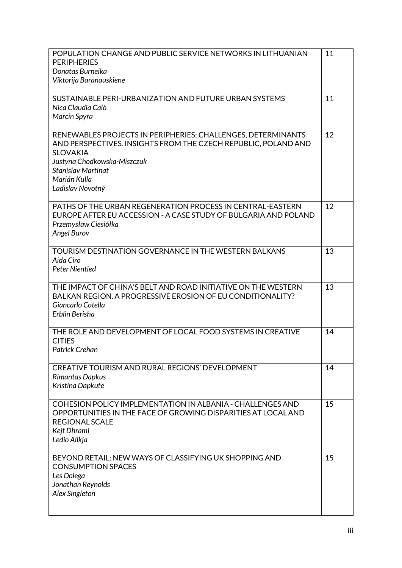| POPULATION CHANGE AND PUBLIC SERVICE NETWORKS IN LITHUANIAN<br><b>PERIPHERIES</b><br>Donatas Burneika<br>Viktorija Baranauskienė                                                                                                                  | 11 |
|---------------------------------------------------------------------------------------------------------------------------------------------------------------------------------------------------------------------------------------------------|----|
| SUSTAINABLE PERI-URBANIZATION AND FUTURE URBAN SYSTEMS<br>Nica Claudia Calò<br><b>Marcin Spyra</b>                                                                                                                                                | 11 |
| RENEWABLES PROJECTS IN PERIPHERIES: CHALLENGES, DETERMINANTS<br>AND PERSPECTIVES. INSIGHTS FROM THE CZECH REPUBLIC, POLAND AND<br><b>SLOVAKIA</b><br>Justyna Chodkowska-Miszczuk<br><b>Stanislav Martinat</b><br>Marián Kulla<br>Ladislav Novotný | 12 |
| PATHS OF THE URBAN REGENERATION PROCESS IN CENTRAL-EASTERN<br>EUROPE AFTER EU ACCESSION - A CASE STUDY OF BULGARIA AND POLAND<br>Przemysław Ciesiółka<br>Angel Burov                                                                              | 12 |
| <b>TOURISM DESTINATION GOVERNANCE IN THE WESTERN BALKANS</b><br>Aida Ciro<br><b>Peter Nientied</b>                                                                                                                                                | 13 |
| THE IMPACT OF CHINA'S BELT AND ROAD INITIATIVE ON THE WESTERN<br>BALKAN REGION. A PROGRESSIVE EROSION OF EU CONDITIONALITY?<br>Giancarlo Cotella<br>Erblin Berisha                                                                                | 13 |
| THE ROLE AND DEVELOPMENT OF LOCAL FOOD SYSTEMS IN CREATIVE<br><b>CITIES</b><br><b>Patrick Crehan</b>                                                                                                                                              | 14 |
| CREATIVE TOURISM AND RURAL REGIONS' DEVELOPMENT<br>Rimantas Dapkus<br>Kristina Dapkute                                                                                                                                                            | 14 |
| COHESION POLICY IMPLEMENTATION IN ALBANIA - CHALLENGES AND<br>OPPORTUNITIES IN THE FACE OF GROWING DISPARITIES AT LOCAL AND<br><b>REGIONAL SCALE</b><br>Kejt Dhrami<br>Ledio Allkja                                                               | 15 |
| BEYOND RETAIL: NEW WAYS OF CLASSIFYING UK SHOPPING AND<br><b>CONSUMPTION SPACES</b><br>Les Dolega<br>Jonathan Reynolds<br>Alex Singleton                                                                                                          | 15 |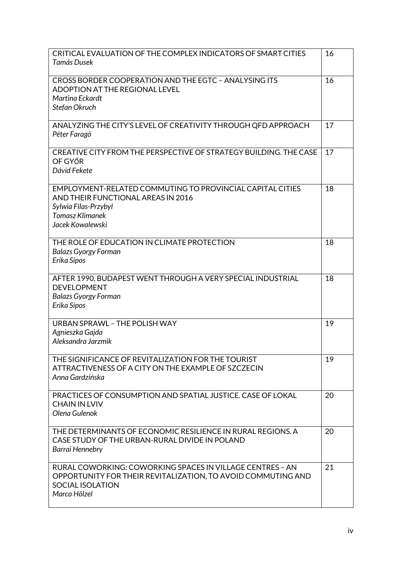| CRITICAL EVALUATION OF THE COMPLEX INDICATORS OF SMART CITIES<br>Tamás Dusek                                                                                          | 16 |
|-----------------------------------------------------------------------------------------------------------------------------------------------------------------------|----|
| CROSS BORDER COOPERATION AND THE EGTC - ANALYSING ITS<br><b>ADOPTION AT THE REGIONAL LEVEL</b><br>Martina Eckardt<br>Stefan Okruch                                    | 16 |
| ANALYZING THE CITY'S LEVEL OF CREATIVITY THROUGH QFD APPROACH<br>Péter Faragó                                                                                         | 17 |
| CREATIVE CITY FROM THE PERSPECTIVE OF STRATEGY BUILDING. THE CASE<br>OF GYŐR<br>Dávid Fekete                                                                          | 17 |
| EMPLOYMENT-RELATED COMMUTING TO PROVINCIAL CAPITAL CITIES<br>AND THEIR FUNCTIONAL AREAS IN 2016<br>Sylwia Filas-Przybyl<br><b>Tomasz Klimanek</b><br>Jacek Kowalewski | 18 |
| THE ROLE OF EDUCATION IN CLIMATE PROTECTION<br><b>Balazs Gyorgy Forman</b><br>Erika Sipos                                                                             | 18 |
| AFTER 1990, BUDAPEST WENT THROUGH A VERY SPECIAL INDUSTRIAL<br><b>DEVELOPMENT</b><br><b>Balazs Gyorgy Forman</b><br>Erika Sipos                                       | 18 |
| <b>URBAN SPRAWL - THE POLISH WAY</b><br>Agnieszka Gajda<br>Aleksandra Jarzmik                                                                                         | 19 |
| THE SIGNIFICANCE OF REVITALIZATION FOR THE TOURIST<br>ATTRACTIVENESS OF A CITY ON THE EXAMPLE OF SZCZECIN<br>Anna Gardzińska                                          | 19 |
| PRACTICES OF CONSUMPTION AND SPATIAL JUSTICE. CASE OF LOKAL<br><b>CHAIN IN LVIV</b><br>Olena Gulenok                                                                  | 20 |
| THE DETERMINANTS OF ECONOMIC RESILIENCE IN RURAL REGIONS. A<br>CASE STUDY OF THE URBAN-RURAL DIVIDE IN POLAND<br>Barrai Hennebry                                      | 20 |
| RURAL COWORKING: COWORKING SPACES IN VILLAGE CENTRES - AN<br>OPPORTUNITY FOR THEIR REVITALIZATION, TO AVOID COMMUTING AND<br>SOCIAL ISOLATION<br>Marco Hölzel         | 21 |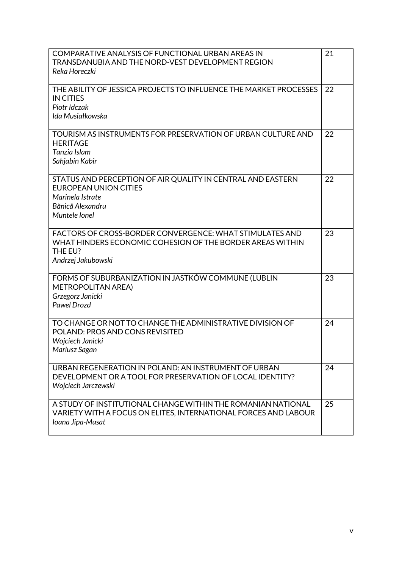| COMPARATIVE ANALYSIS OF FUNCTIONAL URBAN AREAS IN<br>TRANSDANUBIA AND THE NORD-VEST DEVELOPMENT REGION | 21 |
|--------------------------------------------------------------------------------------------------------|----|
| Reka Horeczki                                                                                          |    |
| THE ABILITY OF JESSICA PROJECTS TO INFLUENCE THE MARKET PROCESSES                                      | 22 |
| <b>IN CITIES</b><br>Piotr Idczak                                                                       |    |
| Ida Musiałkowska                                                                                       |    |
| TOURISM AS INSTRUMENTS FOR PRESERVATION OF URBAN CULTURE AND                                           | 22 |
| <b>HERITAGE</b>                                                                                        |    |
| Tanzia Islam<br>Sahjabin Kabir                                                                         |    |
|                                                                                                        |    |
| STATUS AND PERCEPTION OF AIR QUALITY IN CENTRAL AND EASTERN                                            | 22 |
| <b>EUROPEAN UNION CITIES</b><br>Marinela Istrate                                                       |    |
| Bănică Alexandru                                                                                       |    |
| Muntele Ionel                                                                                          |    |
|                                                                                                        |    |
| FACTORS OF CROSS-BORDER CONVERGENCE: WHAT STIMULATES AND                                               | 23 |
| WHAT HINDERS ECONOMIC COHESION OF THE BORDER AREAS WITHIN                                              |    |
| THE EU?<br>Andrzej Jakubowski                                                                          |    |
|                                                                                                        |    |
| FORMS OF SUBURBANIZATION IN JASTKÓW COMMUNE (LUBLIN                                                    | 23 |
| <b>METROPOLITAN AREA)</b>                                                                              |    |
| Grzegorz Janicki<br><b>Pawel Drozd</b>                                                                 |    |
|                                                                                                        |    |
| TO CHANGE OR NOT TO CHANGE THE ADMINISTRATIVE DIVISION OF                                              | 24 |
| POLAND: PROS AND CONS REVISITED                                                                        |    |
| Wojciech Janicki                                                                                       |    |
| Mariusz Sagan                                                                                          |    |
| URBAN REGENERATION IN POLAND: AN INSTRUMENT OF URBAN                                                   | 24 |
| DEVELOPMENT OR A TOOL FOR PRESERVATION OF LOCAL IDENTITY?                                              |    |
| Wojciech Jarczewski                                                                                    |    |
| A STUDY OF INSTITUTIONAL CHANGE WITHIN THE ROMANIAN NATIONAL                                           | 25 |
| VARIETY WITH A FOCUS ON ELITES, INTERNATIONAL FORCES AND LABOUR                                        |    |
| Ioana Jipa-Musat                                                                                       |    |
|                                                                                                        |    |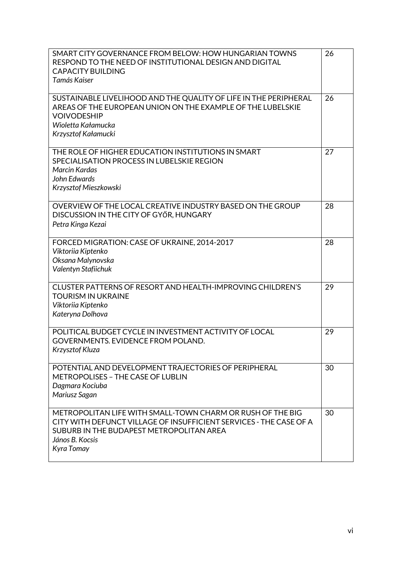| SMART CITY GOVERNANCE FROM BELOW: HOW HUNGARIAN TOWNS<br>RESPOND TO THE NEED OF INSTITUTIONAL DESIGN AND DIGITAL<br><b>CAPACITY BUILDING</b><br>Tamás Kaiser                                                  | 26 |
|---------------------------------------------------------------------------------------------------------------------------------------------------------------------------------------------------------------|----|
| SUSTAINABLE LIVELIHOOD AND THE QUALITY OF LIFE IN THE PERIPHERAL<br>AREAS OF THE EUROPEAN UNION ON THE EXAMPLE OF THE LUBELSKIE<br><b>VOIVODESHIP</b><br>Wioletta Kałamucka<br>Krzysztof Kałamucki            | 26 |
| THE ROLE OF HIGHER EDUCATION INSTITUTIONS IN SMART<br>SPECIALISATION PROCESS IN LUBELSKIE REGION<br><b>Marcin Kardas</b><br>John Edwards<br>Krzysztof Mieszkowski                                             | 27 |
| OVERVIEW OF THE LOCAL CREATIVE INDUSTRY BASED ON THE GROUP<br>DISCUSSION IN THE CITY OF GYŐR, HUNGARY<br>Petra Kinga Kezai                                                                                    | 28 |
| FORCED MIGRATION: CASE OF UKRAINE, 2014-2017<br>Viktoriia Kiptenko<br>Oksana Malynovska<br>Valentyn Stafiichuk                                                                                                | 28 |
| CLUSTER PATTERNS OF RESORT AND HEALTH-IMPROVING CHILDREN'S<br><b>TOURISM IN UKRAINE</b><br>Viktoriia Kiptenko<br>Kateryna Dolhova                                                                             | 29 |
| POLITICAL BUDGET CYCLE IN INVESTMENT ACTIVITY OF LOCAL<br><b>GOVERNMENTS. EVIDENCE FROM POLAND.</b><br>Krzysztof Kluza                                                                                        | 29 |
| POTENTIAL AND DEVELOPMENT TRAJECTORIES OF PERIPHERAL<br><b>METROPOLISES - THE CASE OF LUBLIN</b><br>Dagmara Kociuba<br>Mariusz Sagan                                                                          | 30 |
| METROPOLITAN LIFE WITH SMALL-TOWN CHARM OR RUSH OF THE BIG<br>CITY WITH DEFUNCT VILLAGE OF INSUFFICIENT SERVICES - THE CASE OF A<br>SUBURB IN THE BUDAPEST METROPOLITAN AREA<br>János B. Kocsis<br>Kyra Tomay | 30 |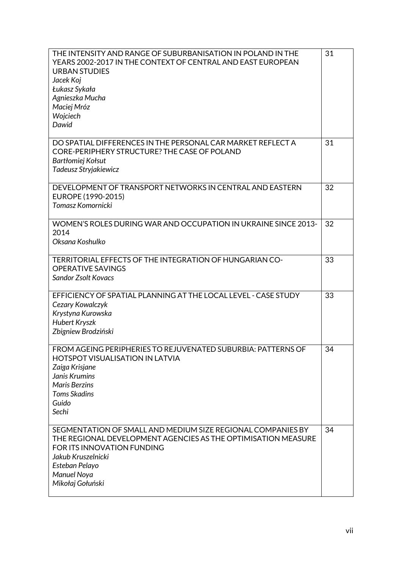| THE INTENSITY AND RANGE OF SUBURBANISATION IN POLAND IN THE<br>YEARS 2002-2017 IN THE CONTEXT OF CENTRAL AND EAST EUROPEAN<br><b>URBAN STUDIES</b><br>Jacek Koj<br>Łukasz Sykała<br>Agnieszka Mucha<br>Maciej Mróz<br>Wojciech<br>Dawid | 31 |
|-----------------------------------------------------------------------------------------------------------------------------------------------------------------------------------------------------------------------------------------|----|
| DO SPATIAL DIFFERENCES IN THE PERSONAL CAR MARKET REFLECT A<br>CORE-PERIPHERY STRUCTURE? THE CASE OF POLAND<br>Bartłomiej Kołsut<br>Tadeusz Stryjakiewicz                                                                               | 31 |
| DEVELOPMENT OF TRANSPORT NETWORKS IN CENTRAL AND EASTERN<br>EUROPE (1990-2015)<br>Tomasz Komornicki                                                                                                                                     | 32 |
| WOMEN'S ROLES DURING WAR AND OCCUPATION IN UKRAINE SINCE 2013-<br>2014<br>Oksana Koshulko                                                                                                                                               | 32 |
| TERRITORIAL EFFECTS OF THE INTEGRATION OF HUNGARIAN CO-<br><b>OPERATIVE SAVINGS</b><br><b>Sandor Zsolt Kovacs</b>                                                                                                                       | 33 |
| EFFICIENCY OF SPATIAL PLANNING AT THE LOCAL LEVEL - CASE STUDY<br>Cezary Kowalczyk<br>Krystyna Kurowska<br><b>Hubert Kryszk</b><br>Zbigniew Brodziński                                                                                  | 33 |
| FROM AGEING PERIPHERIES TO REJUVENATED SUBURBIA: PATTERNS OF<br><b>HOTSPOT VISUALISATION IN LATVIA</b><br>Zaiga Krisjane<br>Janis Krumins<br><b>Maris Berzins</b><br><b>Toms Skadins</b><br>Guido<br>Sechi                              | 34 |
| SEGMENTATION OF SMALL AND MEDIUM SIZE REGIONAL COMPANIES BY<br>THE REGIONAL DEVELOPMENT AGENCIES AS THE OPTIMISATION MEASURE<br>FOR ITS INNOVATION FUNDING<br>Jakub Kruszelnicki<br>Esteban Pelayo<br>Manuel Noya<br>Mikołaj Gołuński   | 34 |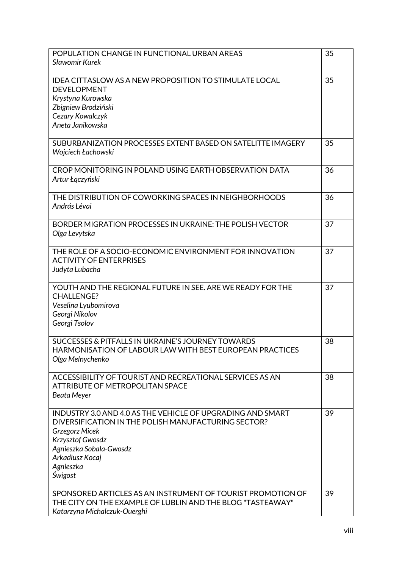| <b>IDEA CITTASLOW AS A NEW PROPOSITION TO STIMULATE LOCAL</b><br>35<br><b>DEVELOPMENT</b><br>Krystyna Kurowska<br>Zbigniew Brodziński<br>Cezary Kowalczyk<br>Aneta Janikowska<br>SUBURBANIZATION PROCESSES EXTENT BASED ON SATELITTE IMAGERY<br>35<br>Wojciech Łachowski<br>CROP MONITORING IN POLAND USING EARTH OBSERVATION DATA<br>36<br>Artur Łączyński<br>36<br>THE DISTRIBUTION OF COWORKING SPACES IN NEIGHBORHOODS<br>András Lévai<br>BORDER MIGRATION PROCESSES IN UKRAINE: THE POLISH VECTOR<br>37<br>Olga Levytska<br>THE ROLE OF A SOCIO-ECONOMIC ENVIRONMENT FOR INNOVATION<br>37<br><b>ACTIVITY OF ENTERPRISES</b><br>Judyta Lubacha<br>YOUTH AND THE REGIONAL FUTURE IN SEE. ARE WE READY FOR THE<br>37<br><b>CHALLENGE?</b><br>Veselina Lyubomirova<br>Georgi Nikolov<br>Georgi Tsolov<br>SUCCESSES & PITFALLS IN UKRAINE'S JOURNEY TOWARDS<br>38<br><b>HARMONISATION OF LABOUR LAW WITH BEST EUROPEAN PRACTICES</b><br>Olga Melnychenko<br>ACCESSIBILITY OF TOURIST AND RECREATIONAL SERVICES AS AN<br>38<br>ATTRIBUTE OF METROPOLITAN SPACE<br><b>Beata Meyer</b><br>39<br>INDUSTRY 3.0 AND 4.0 AS THE VEHICLE OF UPGRADING AND SMART<br>DIVERSIFICATION IN THE POLISH MANUFACTURING SECTOR?<br><b>Grzegorz Micek</b><br>Krzysztof Gwosdz<br>Agnieszka Sobala-Gwosdz<br>Arkadiusz Kocaj<br>Agnieszka<br>Świgost<br>SPONSORED ARTICLES AS AN INSTRUMENT OF TOURIST PROMOTION OF<br>39<br>THE CITY ON THE EXAMPLE OF LUBLIN AND THE BLOG "TASTEAWAY" | POPULATION CHANGE IN FUNCTIONAL URBAN AREAS | 35 |
|----------------------------------------------------------------------------------------------------------------------------------------------------------------------------------------------------------------------------------------------------------------------------------------------------------------------------------------------------------------------------------------------------------------------------------------------------------------------------------------------------------------------------------------------------------------------------------------------------------------------------------------------------------------------------------------------------------------------------------------------------------------------------------------------------------------------------------------------------------------------------------------------------------------------------------------------------------------------------------------------------------------------------------------------------------------------------------------------------------------------------------------------------------------------------------------------------------------------------------------------------------------------------------------------------------------------------------------------------------------------------------------------------------------------------------------------------------------------|---------------------------------------------|----|
|                                                                                                                                                                                                                                                                                                                                                                                                                                                                                                                                                                                                                                                                                                                                                                                                                                                                                                                                                                                                                                                                                                                                                                                                                                                                                                                                                                                                                                                                      | <b>Sławomir Kurek</b>                       |    |
|                                                                                                                                                                                                                                                                                                                                                                                                                                                                                                                                                                                                                                                                                                                                                                                                                                                                                                                                                                                                                                                                                                                                                                                                                                                                                                                                                                                                                                                                      |                                             |    |
|                                                                                                                                                                                                                                                                                                                                                                                                                                                                                                                                                                                                                                                                                                                                                                                                                                                                                                                                                                                                                                                                                                                                                                                                                                                                                                                                                                                                                                                                      |                                             |    |
|                                                                                                                                                                                                                                                                                                                                                                                                                                                                                                                                                                                                                                                                                                                                                                                                                                                                                                                                                                                                                                                                                                                                                                                                                                                                                                                                                                                                                                                                      |                                             |    |
|                                                                                                                                                                                                                                                                                                                                                                                                                                                                                                                                                                                                                                                                                                                                                                                                                                                                                                                                                                                                                                                                                                                                                                                                                                                                                                                                                                                                                                                                      |                                             |    |
|                                                                                                                                                                                                                                                                                                                                                                                                                                                                                                                                                                                                                                                                                                                                                                                                                                                                                                                                                                                                                                                                                                                                                                                                                                                                                                                                                                                                                                                                      |                                             |    |
|                                                                                                                                                                                                                                                                                                                                                                                                                                                                                                                                                                                                                                                                                                                                                                                                                                                                                                                                                                                                                                                                                                                                                                                                                                                                                                                                                                                                                                                                      |                                             |    |
|                                                                                                                                                                                                                                                                                                                                                                                                                                                                                                                                                                                                                                                                                                                                                                                                                                                                                                                                                                                                                                                                                                                                                                                                                                                                                                                                                                                                                                                                      |                                             |    |
|                                                                                                                                                                                                                                                                                                                                                                                                                                                                                                                                                                                                                                                                                                                                                                                                                                                                                                                                                                                                                                                                                                                                                                                                                                                                                                                                                                                                                                                                      |                                             |    |
|                                                                                                                                                                                                                                                                                                                                                                                                                                                                                                                                                                                                                                                                                                                                                                                                                                                                                                                                                                                                                                                                                                                                                                                                                                                                                                                                                                                                                                                                      |                                             |    |
|                                                                                                                                                                                                                                                                                                                                                                                                                                                                                                                                                                                                                                                                                                                                                                                                                                                                                                                                                                                                                                                                                                                                                                                                                                                                                                                                                                                                                                                                      |                                             |    |
|                                                                                                                                                                                                                                                                                                                                                                                                                                                                                                                                                                                                                                                                                                                                                                                                                                                                                                                                                                                                                                                                                                                                                                                                                                                                                                                                                                                                                                                                      |                                             |    |
|                                                                                                                                                                                                                                                                                                                                                                                                                                                                                                                                                                                                                                                                                                                                                                                                                                                                                                                                                                                                                                                                                                                                                                                                                                                                                                                                                                                                                                                                      |                                             |    |
|                                                                                                                                                                                                                                                                                                                                                                                                                                                                                                                                                                                                                                                                                                                                                                                                                                                                                                                                                                                                                                                                                                                                                                                                                                                                                                                                                                                                                                                                      |                                             |    |
|                                                                                                                                                                                                                                                                                                                                                                                                                                                                                                                                                                                                                                                                                                                                                                                                                                                                                                                                                                                                                                                                                                                                                                                                                                                                                                                                                                                                                                                                      |                                             |    |
|                                                                                                                                                                                                                                                                                                                                                                                                                                                                                                                                                                                                                                                                                                                                                                                                                                                                                                                                                                                                                                                                                                                                                                                                                                                                                                                                                                                                                                                                      |                                             |    |
|                                                                                                                                                                                                                                                                                                                                                                                                                                                                                                                                                                                                                                                                                                                                                                                                                                                                                                                                                                                                                                                                                                                                                                                                                                                                                                                                                                                                                                                                      |                                             |    |
|                                                                                                                                                                                                                                                                                                                                                                                                                                                                                                                                                                                                                                                                                                                                                                                                                                                                                                                                                                                                                                                                                                                                                                                                                                                                                                                                                                                                                                                                      |                                             |    |
|                                                                                                                                                                                                                                                                                                                                                                                                                                                                                                                                                                                                                                                                                                                                                                                                                                                                                                                                                                                                                                                                                                                                                                                                                                                                                                                                                                                                                                                                      |                                             |    |
|                                                                                                                                                                                                                                                                                                                                                                                                                                                                                                                                                                                                                                                                                                                                                                                                                                                                                                                                                                                                                                                                                                                                                                                                                                                                                                                                                                                                                                                                      |                                             |    |
|                                                                                                                                                                                                                                                                                                                                                                                                                                                                                                                                                                                                                                                                                                                                                                                                                                                                                                                                                                                                                                                                                                                                                                                                                                                                                                                                                                                                                                                                      |                                             |    |
|                                                                                                                                                                                                                                                                                                                                                                                                                                                                                                                                                                                                                                                                                                                                                                                                                                                                                                                                                                                                                                                                                                                                                                                                                                                                                                                                                                                                                                                                      |                                             |    |
|                                                                                                                                                                                                                                                                                                                                                                                                                                                                                                                                                                                                                                                                                                                                                                                                                                                                                                                                                                                                                                                                                                                                                                                                                                                                                                                                                                                                                                                                      |                                             |    |
|                                                                                                                                                                                                                                                                                                                                                                                                                                                                                                                                                                                                                                                                                                                                                                                                                                                                                                                                                                                                                                                                                                                                                                                                                                                                                                                                                                                                                                                                      |                                             |    |
|                                                                                                                                                                                                                                                                                                                                                                                                                                                                                                                                                                                                                                                                                                                                                                                                                                                                                                                                                                                                                                                                                                                                                                                                                                                                                                                                                                                                                                                                      |                                             |    |
|                                                                                                                                                                                                                                                                                                                                                                                                                                                                                                                                                                                                                                                                                                                                                                                                                                                                                                                                                                                                                                                                                                                                                                                                                                                                                                                                                                                                                                                                      |                                             |    |
|                                                                                                                                                                                                                                                                                                                                                                                                                                                                                                                                                                                                                                                                                                                                                                                                                                                                                                                                                                                                                                                                                                                                                                                                                                                                                                                                                                                                                                                                      |                                             |    |
|                                                                                                                                                                                                                                                                                                                                                                                                                                                                                                                                                                                                                                                                                                                                                                                                                                                                                                                                                                                                                                                                                                                                                                                                                                                                                                                                                                                                                                                                      |                                             |    |
|                                                                                                                                                                                                                                                                                                                                                                                                                                                                                                                                                                                                                                                                                                                                                                                                                                                                                                                                                                                                                                                                                                                                                                                                                                                                                                                                                                                                                                                                      |                                             |    |
|                                                                                                                                                                                                                                                                                                                                                                                                                                                                                                                                                                                                                                                                                                                                                                                                                                                                                                                                                                                                                                                                                                                                                                                                                                                                                                                                                                                                                                                                      |                                             |    |
|                                                                                                                                                                                                                                                                                                                                                                                                                                                                                                                                                                                                                                                                                                                                                                                                                                                                                                                                                                                                                                                                                                                                                                                                                                                                                                                                                                                                                                                                      |                                             |    |
|                                                                                                                                                                                                                                                                                                                                                                                                                                                                                                                                                                                                                                                                                                                                                                                                                                                                                                                                                                                                                                                                                                                                                                                                                                                                                                                                                                                                                                                                      |                                             |    |
|                                                                                                                                                                                                                                                                                                                                                                                                                                                                                                                                                                                                                                                                                                                                                                                                                                                                                                                                                                                                                                                                                                                                                                                                                                                                                                                                                                                                                                                                      |                                             |    |
|                                                                                                                                                                                                                                                                                                                                                                                                                                                                                                                                                                                                                                                                                                                                                                                                                                                                                                                                                                                                                                                                                                                                                                                                                                                                                                                                                                                                                                                                      |                                             |    |
|                                                                                                                                                                                                                                                                                                                                                                                                                                                                                                                                                                                                                                                                                                                                                                                                                                                                                                                                                                                                                                                                                                                                                                                                                                                                                                                                                                                                                                                                      |                                             |    |
|                                                                                                                                                                                                                                                                                                                                                                                                                                                                                                                                                                                                                                                                                                                                                                                                                                                                                                                                                                                                                                                                                                                                                                                                                                                                                                                                                                                                                                                                      |                                             |    |
|                                                                                                                                                                                                                                                                                                                                                                                                                                                                                                                                                                                                                                                                                                                                                                                                                                                                                                                                                                                                                                                                                                                                                                                                                                                                                                                                                                                                                                                                      |                                             |    |
|                                                                                                                                                                                                                                                                                                                                                                                                                                                                                                                                                                                                                                                                                                                                                                                                                                                                                                                                                                                                                                                                                                                                                                                                                                                                                                                                                                                                                                                                      |                                             |    |
|                                                                                                                                                                                                                                                                                                                                                                                                                                                                                                                                                                                                                                                                                                                                                                                                                                                                                                                                                                                                                                                                                                                                                                                                                                                                                                                                                                                                                                                                      | Katarzyna Michalczuk-Ouerghi                |    |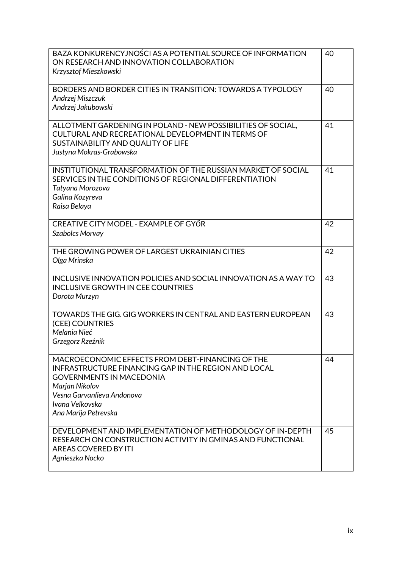| BAZA KONKURENCYJNOŚCI AS A POTENTIAL SOURCE OF INFORMATION<br>ON RESEARCH AND INNOVATION COLLABORATION<br>Krzysztof Mieszkowski                                                                                                        | 40 |
|----------------------------------------------------------------------------------------------------------------------------------------------------------------------------------------------------------------------------------------|----|
| BORDERS AND BORDER CITIES IN TRANSITION: TOWARDS A TYPOLOGY<br>Andrzej Miszczuk<br>Andrzej Jakubowski                                                                                                                                  | 40 |
| ALLOTMENT GARDENING IN POLAND - NEW POSSIBILITIES OF SOCIAL,<br>CULTURAL AND RECREATIONAL DEVELOPMENT IN TERMS OF<br>SUSTAINABILITY AND QUALITY OF LIFE<br>Justyna Mokras-Grabowska                                                    | 41 |
| INSTITUTIONAL TRANSFORMATION OF THE RUSSIAN MARKET OF SOCIAL<br>SERVICES IN THE CONDITIONS OF REGIONAL DIFFERENTIATION<br>Tatyana Morozova<br>Galina Kozyreva<br>Raisa Belaya                                                          | 41 |
| CREATIVE CITY MODEL - EXAMPLE OF GYŐR<br>Szabolcs Morvay                                                                                                                                                                               | 42 |
| THE GROWING POWER OF LARGEST UKRAINIAN CITIES<br>Olga Mrinska                                                                                                                                                                          | 42 |
| INCLUSIVE INNOVATION POLICIES AND SOCIAL INNOVATION AS A WAY TO<br><b>INCLUSIVE GROWTH IN CEE COUNTRIES</b><br>Dorota Murzyn                                                                                                           | 43 |
| TOWARDS THE GIG. GIG WORKERS IN CENTRAL AND EASTERN EUROPEAN<br>(CEE) COUNTRIES<br>Melania Nieć<br>Grzegorz Rzeźnik                                                                                                                    | 43 |
| MACROECONOMIC EFFECTS FROM DEBT-FINANCING OF THE<br>INFRASTRUCTURE FINANCING GAP IN THE REGION AND LOCAL<br><b>GOVERNMENTS IN MACEDONIA</b><br>Marjan Nikolov<br>Vesna Garvanlieva Andonova<br>Ivana Velkovska<br>Ana Marija Petrevska | 44 |
| DEVELOPMENT AND IMPLEMENTATION OF METHODOLOGY OF IN-DEPTH<br>RESEARCH ON CONSTRUCTION ACTIVITY IN GMINAS AND FUNCTIONAL<br>AREAS COVERED BY ITI<br>Agnieszka Nocko                                                                     | 45 |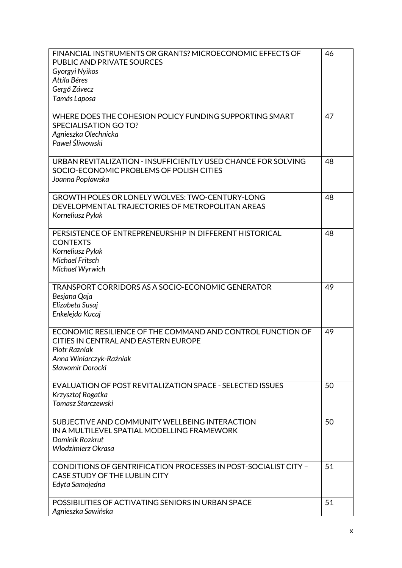| FINANCIAL INSTRUMENTS OR GRANTS? MICROECONOMIC EFFECTS OF<br>PUBLIC AND PRIVATE SOURCES<br>Gyorgyi Nyikos<br>Attila Béres<br>Gergő Závecz<br>Tamás Laposa          | 46 |
|--------------------------------------------------------------------------------------------------------------------------------------------------------------------|----|
| WHERE DOES THE COHESION POLICY FUNDING SUPPORTING SMART<br>SPECIALISATION GO TO?<br>Agnieszka Olechnicka<br>Paweł Śliwowski                                        | 47 |
| URBAN REVITALIZATION - INSUFFICIENTLY USED CHANCE FOR SOLVING<br>SOCIO-ECONOMIC PROBLEMS OF POLISH CITIES<br>Joanna Popławska                                      | 48 |
| GROWTH POLES OR LONELY WOLVES: TWO-CENTURY-LONG<br>DEVELOPMENTAL TRAJECTORIES OF METROPOLITAN AREAS<br>Korneliusz Pylak                                            | 48 |
| PERSISTENCE OF ENTREPRENEURSHIP IN DIFFERENT HISTORICAL<br><b>CONTEXTS</b><br>Korneliusz Pylak<br><b>Michael Fritsch</b><br>Michael Wyrwich                        | 48 |
| TRANSPORT CORRIDORS AS A SOCIO-ECONOMIC GENERATOR<br>Besjana Qaja<br>Elizabeta Susaj<br>Enkelejda Kucaj                                                            | 49 |
| ECONOMIC RESILIENCE OF THE COMMAND AND CONTROL FUNCTION OF<br>CITIES IN CENTRAL AND EASTERN EUROPE<br>Piotr Razniak<br>Anna Winiarczyk-Raźniak<br>Sławomir Dorocki | 49 |
| EVALUATION OF POST REVITALIZATION SPACE - SELECTED ISSUES<br>Krzysztof Rogatka<br>Tomasz Starczewski                                                               | 50 |
| SUBJECTIVE AND COMMUNITY WELLBEING INTERACTION<br>IN A MULTILEVEL SPATIAL MODELLING FRAMEWORK<br>Dominik Rozkrut<br>Wlodzimierz Okrasa                             | 50 |
| CONDITIONS OF GENTRIFICATION PROCESSES IN POST-SOCIALIST CITY -<br>CASE STUDY OF THE LUBLIN CITY<br>Edyta Samojedna                                                | 51 |
| POSSIBILITIES OF ACTIVATING SENIORS IN URBAN SPACE<br>Agnieszka Sawińska                                                                                           | 51 |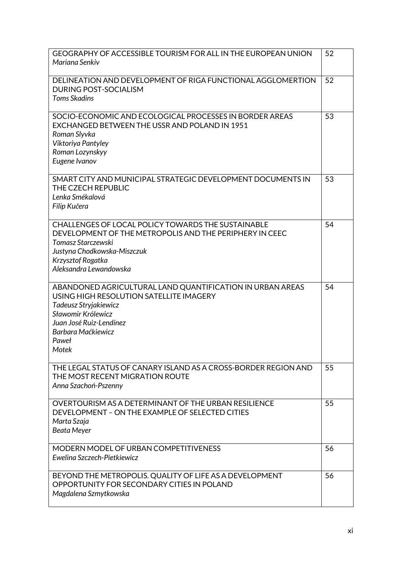| GEOGRAPHY OF ACCESSIBLE TOURISM FOR ALL IN THE EUROPEAN UNION<br>Mariana Senkiv                                                                                                                                        | 52 |
|------------------------------------------------------------------------------------------------------------------------------------------------------------------------------------------------------------------------|----|
| DELINEATION AND DEVELOPMENT OF RIGA FUNCTIONAL AGGLOMERTION<br><b>DURING POST-SOCIALISM</b><br><b>Toms Skadins</b>                                                                                                     | 52 |
| SOCIO-ECONOMIC AND ECOLOGICAL PROCESSES IN BORDER AREAS<br>EXCHANGED BETWEEN THE USSR AND POLAND IN 1951<br>Roman Slyvka<br>Viktoriya Pantyley<br>Roman Lozynskyy<br>Eugene Ivanov                                     | 53 |
| SMART CITY AND MUNICIPAL STRATEGIC DEVELOPMENT DOCUMENTS IN<br>THE CZECH REPUBLIC<br>Lenka Smékalová<br>Filip Kučera                                                                                                   | 53 |
| CHALLENGES OF LOCAL POLICY TOWARDS THE SUSTAINABLE<br>DEVELOPMENT OF THE METROPOLIS AND THE PERIPHERY IN CEEC<br>Tomasz Starczewski<br>Justyna Chodkowska-Miszczuk<br>Krzysztof Rogatka<br>Aleksandra Lewandowska      | 54 |
| ABANDONED AGRICULTURAL LAND QUANTIFICATION IN URBAN AREAS<br>USING HIGH RESOLUTION SATELLITE IMAGERY<br>Tadeusz Stryjakiewicz<br>Sławomir Królewicz<br>Juan José Ruiz-Lendínez<br>Barbara Maćkiewicz<br>Paweł<br>Motek | 54 |
| THE LEGAL STATUS OF CANARY ISLAND AS A CROSS-BORDER REGION AND<br>THE MOST RECENT MIGRATION ROUTE<br>Anna Szachoń-Pszenny                                                                                              | 55 |
| OVERTOURISM AS A DETERMINANT OF THE URBAN RESILIENCE<br>DEVELOPMENT - ON THE EXAMPLE OF SELECTED CITIES<br>Marta Szaja<br>Beata Meyer                                                                                  | 55 |
| MODERN MODEL OF URBAN COMPETITIVENESS<br>Ewelina Szczech-Pietkiewicz                                                                                                                                                   | 56 |
| BEYOND THE METROPOLIS. QUALITY OF LIFE AS A DEVELOPMENT<br>OPPORTUNITY FOR SECONDARY CITIES IN POLAND<br>Magdalena Szmytkowska                                                                                         | 56 |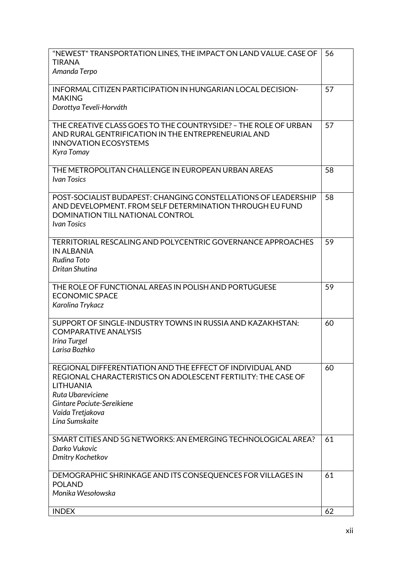| "NEWEST" TRANSPORTATION LINES, THE IMPACT ON LAND VALUE. CASE OF<br><b>TIRANA</b>                                                                                                                                                       | 56 |
|-----------------------------------------------------------------------------------------------------------------------------------------------------------------------------------------------------------------------------------------|----|
| Amanda Terpo                                                                                                                                                                                                                            |    |
| INFORMAL CITIZEN PARTICIPATION IN HUNGARIAN LOCAL DECISION-<br><b>MAKING</b><br>Dorottya Teveli-Horváth                                                                                                                                 | 57 |
| THE CREATIVE CLASS GOES TO THE COUNTRYSIDE? - THE ROLE OF URBAN<br>AND RURAL GENTRIFICATION IN THE ENTREPRENEURIAL AND<br><b>INNOVATION ECOSYSTEMS</b><br>Kyra Tomay                                                                    | 57 |
| THE METROPOLITAN CHALLENGE IN EUROPEAN URBAN AREAS<br><b>Ivan Tosics</b>                                                                                                                                                                | 58 |
| POST-SOCIALIST BUDAPEST: CHANGING CONSTELLATIONS OF LEADERSHIP<br>AND DEVELOPMENT. FROM SELF DETERMINATION THROUGH EU FUND<br>DOMINATION TILL NATIONAL CONTROL<br><b>Ivan Tosics</b>                                                    | 58 |
| TERRITORIAL RESCALING AND POLYCENTRIC GOVERNANCE APPROACHES<br><b>IN ALBANIA</b><br>Rudina Toto<br>Dritan Shutina                                                                                                                       | 59 |
| THE ROLE OF FUNCTIONAL AREAS IN POLISH AND PORTUGUESE<br><b>ECONOMIC SPACE</b><br>Karolina Trykacz                                                                                                                                      | 59 |
|                                                                                                                                                                                                                                         |    |
| SUPPORT OF SINGLE-INDUSTRY TOWNS IN RUSSIA AND KAZAKHSTAN:<br><b>COMPARATIVE ANALYSIS</b><br>Irina Turgel<br>Larisa Bozhko                                                                                                              | 60 |
| REGIONAL DIFFERENTIATION AND THE EFFECT OF INDIVIDUAL AND<br>REGIONAL CHARACTERISTICS ON ADOLESCENT FERTILITY: THE CASE OF<br><b>LITHUANIA</b><br>Ruta Ubareviciene<br>Gintare Pociute-Sereikiene<br>Vaida Tretjakova<br>Lina Sumskaite | 60 |
| SMART CITIES AND 5G NETWORKS: AN EMERGING TECHNOLOGICAL AREA?<br>Darko Vukovic<br>Dmitry Kochetkov                                                                                                                                      | 61 |
| DEMOGRAPHIC SHRINKAGE AND ITS CONSEQUENCES FOR VILLAGES IN<br><b>POLAND</b><br>Monika Wesołowska                                                                                                                                        | 61 |
| <b>INDEX</b>                                                                                                                                                                                                                            | 62 |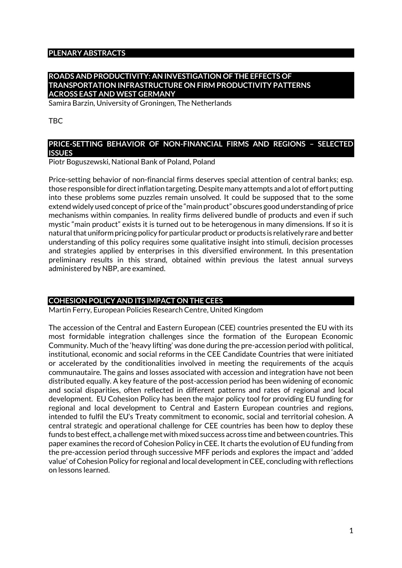#### **PLENARY ABSTRACTS**

#### **ROADS AND PRODUCTIVITY: AN INVESTIGATION OF THE EFFECTS OF TRANSPORTATION INFRASTRUCTURE ON FIRM PRODUCTIVITY PATTERNS ACROSS EAST AND WEST GERMANY**

Samira Barzin, University of Groningen, The Netherlands

#### TBC

#### **PRICE-SETTING BEHAVIOR OF NON-FINANCIAL FIRMS AND REGIONS – SELECTED ISSUES**

Piotr Boguszewski, National Bank of Poland, Poland

Price-setting behavior of non-financial firms deserves special attention of central banks; esp. those responsible for direct inflation targeting. Despite many attempts and a lot of effort putting into these problems some puzzles remain unsolved. It could be supposed that to the some extend widely used concept of price of the "main product" obscures good understanding of price mechanisms within companies. In reality firms delivered bundle of products and even if such mystic "main product" exists it is turned out to be heterogenous in many dimensions. If so it is natural that uniform pricing policy for particular product or products is relatively rare and better understanding of this policy requires some qualitative insight into stimuli, decision processes and strategies applied by enterprises in this diversified environment. In this presentation preliminary results in this strand, obtained within previous the latest annual surveys administered by NBP, are examined.

#### **COHESION POLICY AND ITS IMPACT ON THE CEES**

Martin Ferry, European Policies Research Centre, United Kingdom

The accession of the Central and Eastern European (CEE) countries presented the EU with its most formidable integration challenges since the formation of the European Economic Community. Much of the 'heavy lifting' was done during the pre-accession period with political, institutional, economic and social reforms in the CEE Candidate Countries that were initiated or accelerated by the conditionalities involved in meeting the requirements of the acquis communautaire. The gains and losses associated with accession and integration have not been distributed equally. A key feature of the post-accession period has been widening of economic and social disparities, often reflected in different patterns and rates of regional and local development. EU Cohesion Policy has been the major policy tool for providing EU funding for regional and local development to Central and Eastern European countries and regions, intended to fulfil the EU's Treaty commitment to economic, social and territorial cohesion. A central strategic and operational challenge for CEE countries has been how to deploy these funds to best effect, a challenge met with mixed success across time and between countries. This paper examines the record of Cohesion Policy in CEE. It charts the evolution of EU funding from the pre-accession period through successive MFF periods and explores the impact and 'added value' of Cohesion Policy for regional and local development in CEE, concluding with reflections on lessons learned.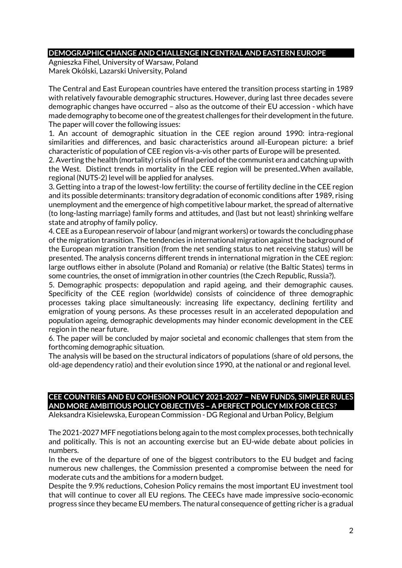#### **DEMOGRAPHIC CHANGE AND CHALLENGE IN CENTRAL AND EASTERN EUROPE**

Agnieszka Fihel, University of Warsaw, Poland Marek Okólski, Lazarski University, Poland

The Central and East European countries have entered the transition process starting in 1989 with relatively favourable demographic structures. However, during last three decades severe demographic changes have occurred – also as the outcome of their EU accession - which have made demography to become one of the greatest challenges for their development in the future. The paper will cover the following issues:

1. An account of demographic situation in the CEE region around 1990: intra-regional similarities and differences, and basic characteristics around all-European picture: a brief characteristic of population of CEE region vis-a-vis other parts of Europe will be presented.

2. Averting the health (mortality) crisis of final period of the communist era and catching up with the West. Distinct trends in mortality in the CEE region will be presented..When available, regional (NUTS-2) level will be applied for analyses.

3. Getting into a trap of the lowest-low fertility: the course of fertility decline in the CEE region and its possible determinants: transitory degradation of economic conditions after 1989, rising unemployment and the emergence of high competitive labour market, the spread of alternative (to long-lasting marriage) family forms and attitudes, and (last but not least) shrinking welfare state and atrophy of family policy.

4. CEE as a European reservoir of labour (and migrant workers) or towards the concluding phase of the migration transition. The tendencies in international migration against the background of the European migration transition (from the net sending status to net receiving status) will be presented. The analysis concerns different trends in international migration in the CEE region: large outflows either in absolute (Poland and Romania) or relative (the Baltic States) terms in some countries, the onset of immigration in other countries (the Czech Republic, Russia?).

5. Demographic prospects: depopulation and rapid ageing, and their demographic causes. Specificity of the CEE region (worldwide) consists of coincidence of three demographic processes taking place simultaneously: increasing life expectancy, declining fertility and emigration of young persons. As these processes result in an accelerated depopulation and population ageing, demographic developments may hinder economic development in the CEE region in the near future.

6. The paper will be concluded by major societal and economic challenges that stem from the forthcoming demographic situation.

The analysis will be based on the structural indicators of populations (share of old persons, the old-age dependency ratio) and their evolution since 1990, at the national or and regional level.

# **CEE COUNTRIES AND EU COHESION POLICY 2021-2027 – NEW FUNDS, SIMPLER RULES AND MORE AMBITIOUS POLICY OBJECTIVES – A PERFECT POLICY MIX FOR CEECS?**

Aleksandra Kisielewska, European Commission - DG Regional and Urban Policy, Belgium

The 2021-2027 MFF negotiations belong again to the most complex processes, both technically and politically. This is not an accounting exercise but an EU-wide debate about policies in numbers.

In the eve of the departure of one of the biggest contributors to the EU budget and facing numerous new challenges, the Commission presented a compromise between the need for moderate cuts and the ambitions for a modern budget.

Despite the 9.9% reductions, Cohesion Policy remains the most important EU investment tool that will continue to cover all EU regions. The CEECs have made impressive socio-economic progress since they became EU members. The natural consequence of getting richer is a gradual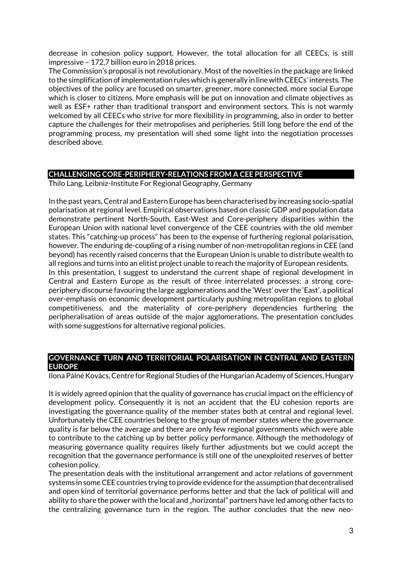decrease in cohesion policy support. However, the total allocation for all CEECs, is still impressive – 172,7 billion euro in 2018 prices.

The Commission's proposal is not revolutionary. Most of the novelties in the package are linked to the simplification of implementation rules which is generally in line with CEECs' interests. The objectives of the policy are focused on smarter, greener, more connected, more social Europe which is closer to citizens. More emphasis will be put on innovation and climate objectives as well as ESF+ rather than traditional transport and environment sectors. This is not warmly welcomed by all CEECs who strive for more flexibility in programming, also in order to better capture the challenges for their metropolises and peripheries. Still long before the end of the programming process, my presentation will shed some light into the negotiation processes described above.

# **CHALLENGING CORE-PERIPHERY-RELATIONS FROM A CEE PERSPECTIVE**

Thilo Lang, Leibniz-Institute For Regional Geography, Germany

In the past years, Central and Eastern Europe has been characterised by increasing socio-spatial polarisation at regional level. Empirical observations based on classic GDP and population data demonstrate pertinent North-South, East-West and Core-periphery disparities within the European Union with national level convergence of the CEE countries with the old member states. This "catching-up process" has been to the expense of furthering regional polarisation, however. The enduring de-coupling of a rising number of non-metropolitan regions in CEE (and beyond) has recently raised concerns that the European Union is unable to distribute wealth to all regions and turns into an elitist project unable to reach the majority of European residents. In this presentation, I suggest to understand the current shape of regional development in Central and Eastern Europe as the result of three interrelated processes: a strong coreperiphery discourse favouring the large agglomerations and the 'West' over the 'East', a political over-emphasis on economic development particularly pushing metropolitan regions to global competitiveness, and the materiality of core-periphery dependencies furthering the peripheralisation of areas outside of the major agglomerations. The presentation concludes with some suggestions for alternative regional policies.

#### **GOVERNANCE TURN AND TERRITORIAL POLARISATION IN CENTRAL AND EASTERN EUROPE**

Ilona Pálné Kovács, Centre for Regional Studies of the Hungarian Academy of Sciences, Hungary

It is widely agreed opinion that the quality of governance has crucial impact on the efficiency of development policy. Consequently it is not an accident that the EU cohesion reports are investigating the governance quality of the member states both at central and regional level. Unfortunately the CEE countries belong to the group of member states where the governance quality is far below the average and there are only few regional governments which were able to contribute to the catching up by better policy performance. Although the methodology of measuring governance quality requires likely further adjustments but we could accept the recognition that the governance performance is still one of the unexploited reserves of better cohesion policy.

The presentation deals with the institutional arrangement and actor relations of government systems in some CEE countries trying to provide evidence for the assumption that decentralised and open kind of territorial governance performs better and that the lack of political will and ability to share the power with the local and "horizontal" partners have led among other facts to the centralizing governance turn in the region. The author concludes that the new neo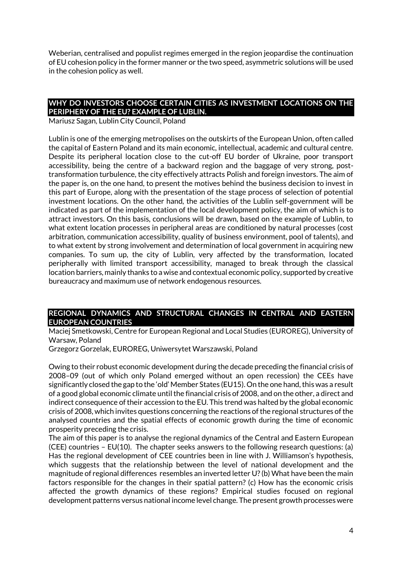Weberian, centralised and populist regimes emerged in the region jeopardise the continuation of EU cohesion policy in the former manner or the two speed, asymmetric solutions will be used in the cohesion policy as well.

# **WHY DO INVESTORS CHOOSE CERTAIN CITIES AS INVESTMENT LOCATIONS ON THE PERIPHERY OF THE EU? EXAMPLE OF LUBLIN.**

Mariusz Sagan, Lublin City Council, Poland

Lublin is one of the emerging metropolises on the outskirts of the European Union, often called the capital of Eastern Poland and its main economic, intellectual, academic and cultural centre. Despite its peripheral location close to the cut-off EU border of Ukraine, poor transport accessibility, being the centre of a backward region and the baggage of very strong, posttransformation turbulence, the city effectively attracts Polish and foreign investors. The aim of the paper is, on the one hand, to present the motives behind the business decision to invest in this part of Europe, along with the presentation of the stage process of selection of potential investment locations. On the other hand, the activities of the Lublin self-government will be indicated as part of the implementation of the local development policy, the aim of which is to attract investors. On this basis, conclusions will be drawn, based on the example of Lublin, to what extent location processes in peripheral areas are conditioned by natural processes (cost arbitration, communication accessibility, quality of business environment, pool of talents), and to what extent by strong involvement and determination of local government in acquiring new companies. To sum up, the city of Lublin, very affected by the transformation, located peripherally with limited transport accessibility, managed to break through the classical location barriers, mainly thanks to a wise and contextual economic policy, supported by creative bureaucracy and maximum use of network endogenous resources.

#### **REGIONAL DYNAMICS AND STRUCTURAL CHANGES IN CENTRAL AND EASTERN EUROPEAN COUNTRIES**

Maciej Smetkowski, Centre for European Regional and Local Studies (EUROREG), University of Warsaw, Poland

Grzegorz Gorzelak, EUROREG, Uniwersytet Warszawski, Poland

Owing to their robust economic development during the decade preceding the financial crisis of 2008–09 (out of which only Poland emerged without an open recession) the CEEs have significantly closed the gap to the 'old' Member States (EU15). On the one hand, this was a result of a good global economic climate until the financial crisis of 2008, and on the other, a direct and indirect consequence of their accession to the EU. This trend was halted by the global economic crisis of 2008, which invites questions concerning the reactions of the regional structures of the analysed countries and the spatial effects of economic growth during the time of economic prosperity preceding the crisis.

The aim of this paper is to analyse the regional dynamics of the Central and Eastern European (CEE) countries – EU(10). The chapter seeks answers to the following research questions: (a) Has the regional development of CEE countries been in line with J. Williamson's hypothesis, which suggests that the relationship between the level of national development and the magnitude of regional differences resembles an inverted letter U? (b) What have been the main factors responsible for the changes in their spatial pattern? (c) How has the economic crisis affected the growth dynamics of these regions? Empirical studies focused on regional development patterns versus national income level change. The present growth processes were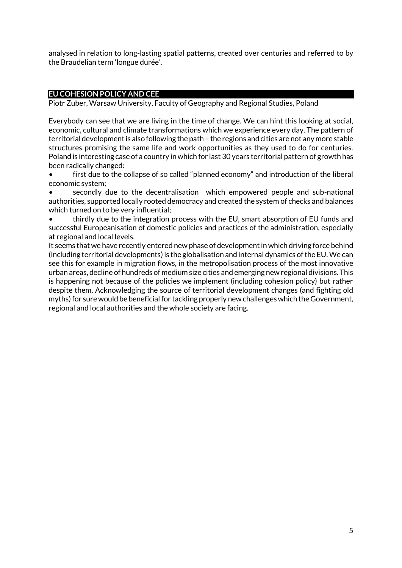analysed in relation to long-lasting spatial patterns, created over centuries and referred to by the Braudelian term 'longue durée'.

#### **EU COHESION POLICY AND CEE**

Piotr Zuber, Warsaw University, Faculty of Geography and Regional Studies, Poland

Everybody can see that we are living in the time of change. We can hint this looking at social, economic, cultural and climate transformations which we experience every day. The pattern of territorial development is also following the path – the regions and cities are not any more stable structures promising the same life and work opportunities as they used to do for centuries. Poland is interesting case of a country in which for last 30 years territorial pattern of growth has been radically changed:

first due to the collapse of so called "planned economy" and introduction of the liberal economic system;

• secondly due to the decentralisation which empowered people and sub-national authorities, supported locally rooted democracy and created the system of checks and balances which turned on to be very influential;

• thirdly due to the integration process with the EU, smart absorption of EU funds and successful Europeanisation of domestic policies and practices of the administration, especially at regional and local levels.

It seems that we have recently entered new phase of development in which driving force behind (including territorial developments) is the globalisation and internal dynamics of the EU. We can see this for example in migration flows, in the metropolisation process of the most innovative urban areas, decline of hundreds of medium size cities and emerging new regional divisions. This is happening not because of the policies we implement (including cohesion policy) but rather despite them. Acknowledging the source of territorial development changes (and fighting old myths) for sure would be beneficial for tackling properly new challenges which the Government, regional and local authorities and the whole society are facing.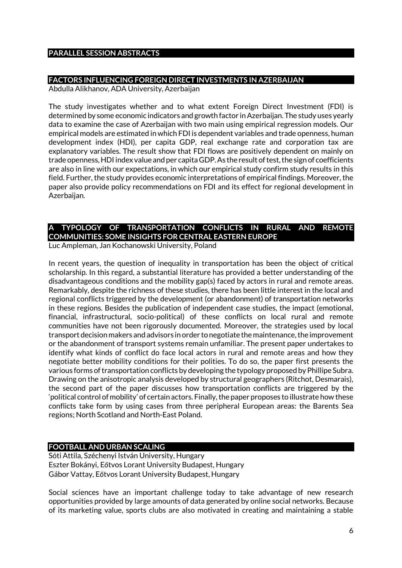#### **PARALLEL SESSION ABSTRACTS**

#### **FACTORS INFLUENCING FOREIGN DIRECT INVESTMENTS IN AZERBAIJAN**

Abdulla Alikhanov, ADA University, Azerbaijan

The study investigates whether and to what extent Foreign Direct Investment (FDI) is determined by some economic indicators and growth factor in Azerbaijan. The study uses yearly data to examine the case of Azerbaijan with two main using empirical regression models. Our empirical models are estimated in which FDI is dependent variables and trade openness, human development index (HDI), per capita GDP, real exchange rate and corporation tax are explanatory variables. The result show that FDI flows are positively dependent on mainly on trade openness, HDI index value and per capita GDP. As the result of test, the sign of coefficients are also in line with our expectations, in which our empirical study confirm study results in this field. Further, the study provides economic interpretations of empirical findings. Moreover, the paper also provide policy recommendations on FDI and its effect for regional development in Azerbaijan.

# **A TYPOLOGY OF TRANSPORTATION CONFLICTS IN RURAL AND REMOTE COMMUNITIES: SOME INSIGHTS FOR CENTRAL EASTERN EUROPE**

Luc Ampleman, Jan Kochanowski University, Poland

In recent years, the question of inequality in transportation has been the object of critical scholarship. In this regard, a substantial literature has provided a better understanding of the disadvantageous conditions and the mobility gap(s) faced by actors in rural and remote areas. Remarkably, despite the richness of these studies, there has been little interest in the local and regional conflicts triggered by the development (or abandonment) of transportation networks in these regions. Besides the publication of independent case studies, the impact (emotional, financial, infrastructural, socio-political) of these conflicts on local rural and remote communities have not been rigorously documented. Moreover, the strategies used by local transport decision makers and advisors in order to negotiate the maintenance, the improvement or the abandonment of transport systems remain unfamiliar. The present paper undertakes to identify what kinds of conflict do face local actors in rural and remote areas and how they negotiate better mobility conditions for their polities. To do so, the paper first presents the various forms of transportation conflicts by developing the typology proposed by Phillipe Subra. Drawing on the anisotropic analysis developed by structural geographers (Ritchot, Desmarais), the second part of the paper discusses how transportation conflicts are triggered by the 'political control of mobility' of certain actors. Finally, the paper proposes to illustrate how these conflicts take form by using cases from three peripheral European areas: the Barents Sea regions; North Scotland and North-East Poland.

# **FOOTBALL AND URBAN SCALING**

Sóti Attila, Széchenyi István University, Hungary Eszter Bokányi, Eőtvos Lorant University Budapest, Hungary Gábor Vattay, Eőtvos Lorant University Budapest, Hungary

Social sciences have an important challenge today to take advantage of new research opportunities provided by large amounts of data generated by online social networks. Because of its marketing value, sports clubs are also motivated in creating and maintaining a stable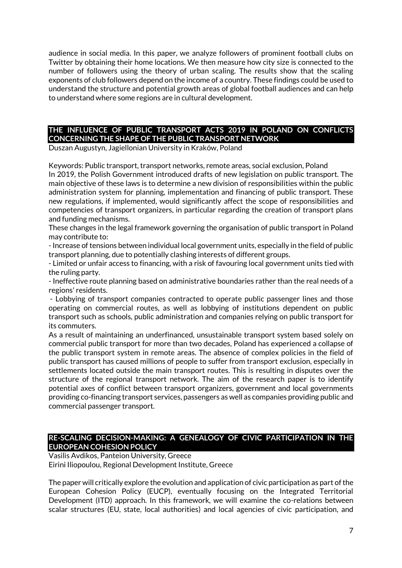audience in social media. In this paper, we analyze followers of prominent football clubs on Twitter by obtaining their home locations. We then measure how city size is connected to the number of followers using the theory of urban scaling. The results show that the scaling exponents of club followers depend on the income of a country. These findings could be used to understand the structure and potential growth areas of global football audiences and can help to understand where some regions are in cultural development.

# **THE INFLUENCE OF PUBLIC TRANSPORT ACTS 2019 IN POLAND ON CONFLICTS CONCERNING THE SHAPE OF THE PUBLIC TRANSPORT NETWORK**

Duszan Augustyn, Jagiellonian University in Kraków, Poland

Keywords: Public transport, transport networks, remote areas, social exclusion, Poland

In 2019, the Polish Government introduced drafts of new legislation on public transport. The main objective of these laws is to determine a new division of responsibilities within the public administration system for planning, implementation and financing of public transport. These new regulations, if implemented, would significantly affect the scope of responsibilities and competencies of transport organizers, in particular regarding the creation of transport plans and funding mechanisms.

These changes in the legal framework governing the organisation of public transport in Poland may contribute to:

- Increase of tensions between individual local government units, especially in the field of public transport planning, due to potentially clashing interests of different groups.

- Limited or unfair access to financing, with a risk of favouring local government units tied with the ruling party.

- Ineffective route planning based on administrative boundaries rather than the real needs of a regions' residents.

- Lobbying of transport companies contracted to operate public passenger lines and those operating on commercial routes, as well as lobbying of institutions dependent on public transport such as schools, public administration and companies relying on public transport for its commuters.

As a result of maintaining an underfinanced, unsustainable transport system based solely on commercial public transport for more than two decades, Poland has experienced a collapse of the public transport system in remote areas. The absence of complex policies in the field of public transport has caused millions of people to suffer from transport exclusion, especially in settlements located outside the main transport routes. This is resulting in disputes over the structure of the regional transport network. The aim of the research paper is to identify potential axes of conflict between transport organizers, government and local governments providing co-financing transport services, passengers as well as companies providing public and commercial passenger transport.

### **RE-SCALING DECISION-MAKING: A GENEALOGY OF CIVIC PARTICIPATION IN THE EUROPEAN COHESION POLICY**

Vasilis Avdikos, Panteion University, Greece Eirini Iliopoulou, Regional Development Institute, Greece

The paper will critically explore the evolution and application of civic participation as part of the European Cohesion Policy (EUCP), eventually focusing on the Integrated Territorial Development (ITD) approach. In this framework, we will examine the co-relations between scalar structures (EU, state, local authorities) and local agencies of civic participation, and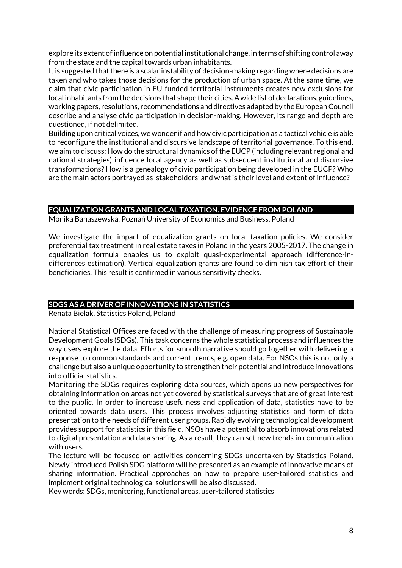explore its extent of influence on potential institutional change, in terms of shifting control away from the state and the capital towards urban inhabitants.

It is suggested that there is a scalar instability of decision-making regarding where decisions are taken and who takes those decisions for the production of urban space. At the same time, we claim that civic participation in EU-funded territorial instruments creates new exclusions for local inhabitants from the decisions that shape their cities. A wide list of declarations, guidelines, working papers, resolutions, recommendations and directives adapted by the European Council describe and analyse civic participation in decision-making. However, its range and depth are questioned, if not delimited.

Building upon critical voices, we wonder if and how civic participation as a tactical vehicle is able to reconfigure the institutional and discursive landscape of territorial governance. To this end, we aim to discuss: How do the structural dynamics of the EUCP (including relevant regional and national strategies) influence local agency as well as subsequent institutional and discursive transformations? How is a genealogy of civic participation being developed in the EUCP? Who are the main actors portrayed as 'stakeholders' and what is their level and extent of influence?

# **EQUALIZATION GRANTS AND LOCAL TAXATION. EVIDENCE FROM POLAND**

Monika Banaszewska, Poznań University of Economics and Business, Poland

We investigate the impact of equalization grants on local taxation policies. We consider preferential tax treatment in real estate taxes in Poland in the years 2005-2017. The change in equalization formula enables us to exploit quasi-experimental approach (difference-indifferences estimation). Vertical equalization grants are found to diminish tax effort of their beneficiaries. This result is confirmed in various sensitivity checks.

# **SDGS AS A DRIVER OF INNOVATIONS IN STATISTICS**

Renata Bielak, Statistics Poland, Poland

National Statistical Offices are faced with the challenge of measuring progress of Sustainable Development Goals (SDGs). This task concerns the whole statistical process and influences the way users explore the data. Efforts for smooth narrative should go together with delivering a response to common standards and current trends, e.g. open data. For NSOs this is not only a challenge but also a unique opportunity to strengthen their potential and introduce innovations into official statistics.

Monitoring the SDGs requires exploring data sources, which opens up new perspectives for obtaining information on areas not yet covered by statistical surveys that are of great interest to the public. In order to increase usefulness and application of data, statistics have to be oriented towards data users. This process involves adjusting statistics and form of data presentation to the needs of different user groups. Rapidly evolving technological development provides support for statistics in this field. NSOs have a potential to absorb innovations related to digital presentation and data sharing. As a result, they can set new trends in communication with users.

The lecture will be focused on activities concerning SDGs undertaken by Statistics Poland. Newly introduced Polish SDG platform will be presented as an example of innovative means of sharing information. Practical approaches on how to prepare user-tailored statistics and implement original technological solutions will be also discussed.

Key words: SDGs, monitoring, functional areas, user-tailored statistics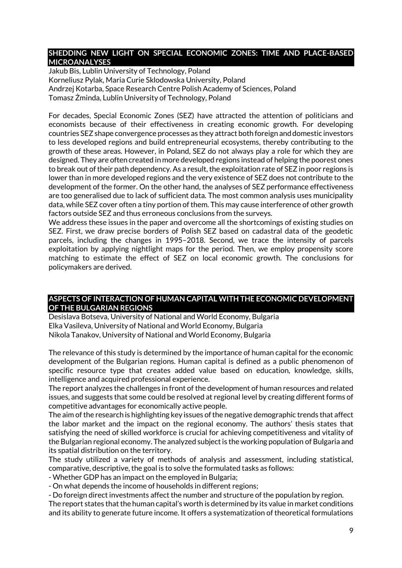#### **SHEDDING NEW LIGHT ON SPECIAL ECONOMIC ZONES: TIME AND PLACE-BASED MICROANALYSES**

Jakub Bis, Lublin University of Technology, Poland Korneliusz Pylak, Maria Curie Sklodowska University, Poland Andrzej Kotarba, Space Research Centre Polish Academy of Sciences, Poland Tomasz Żminda, Lublin University of Technology, Poland

For decades, Special Economic Zones (SEZ) have attracted the attention of politicians and economists because of their effectiveness in creating economic growth. For developing countries SEZ shape convergence processes as they attract both foreign and domestic investors to less developed regions and build entrepreneurial ecosystems, thereby contributing to the growth of these areas. However, in Poland, SEZ do not always play a role for which they are designed. They are often created in more developed regions instead of helping the poorest ones to break out of their path dependency. As a result, the exploitation rate of SEZ in poor regions is lower than in more developed regions and the very existence of SEZ does not contribute to the development of the former. On the other hand, the analyses of SEZ performance effectiveness are too generalised due to lack of sufficient data. The most common analysis uses municipality data, while SEZ cover often a tiny portion of them. This may cause interference of other growth factors outside SEZ and thus erroneous conclusions from the surveys.

We address these issues in the paper and overcome all the shortcomings of existing studies on SEZ. First, we draw precise borders of Polish SEZ based on cadastral data of the geodetic parcels, including the changes in 1995–2018. Second, we trace the intensity of parcels exploitation by applying nightlight maps for the period. Then, we employ propensity score matching to estimate the effect of SEZ on local economic growth. The conclusions for policymakers are derived.

#### **ASPECTS OF INTERACTION OF HUMAN CAPITAL WITH THE ECONOMIC DEVELOPMENT OF THE BULGARIAN REGIONS**

Desislava Botseva, University of National and World Economy, Bulgaria Elka Vasileva, University of National and World Economy, Bulgaria Nikola Tanakov, University of National and World Economy, Bulgaria

The relevance of this study is determined by the importance of human capital for the economic development of the Bulgarian regions. Human capital is defined as a public phenomenon of specific resource type that creates added value based on education, knowledge, skills, intelligence and acquired professional experience.

The report analyzes the challenges in front of the development of human resources and related issues, and suggests that some could be resolved at regional level by creating different forms of competitive advantages for economically active people.

The aim of the research is highlighting key issues of the negative demographic trends that affect the labor market and the impact on the regional economy. The authors' thesis states that satisfying the need of skilled workforce is crucial for achieving competitiveness and vitality of the Bulgarian regional economy. The analyzed subject is the working population of Bulgaria and its spatial distribution on the territory.

The study utilized a variety of methods of analysis and assessment, including statistical, comparative, descriptive, the goal is to solve the formulated tasks as follows:

- Whether GDP has an impact on the employed in Bulgaria;

- On what depends the income of households in different regions;

- Do foreign direct investments affect the number and structure of the population by region. The report states that the human capital's worth is determined by its value in market conditions

and its ability to generate future income. It offers a systematization of theoretical formulations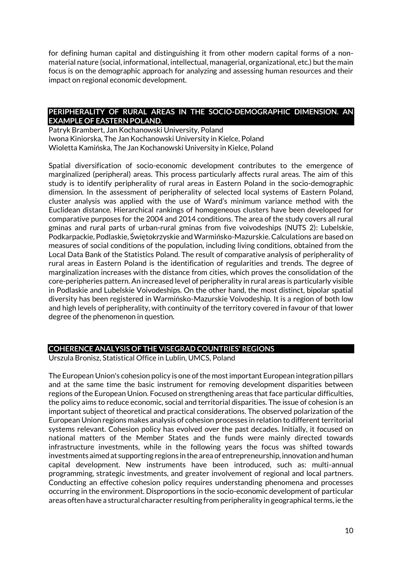for defining human capital and distinguishing it from other modern capital forms of a nonmaterial nature (social, informational, intellectual, managerial, organizational, etc.) but the main focus is on the demographic approach for analyzing and assessing human resources and their impact on regional economic development.

#### **PERIPHERALITY OF RURAL AREAS IN THE SOCIO-DEMOGRAPHIC DIMENSION. AN EXAMPLE OF EASTERN POLAND.**

Patryk Brambert, Jan Kochanowski University, Poland Iwona Kiniorska, The Jan Kochanowski University in Kielce, Poland Wioletta Kamińska, The Jan Kochanowski University in Kielce, Poland

Spatial diversification of socio-economic development contributes to the emergence of marginalized (peripheral) areas. This process particularly affects rural areas. The aim of this study is to identify peripherality of rural areas in Eastern Poland in the socio-demographic dimension. In the assessment of peripherality of selected local systems of Eastern Poland, cluster analysis was applied with the use of Ward's minimum variance method with the Euclidean distance. Hierarchical rankings of homogeneous clusters have been developed for comparative purposes for the 2004 and 2014 conditions. The area of the study covers all rural gminas and rural parts of urban-rural gminas from five voivodeships (NUTS 2): Lubelskie, Podkarpackie, Podlaskie, Świętokrzyskie and Warmińsko-Mazurskie. Calculations are based on measures of social conditions of the population, including living conditions, obtained from the Local Data Bank of the Statistics Poland. The result of comparative analysis of peripherality of rural areas in Eastern Poland is the identification of regularities and trends. The degree of marginalization increases with the distance from cities, which proves the consolidation of the core-peripheries pattern. An increased level of peripherality in rural areas is particularly visible in Podlaskie and Lubelskie Voivodeships. On the other hand, the most distinct, bipolar spatial diversity has been registered in Warmińsko-Mazurskie Voivodeship. It is a region of both low and high levels of peripherality, with continuity of the territory covered in favour of that lower degree of the phenomenon in question.

# **COHERENCE ANALYSIS OF THE VISEGRAD COUNTRIES' REGIONS**

Urszula Bronisz, Statistical Office in Lublin, UMCS, Poland

The European Union's cohesion policy is one of the most important European integration pillars and at the same time the basic instrument for removing development disparities between regions of the European Union. Focused on strengthening areas that face particular difficulties, the policy aims to reduce economic, social and territorial disparities. The issue of cohesion is an important subject of theoretical and practical considerations. The observed polarization of the European Union regions makes analysis of cohesion processes in relation to different territorial systems relevant. Cohesion policy has evolved over the past decades. Initially, it focused on national matters of the Member States and the funds were mainly directed towards infrastructure investments, while in the following years the focus was shifted towards investments aimed at supporting regions in the area of entrepreneurship, innovation and human capital development. New instruments have been introduced, such as: multi-annual programming, strategic investments, and greater involvement of regional and local partners. Conducting an effective cohesion policy requires understanding phenomena and processes occurring in the environment. Disproportions in the socio-economic development of particular areas often have a structural character resulting from peripherality in geographical terms, ie the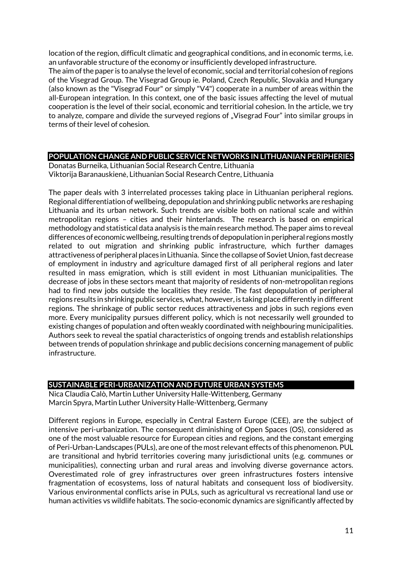location of the region, difficult climatic and geographical conditions, and in economic terms, i.e. an unfavorable structure of the economy or insufficiently developed infrastructure.

The aim of the paper is to analyse the level of economic, social and territorial cohesion of regions of the Visegrad Group. The Visegrad Group ie. Poland, Czech Republic, Slovakia and Hungary (also known as the "Visegrad Four" or simply "V4") cooperate in a number of areas within the all-European integration. In this context, one of the basic issues affecting the level of mutual cooperation is the level of their social, economic and territiorial cohesion. In the article, we try to analyze, compare and divide the surveyed regions of "Visegrad Four" into similar groups in terms of their level of cohesion.

# **POPULATION CHANGE AND PUBLIC SERVICE NETWORKS IN LITHUANIAN PERIPHERIES**

Donatas Burneika, Lithuanian Social Research Centre, Lithuania Viktorija Baranauskienė, Lithuanian Social Research Centre, Lithuania

The paper deals with 3 interrelated processes taking place in Lithuanian peripheral regions. Regional differentiation of wellbeing, depopulation and shrinking public networks are reshaping Lithuania and its urban network. Such trends are visible both on national scale and within metropolitan regions – cities and their hinterlands. The research is based on empirical methodology and statistical data analysis is the main research method. The paper aims to reveal differences of economic wellbeing, resulting trends of depopulation in peripheral regions mostly related to out migration and shrinking public infrastructure, which further damages attractiveness of peripheral places in Lithuania. Since the collapse of Soviet Union, fast decrease of employment in industry and agriculture damaged first of all peripheral regions and later resulted in mass emigration, which is still evident in most Lithuanian municipalities. The decrease of jobs in these sectors meant that majority of residents of non-metropolitan regions had to find new jobs outside the localities they reside. The fast depopulation of peripheral regions results in shrinking public services, what, however, is taking place differently in different regions. The shrinkage of public sector reduces attractiveness and jobs in such regions even more. Every municipality pursues different policy, which is not necessarily well grounded to existing changes of population and often weakly coordinated with neighbouring municipalities. Authors seek to reveal the spatial characteristics of ongoing trends and establish relationships between trends of population shrinkage and public decisions concerning management of public infrastructure.

# **SUSTAINABLE PERI-URBANIZATION AND FUTURE URBAN SYSTEMS**

Nica Claudia Calò, Martin Luther University Halle-Wittenberg, Germany Marcin Spyra, Martin Luther University Halle-Wittenberg, Germany

Different regions in Europe, especially in Central Eastern Europe (CEE), are the subject of intensive peri-urbanization. The consequent diminishing of Open Spaces (OS), considered as one of the most valuable resource for European cities and regions, and the constant emerging of Peri-Urban-Landscapes (PULs), are one of the most relevant effects of this phenomenon. PUL are transitional and hybrid territories covering many jurisdictional units (e.g. communes or municipalities), connecting urban and rural areas and involving diverse governance actors. Overestimated role of grey infrastructures over green infrastructures fosters intensive fragmentation of ecosystems, loss of natural habitats and consequent loss of biodiversity. Various environmental conflicts arise in PULs, such as agricultural vs recreational land use or human activities vs wildlife habitats. The socio-economic dynamics are significantly affected by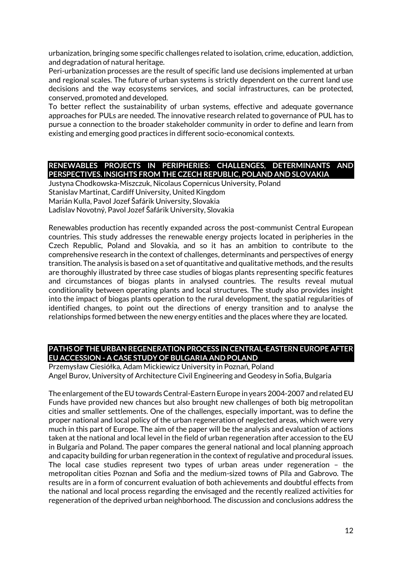urbanization, bringing some specific challenges related to isolation, crime, education, addiction, and degradation of natural heritage.

Peri-urbanization processes are the result of specific land use decisions implemented at urban and regional scales. The future of urban systems is strictly dependent on the current land use decisions and the way ecosystems services, and social infrastructures, can be protected, conserved, promoted and developed.

To better reflect the sustainability of urban systems, effective and adequate governance approaches for PULs are needed. The innovative research related to governance of PUL has to pursue a connection to the broader stakeholder community in order to define and learn from existing and emerging good practices in different socio-economical contexts.

# **RENEWABLES PROJECTS IN PERIPHERIES: CHALLENGES, DETERMINANTS AND PERSPECTIVES. INSIGHTS FROM THE CZECH REPUBLIC, POLAND AND SLOVAKIA**

Justyna Chodkowska-Miszczuk, Nicolaus Copernicus University, Poland Stanislav Martinat, Cardiff University, United Kingdom Marián Kulla, Pavol Jozef Šafárik University, Slovakia Ladislav Novotný, Pavol Jozef Šafárik University, Slovakia

Renewables production has recently expanded across the post-communist Central European countries. This study addresses the renewable energy projects located in peripheries in the Czech Republic, Poland and Slovakia, and so it has an ambition to contribute to the comprehensive research in the context of challenges, determinants and perspectives of energy transition. The analysis is based on a set of quantitative and qualitative methods, and the results are thoroughly illustrated by three case studies of biogas plants representing specific features and circumstances of biogas plants in analysed countries. The results reveal mutual conditionality between operating plants and local structures. The study also provides insight into the impact of biogas plants operation to the rural development, the spatial regularities of identified changes, to point out the directions of energy transition and to analyse the relationships formed between the new energy entities and the places where they are located.

#### **PATHS OF THE URBAN REGENERATION PROCESS IN CENTRAL-EASTERN EUROPE AFTER EU ACCESSION - A CASE STUDY OF BULGARIA AND POLAND**

Przemysław Ciesiółka, Adam Mickiewicz University in Poznań, Poland Angel Burov, University of Architecture Civil Engineering and Geodesy in Sofia, Bulgaria

The enlargement of the EU towards Central-Eastern Europe in years 2004-2007 and related EU Funds have provided new chances but also brought new challenges of both big metropolitan cities and smaller settlements. One of the challenges, especially important, was to define the proper national and local policy of the urban regeneration of neglected areas, which were very much in this part of Europe. The aim of the paper will be the analysis and evaluation of actions taken at the national and local level in the field of urban regeneration after accession to the EU in Bulgaria and Poland. The paper compares the general national and local planning approach and capacity building for urban regeneration in the context of regulative and procedural issues. The local case studies represent two types of urban areas under regeneration – the metropolitan cities Poznan and Sofia and the medium-sized towns of Pila and Gabrovo. The results are in a form of concurrent evaluation of both achievements and doubtful effects from the national and local process regarding the envisaged and the recently realized activities for regeneration of the deprived urban neighborhood. The discussion and conclusions address the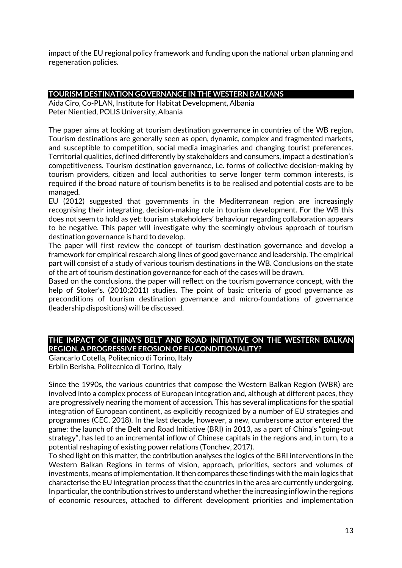impact of the EU regional policy framework and funding upon the national urban planning and regeneration policies.

#### **TOURISM DESTINATION GOVERNANCE IN THE WESTERN BALKANS**

Aida Ciro, Co-PLAN, Institute for Habitat Development, Albania Peter Nientied, POLIS University, Albania

The paper aims at looking at tourism destination governance in countries of the WB region. Tourism destinations are generally seen as open, dynamic, complex and fragmented markets, and susceptible to competition, social media imaginaries and changing tourist preferences. Territorial qualities, defined differently by stakeholders and consumers, impact a destination's competitiveness. Tourism destination governance, i.e. forms of collective decision-making by tourism providers, citizen and local authorities to serve longer term common interests, is required if the broad nature of tourism benefits is to be realised and potential costs are to be managed.

EU (2012) suggested that governments in the Mediterranean region are increasingly recognising their integrating, decision-making role in tourism development. For the WB this does not seem to hold as yet: tourism stakeholders' behaviour regarding collaboration appears to be negative. This paper will investigate why the seemingly obvious approach of tourism destination governance is hard to develop.

The paper will first review the concept of tourism destination governance and develop a framework for empirical research along lines of good governance and leadership. The empirical part will consist of a study of various tourism destinations in the WB. Conclusions on the state of the art of tourism destination governance for each of the cases will be drawn.

Based on the conclusions, the paper will reflect on the tourism governance concept, with the help of Stoker's. (2010;2011) studies. The point of basic criteria of good governance as preconditions of tourism destination governance and micro-foundations of governance (leadership dispositions) will be discussed.

#### **THE IMPACT OF CHINA'S BELT AND ROAD INITIATIVE ON THE WESTERN BALKAN REGION. A PROGRESSIVE EROSION OF EU CONDITIONALITY?**

Giancarlo Cotella, Politecnico di Torino, Italy Erblin Berisha, Politecnico di Torino, Italy

Since the 1990s, the various countries that compose the Western Balkan Region (WBR) are involved into a complex process of European integration and, although at different paces, they are progressively nearing the moment of accession. This has several implications for the spatial integration of European continent, as explicitly recognized by a number of EU strategies and programmes (CEC, 2018). In the last decade, however, a new, cumbersome actor entered the game: the launch of the Belt and Road Initiative (BRI) in 2013, as a part of China's "going-out strategy", has led to an incremental inflow of Chinese capitals in the regions and, in turn, to a potential reshaping of existing power relations (Tonchev, 2017).

To shed light on this matter, the contribution analyses the logics of the BRI interventions in the Western Balkan Regions in terms of vision, approach, priorities, sectors and volumes of investments, means of implementation. It then compares these findings with the main logics that characterise the EU integration process that the countries in the area are currently undergoing. In particular, the contribution strives to understand whether the increasing inflow in the regions of economic resources, attached to different development priorities and implementation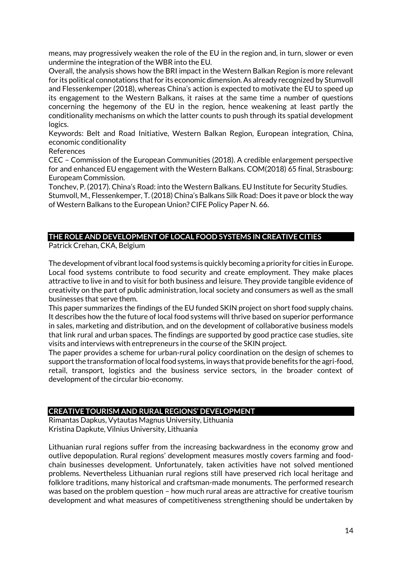means, may progressively weaken the role of the EU in the region and, in turn, slower or even undermine the integration of the WBR into the EU.

Overall, the analysis shows how the BRI impact in the Western Balkan Region is more relevant for its political connotations that for its economic dimension. As already recognized by Stumvoll and Flessenkemper (2018), whereas China's action is expected to motivate the EU to speed up its engagement to the Western Balkans, it raises at the same time a number of questions concerning the hegemony of the EU in the region, hence weakening at least partly the conditionality mechanisms on which the latter counts to push through its spatial development logics.

Keywords: Belt and Road Initiative, Western Balkan Region, European integration, China, economic conditionality

References

CEC – Commission of the European Communities (2018). A credible enlargement perspective for and enhanced EU engagement with the Western Balkans. COM(2018) 65 final, Strasbourg: Europeam Commission.

Tonchev, P. (2017). China's Road: into the Western Balkans. EU Institute for Security Studies. Stumvoll, M., Flessenkemper, T. (2018) China's Balkans Silk Road: Does it pave or block the way of Western Balkans to the European Union? CIFE Policy Paper N. 66.

#### **THE ROLE AND DEVELOPMENT OF LOCAL FOOD SYSTEMS IN CREATIVE CITIES**

Patrick Crehan, CKA, Belgium

The development of vibrant local food systems is quickly becoming a priority for cities in Europe. Local food systems contribute to food security and create employment. They make places attractive to live in and to visit for both business and leisure. They provide tangible evidence of creativity on the part of public administration, local society and consumers as well as the small businesses that serve them.

This paper summarizes the findings of the EU funded SKIN project on short food supply chains. It describes how the the future of local food systems will thrive based on superior performance in sales, marketing and distribution, and on the development of collaborative business models that link rural and urban spaces. The findings are supported by good practice case studies, site visits and interviews with entrepreneurs in the course of the SKIN project.

The paper provides a scheme for urban-rural policy coordination on the design of schemes to support the transformation of local food systems, in ways that provide benefits for the agri-food, retail, transport, logistics and the business service sectors, in the broader context of development of the circular bio-economy.

# **CREATIVE TOURISM AND RURAL REGIONS' DEVELOPMENT**

Rimantas Dapkus, Vytautas Magnus University, Lithuania Kristina Dapkute, Vilnius University, Lithuania

Lithuanian rural regions suffer from the increasing backwardness in the economy grow and outlive depopulation. Rural regions' development measures mostly covers farming and foodchain businesses development. Unfortunately, taken activities have not solved mentioned problems. Nevertheless Lithuanian rural regions still have preserved rich local heritage and folklore traditions, many historical and craftsman-made monuments. The performed research was based on the problem question – how much rural areas are attractive for creative tourism development and what measures of competitiveness strengthening should be undertaken by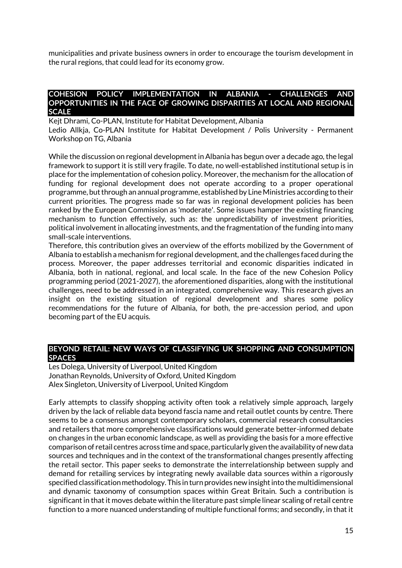municipalities and private business owners in order to encourage the tourism development in the rural regions, that could lead for its economy grow.

#### **COHESION POLICY IMPLEMENTATION IN ALBANIA - CHALLENGES AND OPPORTUNITIES IN THE FACE OF GROWING DISPARITIES AT LOCAL AND REGIONAL SCALE**

Kejt Dhrami, Co-PLAN, Institute for Habitat Development, Albania Ledio Allkja, Co-PLAN Institute for Habitat Development / Polis University - Permanent Workshop on TG, Albania

While the discussion on regional development in Albania has begun over a decade ago, the legal framework to support it is still very fragile. To date, no well-established institutional setup is in place for the implementation of cohesion policy. Moreover, the mechanism for the allocation of funding for regional development does not operate according to a proper operational programme, but through an annual programme, established by Line Ministries according to their current priorities. The progress made so far was in regional development policies has been ranked by the European Commission as 'moderate'. Some issues hamper the existing financing mechanism to function effectively, such as: the unpredictability of investment priorities, political involvement in allocating investments, and the fragmentation of the funding into many small-scale interventions.

Therefore, this contribution gives an overview of the efforts mobilized by the Government of Albania to establish a mechanism for regional development, and the challenges faced during the process. Moreover, the paper addresses territorial and economic disparities indicated in Albania, both in national, regional, and local scale. In the face of the new Cohesion Policy programming period (2021-2027), the aforementioned disparities, along with the institutional challenges, need to be addressed in an integrated, comprehensive way. This research gives an insight on the existing situation of regional development and shares some policy recommendations for the future of Albania, for both, the pre-accession period, and upon becoming part of the EU acquis.

#### **BEYOND RETAIL: NEW WAYS OF CLASSIFYING UK SHOPPING AND CONSUMPTION SPACES**

Les Dolega, University of Liverpool, United Kingdom Jonathan Reynolds, University of Oxford, United Kingdom Alex Singleton, University of Liverpool, United Kingdom

Early attempts to classify shopping activity often took a relatively simple approach, largely driven by the lack of reliable data beyond fascia name and retail outlet counts by centre. There seems to be a consensus amongst contemporary scholars, commercial research consultancies and retailers that more comprehensive classifications would generate better-informed debate on changes in the urban economic landscape, as well as providing the basis for a more effective comparison of retail centres across time and space, particularly given the availability of new data sources and techniques and in the context of the transformational changes presently affecting the retail sector. This paper seeks to demonstrate the interrelationship between supply and demand for retailing services by integrating newly available data sources within a rigorously specified classification methodology. This in turn provides new insight into the multidimensional and dynamic taxonomy of consumption spaces within Great Britain. Such a contribution is significant in that it moves debate within the literature past simple linear scaling of retail centre function to a more nuanced understanding of multiple functional forms; and secondly, in that it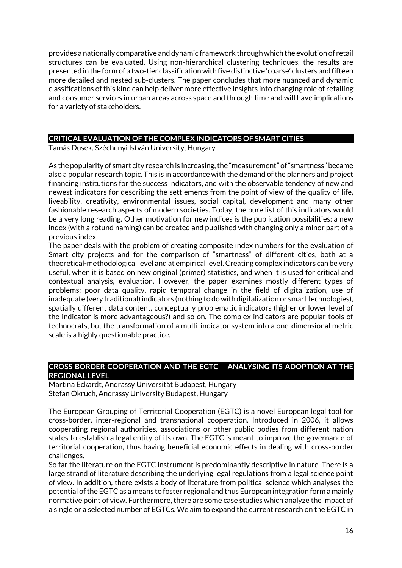provides a nationally comparative and dynamic framework through which the evolution of retail structures can be evaluated. Using non-hierarchical clustering techniques, the results are presented in the form of a two-tier classification with five distinctive 'coarse' clusters and fifteen more detailed and nested sub-clusters. The paper concludes that more nuanced and dynamic classifications of this kind can help deliver more effective insights into changing role of retailing and consumer services in urban areas across space and through time and will have implications for a variety of stakeholders.

### **CRITICAL EVALUATION OF THE COMPLEX INDICATORS OF SMART CITIES**

Tamás Dusek, Széchenyi István University, Hungary

As the popularity of smart city research is increasing, the "measurement" of "smartness" became also a popular research topic. This is in accordance with the demand of the planners and project financing institutions for the success indicators, and with the observable tendency of new and newest indicators for describing the settlements from the point of view of the quality of life, liveability, creativity, environmental issues, social capital, development and many other fashionable research aspects of modern societies. Today, the pure list of this indicators would be a very long reading. Other motivation for new indices is the publication possibilities: a new index (with a rotund naming) can be created and published with changing only a minor part of a previous index.

The paper deals with the problem of creating composite index numbers for the evaluation of Smart city projects and for the comparison of "smartness" of different cities, both at a theoretical-methodological level and at empirical level. Creating complex indicators can be very useful, when it is based on new original (primer) statistics, and when it is used for critical and contextual analysis, evaluation. However, the paper examines mostly different types of problems: poor data quality, rapid temporal change in the field of digitalization, use of inadequate (very traditional) indicators (nothing to do with digitalization or smart technologies), spatially different data content, conceptually problematic indicators (higher or lower level of the indicator is more advantageous?) and so on. The complex indicators are popular tools of technocrats, but the transformation of a multi-indicator system into a one-dimensional metric scale is a highly questionable practice.

#### **CROSS BORDER COOPERATION AND THE EGTC – ANALYSING ITS ADOPTION AT THE REGIONAL LEVEL**

Martina Eckardt, Andrassy Universität Budapest, Hungary Stefan Okruch, Andrassy University Budapest, Hungary

The European Grouping of Territorial Cooperation (EGTC) is a novel European legal tool for cross-border, inter-regional and transnational cooperation. Introduced in 2006, it allows cooperating regional authorities, associations or other public bodies from different nation states to establish a legal entity of its own. The EGTC is meant to improve the governance of territorial cooperation, thus having beneficial economic effects in dealing with cross-border challenges.

So far the literature on the EGTC instrument is predominantly descriptive in nature. There is a large strand of literature describing the underlying legal regulations from a legal science point of view. In addition, there exists a body of literature from political science which analyses the potential of the EGTC as a means to foster regional and thus European integration form a mainly normative point of view. Furthermore, there are some case studies which analyze the impact of a single or a selected number of EGTCs. We aim to expand the current research on the EGTC in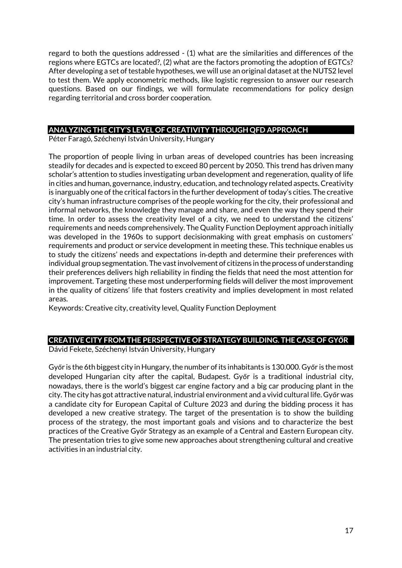regard to both the questions addressed - (1) what are the similarities and differences of the regions where EGTCs are located?, (2) what are the factors promoting the adoption of EGTCs? After developing a set of testable hypotheses, we will use an original dataset at the NUTS2 level to test them. We apply econometric methods, like logistic regression to answer our research questions. Based on our findings, we will formulate recommendations for policy design regarding territorial and cross border cooperation.

#### **ANALYZING THE CITY'S LEVEL OF CREATIVITY THROUGH QFD APPROACH**

Péter Faragó, Széchenyi István University, Hungary

The proportion of people living in urban areas of developed countries has been increasing steadily for decades and is expected to exceed 80 percent by 2050. This trend has driven many scholar's attention to studies investigating urban development and regeneration, quality of life in cities and human, governance, industry, education, and technology related aspects. Creativity is inarguably one of the critical factors in the further development of today's cities. The creative city's human infrastructure comprises of the people working for the city, their professional and informal networks, the knowledge they manage and share, and even the way they spend their time. In order to assess the creativity level of a city, we need to understand the citizens' requirements and needs comprehensively. The Quality Function Deployment approach initially was developed in the 1960s to support decisionmaking with great emphasis on customers' requirements and product or service development in meeting these. This technique enables us to study the citizens' needs and expectations in‐depth and determine their preferences with individual group segmentation. The vast involvement of citizens in the process of understanding their preferences delivers high reliability in finding the fields that need the most attention for improvement. Targeting these most underperforming fields will deliver the most improvement in the quality of citizens' life that fosters creativity and implies development in most related areas.

Keywords: Creative city, creativity level, Quality Function Deployment

# **CREATIVE CITY FROM THE PERSPECTIVE OF STRATEGY BUILDING. THE CASE OF GYŐR**

Dávid Fekete, Széchenyi István University, Hungary

Győr is the 6th biggest city in Hungary, the number of its inhabitants is 130.000. Győr is the most developed Hungarian city after the capital, Budapest. Győr is a traditional industrial city, nowadays, there is the world's biggest car engine factory and a big car producing plant in the city. The city has got attractive natural, industrial environment and a vivid cultural life. Győr was a candidate city for European Capital of Culture 2023 and during the bidding process it has developed a new creative strategy. The target of the presentation is to show the building process of the strategy, the most important goals and visions and to characterize the best practices of the Creative Győr Strategy as an example of a Central and Eastern European city. The presentation tries to give some new approaches about strengthening cultural and creative activities in an industrial city.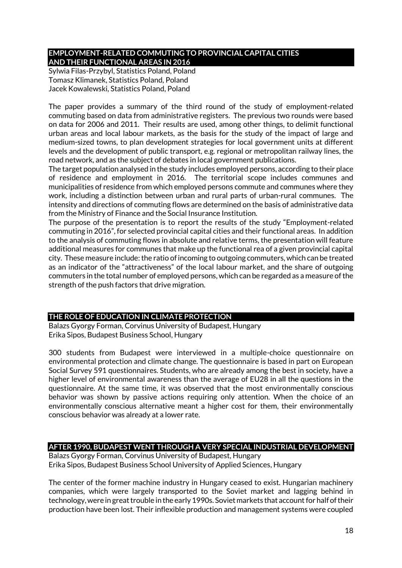# **EMPLOYMENT-RELATED COMMUTING TO PROVINCIAL CAPITAL CITIES AND THEIR FUNCTIONAL AREAS IN 2016**

Sylwia Filas-Przybyl, Statistics Poland, Poland Tomasz Klimanek, Statistics Poland, Poland Jacek Kowalewski, Statistics Poland, Poland

The paper provides a summary of the third round of the study of employment-related commuting based on data from administrative registers. The previous two rounds were based on data for 2006 and 2011. Their results are used, among other things, to delimit functional urban areas and local labour markets, as the basis for the study of the impact of large and medium-sized towns, to plan development strategies for local government units at different levels and the development of public transport, e.g. regional or metropolitan railway lines, the road network, and as the subject of debates in local government publications.

The target population analysed in the study includes employed persons, according to their place of residence and employment in 2016. The territorial scope includes communes and municipalities of residence from which employed persons commute and communes where they work, including a distinction between urban and rural parts of urban-rural communes. The intensity and directions of commuting flows are determined on the basis of administrative data from the Ministry of Finance and the Social Insurance Institution.

The purpose of the presentation is to report the results of the study "Employment-related commuting in 2016", for selected provincial capital cities and their functional areas. In addition to the analysis of commuting flows in absolute and relative terms, the presentation will feature additional measures for communes that make up the functional rea of a given provincial capital city. These measure include: the ratio of incoming to outgoing commuters, which can be treated as an indicator of the "attractiveness" of the local labour market, and the share of outgoing commuters in the total number of employed persons, which can be regarded as a measure of the strength of the push factors that drive migration.

# **THE ROLE OF EDUCATION IN CLIMATE PROTECTION**

Balazs Gyorgy Forman, Corvinus University of Budapest, Hungary Erika Sipos, Budapest Business School, Hungary

300 students from Budapest were interviewed in a multiple-choice questionnaire on environmental protection and climate change. The questionnaire is based in part on European Social Survey 591 questionnaires. Students, who are already among the best in society, have a higher level of environmental awareness than the average of EU28 in all the questions in the questionnaire. At the same time, it was observed that the most environmentally conscious behavior was shown by passive actions requiring only attention. When the choice of an environmentally conscious alternative meant a higher cost for them, their environmentally conscious behavior was already at a lower rate.

# **AFTER 1990, BUDAPEST WENT THROUGH A VERY SPECIAL INDUSTRIAL DEVELOPMENT**

Balazs Gyorgy Forman, Corvinus University of Budapest, Hungary Erika Sipos, Budapest Business School University of Applied Sciences, Hungary

The center of the former machine industry in Hungary ceased to exist. Hungarian machinery companies, which were largely transported to the Soviet market and lagging behind in technology, were in great trouble in the early 1990s. Soviet markets that accountfor half of their production have been lost. Their inflexible production and management systems were coupled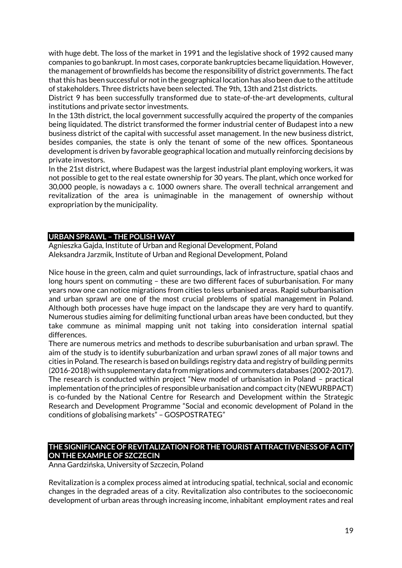with huge debt. The loss of the market in 1991 and the legislative shock of 1992 caused many companies to go bankrupt. In most cases, corporate bankruptcies became liquidation. However, the management of brownfields has become the responsibility of district governments. The fact that this has been successful or not in the geographical location has also been due to the attitude of stakeholders. Three districts have been selected. The 9th, 13th and 21st districts.

District 9 has been successfully transformed due to state-of-the-art developments, cultural institutions and private sector investments.

In the 13th district, the local government successfully acquired the property of the companies being liquidated. The district transformed the former industrial center of Budapest into a new business district of the capital with successful asset management. In the new business district, besides companies, the state is only the tenant of some of the new offices. Spontaneous development is driven by favorable geographical location and mutually reinforcing decisions by private investors.

In the 21st district, where Budapest was the largest industrial plant employing workers, it was not possible to get to the real estate ownership for 30 years. The plant, which once worked for 30,000 people, is nowadays a c. 1000 owners share. The overall technical arrangement and revitalization of the area is unimaginable in the management of ownership without expropriation by the municipality.

#### **URBAN SPRAWL – THE POLISH WAY**

Agnieszka Gajda, Institute of Urban and Regional Development, Poland Aleksandra Jarzmik, Institute of Urban and Regional Development, Poland

Nice house in the green, calm and quiet surroundings, lack of infrastructure, spatial chaos and long hours spent on commuting – these are two different faces of suburbanisation. For many years now one can notice migrations from cities to less urbanised areas. Rapid suburbanisation and urban sprawl are one of the most crucial problems of spatial management in Poland. Although both processes have huge impact on the landscape they are very hard to quantify. Numerous studies aiming for delimiting functional urban areas have been conducted, but they take commune as minimal mapping unit not taking into consideration internal spatial differences.

There are numerous metrics and methods to describe suburbanisation and urban sprawl. The aim of the study is to identify suburbanization and urban sprawl zones of all major towns and cities in Poland. The research is based on buildings registry data and registry of building permits (2016-2018) with supplementary data from migrations and commuters databases (2002-2017). The research is conducted within project "New model of urbanisation in Poland – practical implementation of the principles of responsible urbanisation and compact city (NEWURBPACT) is co-funded by the National Centre for Research and Development within the Strategic Research and Development Programme "Social and economic development of Poland in the conditions of globalising markets" – GOSPOSTRATEG"

#### **THE SIGNIFICANCE OF REVITALIZATION FOR THE TOURIST ATTRACTIVENESS OF A CITY ON THE EXAMPLE OF SZCZECIN**

Anna Gardzińska, University of Szczecin, Poland

Revitalization is a complex process aimed at introducing spatial, technical, social and economic changes in the degraded areas of a city. Revitalization also contributes to the socioeconomic development of urban areas through increasing income, inhabitant employment rates and real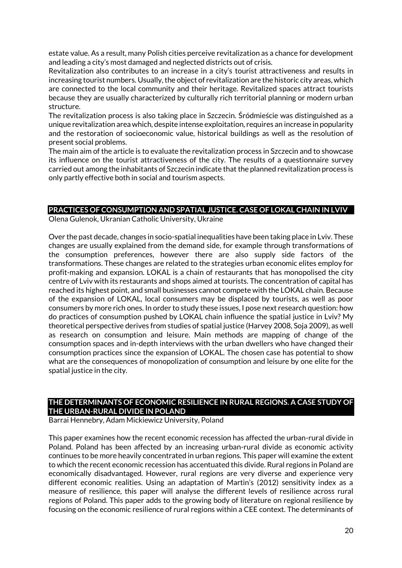estate value. As a result, many Polish cities perceive revitalization as a chance for development and leading a city's most damaged and neglected districts out of crisis.

Revitalization also contributes to an increase in a city's tourist attractiveness and results in increasing tourist numbers. Usually, the object of revitalization are the historic city areas, which are connected to the local community and their heritage. Revitalized spaces attract tourists because they are usually characterized by culturally rich territorial planning or modern urban structure.

The revitalization process is also taking place in Szczecin. Śródmieście was distinguished as a unique revitalization area which, despite intense exploitation, requires an increase in popularity and the restoration of socioeconomic value, historical buildings as well as the resolution of present social problems.

The main aim of the article is to evaluate the revitalization process in Szczecin and to showcase its influence on the tourist attractiveness of the city. The results of a questionnaire survey carried out among the inhabitants of Szczecin indicate that the planned revitalization process is only partly effective both in social and tourism aspects.

# **PRACTICES OF CONSUMPTION AND SPATIAL JUSTICE. CASE OF LOKAL CHAIN IN LVIV**

Olena Gulenok, Ukranian Catholic University, Ukraine

Over the past decade, changes in socio-spatial inequalities have been taking place in Lviv. These changes are usually explained from the demand side, for example through transformations of the consumption preferences, however there are also supply side factors of the transformations. These changes are related to the strategies urban economic elites employ for profit-making and expansion. LOKAL is a chain of restaurants that has monopolised the city centre of Lviv with its restaurants and shops aimed at tourists. The concentration of capital has reached its highest point, and small businesses cannot compete with the LOKAL chain. Because of the expansion of LOKAL, local consumers may be displaced by tourists, as well as poor consumers by more rich ones. In order to study these issues, I pose next research question: how do practices of consumption pushed by LOKAL chain influence the spatial justice in Lviv? My theoretical perspective derives from studies of spatial justice (Harvey 2008, Soja 2009), as well as research on consumption and leisure. Main methods are mapping of change of the consumption spaces and in-depth interviews with the urban dwellers who have changed their consumption practices since the expansion of LOKAL. The chosen case has potential to show what are the consequences of monopolization of consumption and leisure by one elite for the spatial justice in the city.

# **THE DETERMINANTS OF ECONOMIC RESILIENCE IN RURAL REGIONS. A CASE STUDY OF THE URBAN-RURAL DIVIDE IN POLAND**

Barrai Hennebry, Adam Mickiewicz University, Poland

This paper examines how the recent economic recession has affected the urban-rural divide in Poland. Poland has been affected by an increasing urban-rural divide as economic activity continues to be more heavily concentrated in urban regions. This paper will examine the extent to which the recent economic recession has accentuated this divide. Rural regions in Poland are economically disadvantaged. However, rural regions are very diverse and experience very different economic realities. Using an adaptation of Martin's (2012) sensitivity index as a measure of resilience, this paper will analyse the different levels of resilience across rural regions of Poland. This paper adds to the growing body of literature on regional resilience by focusing on the economic resilience of rural regions within a CEE context. The determinants of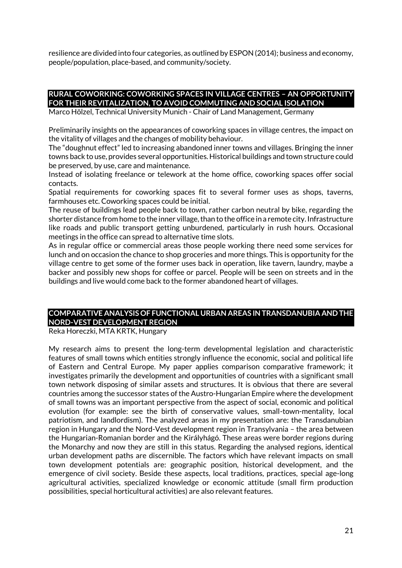resilience are divided into four categories, as outlined by ESPON (2014); business and economy, people/population, place-based, and community/society.

#### **RURAL COWORKING: COWORKING SPACES IN VILLAGE CENTRES – AN OPPORTUNITY FOR THEIR REVITALIZATION, TO AVOID COMMUTING AND SOCIAL ISOLATION**

Marco Hölzel, Technical University Munich - Chair of Land Management, Germany

Preliminarily insights on the appearances of coworking spaces in village centres, the impact on the vitality of villages and the changes of mobility behaviour.

The "doughnut effect" led to increasing abandoned inner towns and villages. Bringing the inner towns back to use, provides several opportunities. Historical buildings and town structure could be preserved, by use, care and maintenance.

Instead of isolating freelance or telework at the home office, coworking spaces offer social contacts.

Spatial requirements for coworking spaces fit to several former uses as shops, taverns, farmhouses etc. Coworking spaces could be initial.

The reuse of buildings lead people back to town, rather carbon neutral by bike, regarding the shorter distance from home to the inner village, than to the office in a remote city. Infrastructure like roads and public transport getting unburdened, particularly in rush hours. Occasional meetings in the office can spread to alternative time slots.

As in regular office or commercial areas those people working there need some services for lunch and on occasion the chance to shop groceries and more things. This is opportunity for the village centre to get some of the former uses back in operation, like tavern, laundry, maybe a backer and possibly new shops for coffee or parcel. People will be seen on streets and in the buildings and live would come back to the former abandoned heart of villages.

# **COMPARATIVE ANALYSIS OF FUNCTIONAL URBAN AREAS IN TRANSDANUBIA AND THE NORD-VEST DEVELOPMENT REGION**

Reka Horeczki, MTA KRTK, Hungary

My research aims to present the long-term developmental legislation and characteristic features of small towns which entities strongly influence the economic, social and political life of Eastern and Central Europe. My paper applies comparison comparative framework; it investigates primarily the development and opportunities of countries with a significant small town network disposing of similar assets and structures. It is obvious that there are several countries among the successor states of the Austro-Hungarian Empire where the development of small towns was an important perspective from the aspect of social, economic and political evolution (for example: see the birth of conservative values, small-town-mentality, local patriotism, and landlordism). The analyzed areas in my presentation are: the Transdanubian region in Hungary and the Nord-Vest development region in Transylvania – the area between the Hungarian-Romanian border and the Királyhágó. These areas were border regions during the Monarchy and now they are still in this status. Regarding the analysed regions, identical urban development paths are discernible. The factors which have relevant impacts on small town development potentials are: geographic position, historical development, and the emergence of civil society. Beside these aspects, local traditions, practices, special age-long agricultural activities, specialized knowledge or economic attitude (small firm production possibilities, special horticultural activities) are also relevant features.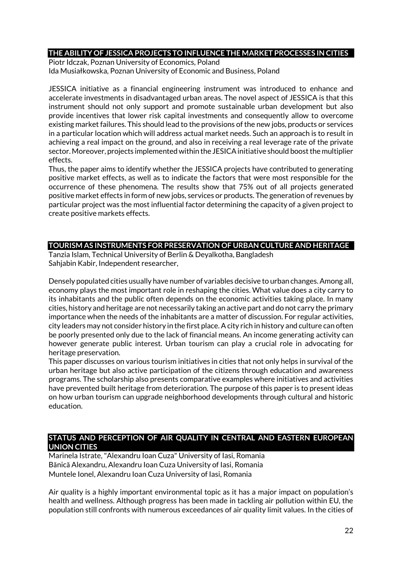#### **THE ABILITY OF JESSICA PROJECTS TO INFLUENCE THE MARKET PROCESSES IN CITIES**

Piotr Idczak, Poznan University of Economics, Poland Ida Musiałkowska, Poznan University of Economic and Business, Poland

JESSICA initiative as a financial engineering instrument was introduced to enhance and accelerate investments in disadvantaged urban areas. The novel aspect of JESSICA is that this instrument should not only support and promote sustainable urban development but also provide incentives that lower risk capital investments and consequently allow to overcome existing market failures. This should lead to the provisions of the new jobs, products or services in a particular location which will address actual market needs. Such an approach is to result in achieving a real impact on the ground, and also in receiving a real leverage rate of the private sector. Moreover, projects implemented within the JESICA initiative should boost the multiplier effects.

Thus, the paper aims to identify whether the JESSICA projects have contributed to generating positive market effects, as well as to indicate the factors that were most responsible for the occurrence of these phenomena. The results show that 75% out of all projects generated positive market effects in form of new jobs, services or products. The generation of revenues by particular project was the most influential factor determining the capacity of a given project to create positive markets effects.

# **TOURISM AS INSTRUMENTS FOR PRESERVATION OF URBAN CULTURE AND HERITAGE**

Tanzia Islam, Technical University of Berlin & Deyalkotha, Bangladesh Sahjabin Kabir, Independent researcher,

Densely populated cities usually have number of variables decisive to urban changes. Among all, economy plays the most important role in reshaping the cities. What value does a city carry to its inhabitants and the public often depends on the economic activities taking place. In many cities, history and heritage are not necessarily taking an active part and do not carry the primary importance when the needs of the inhabitants are a matter of discussion. For regular activities, city leaders may not consider history in the first place. A city rich in history and culture can often be poorly presented only due to the lack of financial means. An income generating activity can however generate public interest. Urban tourism can play a crucial role in advocating for heritage preservation.

This paper discusses on various tourism initiatives in cities that not only helps in survival of the urban heritage but also active participation of the citizens through education and awareness programs. The scholarship also presents comparative examples where initiatives and activities have prevented built heritage from deterioration. The purpose of this paper is to present ideas on how urban tourism can upgrade neighborhood developments through cultural and historic education.

#### **STATUS AND PERCEPTION OF AIR QUALITY IN CENTRAL AND EASTERN EUROPEAN UNION CITIES**

Marinela Istrate, "Alexandru Ioan Cuza" University of Iasi, Romania Bănică Alexandru, Alexandru Ioan Cuza University of Iasi, Romania Muntele Ionel, Alexandru Ioan Cuza University of Iasi, Romania

Air quality is a highly important environmental topic as it has a major impact on population's health and wellness. Although progress has been made in tackling air pollution within EU, the population still confronts with numerous exceedances of air quality limit values. In the cities of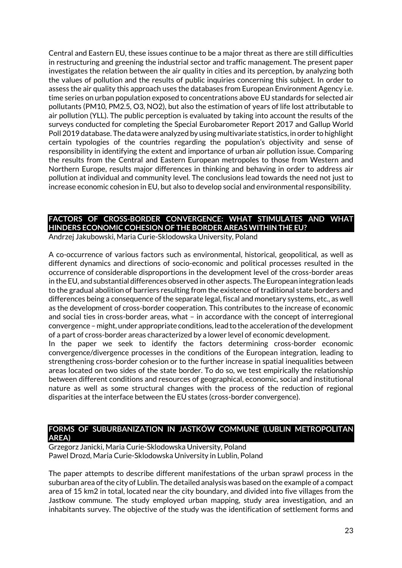Central and Eastern EU, these issues continue to be a major threat as there are still difficulties in restructuring and greening the industrial sector and traffic management. The present paper investigates the relation between the air quality in cities and its perception, by analyzing both the values of pollution and the results of public inquiries concerning this subject. In order to assess the air quality this approach uses the databases from European Environment Agency i.e. time series on urban population exposed to concentrations above EU standards for selected air pollutants (PM10, PM2.5, O3, NO2), but also the estimation of years of life lost attributable to air pollution (YLL). The public perception is evaluated by taking into account the results of the surveys conducted for completing the Special Eurobarometer Report 2017 and Gallup World Poll 2019 database. The data were analyzed by using multivariate statistics, in order to highlight certain typologies of the countries regarding the population's objectivity and sense of responsibility in identifying the extent and importance of urban air pollution issue. Comparing the results from the Central and Eastern European metropoles to those from Western and Northern Europe, results major differences in thinking and behaving in order to address air pollution at individual and community level. The conclusions lead towards the need not just to increase economic cohesion in EU, but also to develop social and environmental responsibility.

# **FACTORS OF CROSS-BORDER CONVERGENCE: WHAT STIMULATES AND WHAT HINDERS ECONOMIC COHESION OF THE BORDER AREAS WITHIN THE EU?**

Andrzej Jakubowski, Maria Curie-Sklodowska University, Poland

A co-occurrence of various factors such as environmental, historical, geopolitical, as well as different dynamics and directions of socio-economic and political processes resulted in the occurrence of considerable disproportions in the development level of the cross-border areas in the EU, and substantial differences observed in other aspects. The European integration leads to the gradual abolition of barriers resulting from the existence of traditional state borders and differences being a consequence of the separate legal, fiscal and monetary systems, etc., as well as the development of cross-border cooperation. This contributes to the increase of economic and social ties in cross-border areas, what – in accordance with the concept of interregional convergence – might, under appropriate conditions, lead to the acceleration of the development of a part of cross-border areas characterized by a lower level of economic development.

In the paper we seek to identify the factors determining cross-border economic convergence/divergence processes in the conditions of the European integration, leading to strengthening cross-border cohesion or to the further increase in spatial inequalities between areas located on two sides of the state border. To do so, we test empirically the relationship between different conditions and resources of geographical, economic, social and institutional nature as well as some structural changes with the process of the reduction of regional disparities at the interface between the EU states (cross-border convergence).

#### **FORMS OF SUBURBANIZATION IN JASTKÓW COMMUNE (LUBLIN METROPOLITAN AREA)**

Grzegorz Janicki, Maria Curie-Sklodowska University, Poland Pawel Drozd, Maria Curie-Sklodowska University in Lublin, Poland

The paper attempts to describe different manifestations of the urban sprawl process in the suburban area of the city of Lublin. The detailed analysis was based on the example of a compact area of 15 km2 in total, located near the city boundary, and divided into five villages from the Jastkow commune. The study employed urban mapping, study area investigation, and an inhabitants survey. The objective of the study was the identification of settlement forms and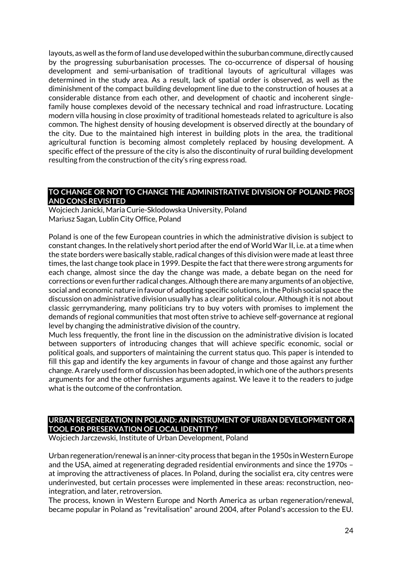layouts, as well as the form of land use developed within the suburban commune, directly caused by the progressing suburbanisation processes. The co-occurrence of dispersal of housing development and semi-urbanisation of traditional layouts of agricultural villages was determined in the study area. As a result, lack of spatial order is observed, as well as the diminishment of the compact building development line due to the construction of houses at a considerable distance from each other, and development of chaotic and incoherent singlefamily house complexes devoid of the necessary technical and road infrastructure. Locating modern villa housing in close proximity of traditional homesteads related to agriculture is also common. The highest density of housing development is observed directly at the boundary of the city. Due to the maintained high interest in building plots in the area, the traditional agricultural function is becoming almost completely replaced by housing development. A specific effect of the pressure of the city is also the discontinuity of rural building development resulting from the construction of the city's ring express road.

### **TO CHANGE OR NOT TO CHANGE THE ADMINISTRATIVE DIVISION OF POLAND: PROS AND CONS REVISITED**

Wojciech Janicki, Maria Curie-Sklodowska University, Poland Mariusz Sagan, Lublin City Office, Poland

Poland is one of the few European countries in which the administrative division is subject to constant changes. In the relatively short period after the end of World War II, i.e. at a time when the state borders were basically stable, radical changes of this division were made at least three times, the last change took place in 1999. Despite the fact that there were strong arguments for each change, almost since the day the change was made, a debate began on the need for corrections or even further radical changes. Although there are many arguments of an objective, social and economic nature in favour of adopting specific solutions, in the Polish social space the discussion on administrative division usually has a clear political colour. Although it is not about classic gerrymandering, many politicians try to buy voters with promises to implement the demands of regional communities that most often strive to achieve self-governance at regional level by changing the administrative division of the country.

Much less frequently, the front line in the discussion on the administrative division is located between supporters of introducing changes that will achieve specific economic, social or political goals, and supporters of maintaining the current status quo. This paper is intended to fill this gap and identify the key arguments in favour of change and those against any further change. A rarely used form of discussion has been adopted, in which one of the authors presents arguments for and the other furnishes arguments against. We leave it to the readers to judge what is the outcome of the confrontation.

## **URBAN REGENERATION IN POLAND: AN INSTRUMENT OF URBAN DEVELOPMENT OR A TOOL FOR PRESERVATION OF LOCAL IDENTITY?**

Wojciech Jarczewski, Institute of Urban Development, Poland

Urban regeneration/renewal is an inner-city process that began in the 1950s in Western Europe and the USA, aimed at regenerating degraded residential environments and since the 1970s – at improving the attractiveness of places. In Poland, during the socialist era, city centres were underinvested, but certain processes were implemented in these areas: reconstruction, neointegration, and later, retroversion.

The process, known in Western Europe and North America as urban regeneration/renewal, became popular in Poland as "revitalisation" around 2004, after Poland's accession to the EU.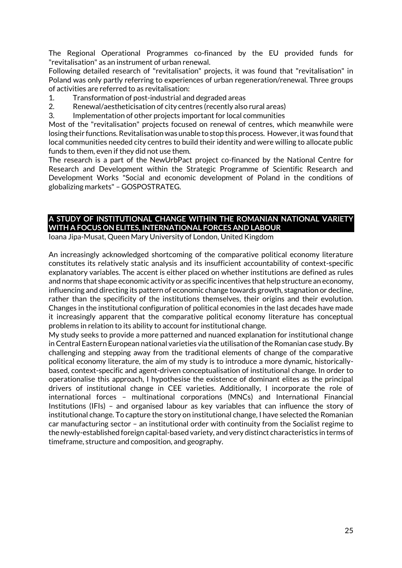The Regional Operational Programmes co-financed by the EU provided funds for "revitalisation" as an instrument of urban renewal.

Following detailed research of "revitalisation" projects, it was found that "revitalisation" in Poland was only partly referring to experiences of urban regeneration/renewal. Three groups of activities are referred to as revitalisation:

- 1. Transformation of post-industrial and degraded areas
- 2. Renewal/aestheticisation of city centres (recently also rural areas)
- 3. Implementation of other projects important for local communities

Most of the "revitalisation" projects focused on renewal of centres, which meanwhile were losing their functions. Revitalisation was unable to stop this process. However, it was found that local communities needed city centres to build their identity and were willing to allocate public funds to them, even if they did not use them.

The research is a part of the NewUrbPact project co-financed by the National Centre for Research and Development within the Strategic Programme of Scientific Research and Development Works "Social and economic development of Poland in the conditions of globalizing markets" – GOSPOSTRATEG.

# **A STUDY OF INSTITUTIONAL CHANGE WITHIN THE ROMANIAN NATIONAL VARIETY WITH A FOCUS ON ELITES, INTERNATIONAL FORCES AND LABOUR**

Ioana Jipa-Musat, Queen Mary University of London, United Kingdom

An increasingly acknowledged shortcoming of the comparative political economy literature constitutes its relatively static analysis and its insufficient accountability of context-specific explanatory variables. The accent is either placed on whether institutions are defined as rules and norms that shape economic activity or as specific incentives that help structure an economy, influencing and directing its pattern of economic change towards growth, stagnation or decline, rather than the specificity of the institutions themselves, their origins and their evolution. Changes in the institutional configuration of political economies in the last decades have made it increasingly apparent that the comparative political economy literature has conceptual problems in relation to its ability to account for institutional change.

My study seeks to provide a more patterned and nuanced explanation for institutional change in Central Eastern European national varieties via the utilisation of the Romanian case study. By challenging and stepping away from the traditional elements of change of the comparative political economy literature, the aim of my study is to introduce a more dynamic, historicallybased, context-specific and agent-driven conceptualisation of institutional change. In order to operationalise this approach, I hypothesise the existence of dominant elites as the principal drivers of institutional change in CEE varieties. Additionally, I incorporate the role of international forces – multinational corporations (MNCs) and International Financial Institutions (IFIs) – and organised labour as key variables that can influence the story of institutional change. To capture the story on institutional change, I have selected the Romanian car manufacturing sector – an institutional order with continuity from the Socialist regime to the newly-established foreign capital-based variety, and very distinct characteristics in terms of timeframe, structure and composition, and geography.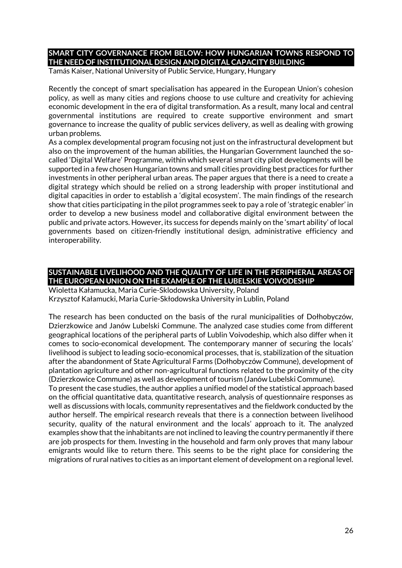# **SMART CITY GOVERNANCE FROM BELOW: HOW HUNGARIAN TOWNS RESPOND TO THE NEED OF INSTITUTIONAL DESIGN AND DIGITAL CAPACITY BUILDING**

Tamás Kaiser, National University of Public Service, Hungary, Hungary

Recently the concept of smart specialisation has appeared in the European Union's cohesion policy, as well as many cities and regions choose to use culture and creativity for achieving economic development in the era of digital transformation. As a result, many local and central governmental institutions are required to create supportive environment and smart governance to increase the quality of public services delivery, as well as dealing with growing urban problems.

As a complex developmental program focusing not just on the infrastructural development but also on the improvement of the human abilities, the Hungarian Government launched the socalled 'Digital Welfare' Programme, within which several smart city pilot developments will be supported in a few chosen Hungarian towns and small cities providing best practices for further investments in other peripheral urban areas. The paper argues that there is a need to create a digital strategy which should be relied on a strong leadership with proper institutional and digital capacities in order to establish a 'digital ecosystem'. The main findings of the research show that cities participating in the pilot programmes seek to pay a role of 'strategic enabler' in order to develop a new business model and collaborative digital environment between the public and private actors. However, its success for depends mainly on the 'smart ability' of local governments based on citizen-friendly institutional design, administrative efficiency and interoperability.

## **SUSTAINABLE LIVELIHOOD AND THE QUALITY OF LIFE IN THE PERIPHERAL AREAS OF THE EUROPEAN UNION ON THE EXAMPLE OF THE LUBELSKIE VOIVODESHIP**

Wioletta Kałamucka, Maria Curie-Sklodowska University, Poland Krzysztof Kałamucki, Maria Curie-Skłodowska University in Lublin, Poland

The research has been conducted on the basis of the rural municipalities of Dołhobyczów, Dzierzkowice and Janów Lubelski Commune. The analyzed case studies come from different geographical locations of the peripheral parts of Lublin Voivodeship, which also differ when it comes to socio-economical development. The contemporary manner of securing the locals' livelihood is subject to leading socio-economical processes, that is, stabilization of the situation after the abandonment of State Agricultural Farms (Dołhobyczów Commune), development of plantation agriculture and other non-agricultural functions related to the proximity of the city (Dzierzkowice Commune) as well as development of tourism (Janów Lubelski Commune).

To present the case studies, the author applies a unified model of the statistical approach based on the official quantitative data, quantitative research, analysis of questionnaire responses as well as discussions with locals, community representatives and the fieldwork conducted by the author herself. The empirical research reveals that there is a connection between livelihood security, quality of the natural environment and the locals' approach to it. The analyzed examples show that the inhabitants are not inclined to leaving the country permanently if there are job prospects for them. Investing in the household and farm only proves that many labour emigrants would like to return there. This seems to be the right place for considering the migrations of rural natives to cities as an important element of development on a regional level.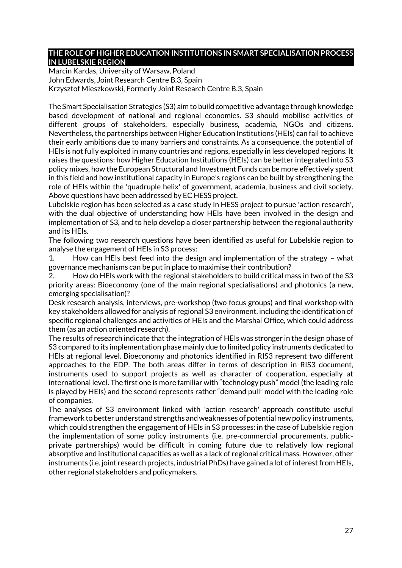#### **THE ROLE OF HIGHER EDUCATION INSTITUTIONS IN SMART SPECIALISATION PROCESS IN LUBELSKIE REGION**

Marcin Kardas, University of Warsaw, Poland John Edwards, Joint Research Centre B.3, Spain Krzysztof Mieszkowski, Formerly Joint Research Centre B.3, Spain

The Smart Specialisation Strategies (S3) aim to build competitive advantage through knowledge based development of national and regional economies. S3 should mobilise activities of different groups of stakeholders, especially business, academia, NGOs and citizens. Nevertheless, the partnerships between Higher Education Institutions (HEIs) can fail to achieve their early ambitions due to many barriers and constraints. As a consequence, the potential of HEIs is not fully exploited in many countries and regions, especially in less developed regions. It raises the questions: how Higher Education Institutions (HEIs) can be better integrated into S3 policy mixes, how the European Structural and Investment Funds can be more effectively spent in this field and how institutional capacity in Europe's regions can be built by strengthening the role of HEIs within the 'quadruple helix' of government, academia, business and civil society. Above questions have been addressed by EC HESS project.

Lubelskie region has been selected as a case study in HESS project to pursue 'action research', with the dual objective of understanding how HEIs have been involved in the design and implementation of S3, and to help develop a closer partnership between the regional authority and its HEIs.

The following two research questions have been identified as useful for Lubelskie region to analyse the engagement of HEIs in S3 process:

1. How can HEIs best feed into the design and implementation of the strategy – what governance mechanisms can be put in place to maximise their contribution?

2. How do HEIs work with the regional stakeholders to build critical mass in two of the S3 priority areas: Bioeconomy (one of the main regional specialisations) and photonics (a new, emerging specialisation)?

Desk research analysis, interviews, pre-workshop (two focus groups) and final workshop with key stakeholders allowed for analysis of regional S3 environment, including the identification of specific regional challenges and activities of HEIs and the Marshal Office, which could address them (as an action oriented research).

The results of research indicate that the integration of HEIs was stronger in the design phase of S3 compared to its implementation phase mainly due to limited policy instruments dedicated to HEIs at regional level. Bioeconomy and photonics identified in RIS3 represent two different approaches to the EDP. The both areas differ in terms of description in RIS3 document, instruments used to support projects as well as character of cooperation, especially at international level. The first one is more familiar with "technology push" model (the leading role is played by HEIs) and the second represents rather "demand pull" model with the leading role of companies.

The analyses of S3 environment linked with 'action research' approach constitute useful framework to better understand strengths and weaknesses of potential new policy instruments, which could strengthen the engagement of HEIs in S3 processes: in the case of Lubelskie region the implementation of some policy instruments (i.e. pre-commercial procurements, publicprivate partnerships) would be difficult in coming future due to relatively low regional absorptive and institutional capacities as well as a lack of regional critical mass. However, other instruments (i.e. joint research projects, industrial PhDs) have gained a lot of interest from HEIs, other regional stakeholders and policymakers.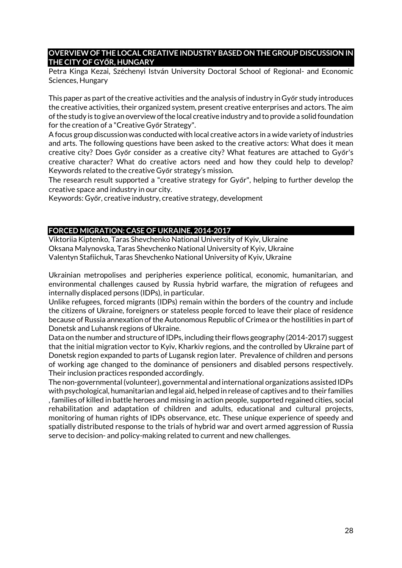### **OVERVIEW OF THE LOCAL CREATIVE INDUSTRY BASED ON THE GROUP DISCUSSION IN THE CITY OF GYŐR, HUNGARY**

Petra Kinga Kezai, Széchenyi István University Doctoral School of Regional- and Economic Sciences, Hungary

This paper as part of the creative activities and the analysis of industry in Győr study introduces the creative activities, their organized system, present creative enterprises and actors. The aim of the study is to give an overview of the local creative industry and to provide a solid foundation for the creation of a "Creative Győr Strategy".

A focus group discussion was conducted with local creative actors in a wide variety of industries and arts. The following questions have been asked to the creative actors: What does it mean creative city? Does Győr consider as a creative city? What features are attached to Győr's creative character? What do creative actors need and how they could help to develop? Keywords related to the creative Győr strategy's mission.

The research result supported a "creative strategy for Győr", helping to further develop the creative space and industry in our city.

Keywords: Győr, creative industry, creative strategy, development

#### **FORCED MIGRATION: CASE OF UKRAINE, 2014-2017**

Viktoriia Kiptenko, Taras Shevchenko National University of Kyiv, Ukraine Oksana Malynovska, Taras Shevchenko National University of Kyiv, Ukraine Valentyn Stafiichuk, Taras Shevchenko National University of Kyiv, Ukraine

Ukrainian metropolises and peripheries experience political, economic, humanitarian, and environmental challenges caused by Russia hybrid warfare, the migration of refugees and internally displaced persons (IDPs), in particular.

Unlike refugees, forced migrants (IDPs) remain within the borders of the country and include the citizens of Ukraine, foreigners or stateless people forced to leave their place of residence because of Russia annexation of the Autonomous Republic of Crimea or the hostilities in part of Donetsk and Luhansk regions of Ukraine.

Data on the number and structure of IDPs, including their flows geography (2014-2017) suggest that the initial migration vector to Kyiv, Kharkiv regions, and the controlled by Ukraine part of Donetsk region expanded to parts of Lugansk region later. Prevalence of children and persons of working age changed to the dominance of pensioners and disabled persons respectively. Their inclusion practices responded accordingly.

The non-governmental (volunteer), governmental and international organizations assisted IDPs with psychological, humanitarian and legal aid, helped in release of captives and to their families , families of killed in battle heroes and missing in action people, supported regained cities, social rehabilitation and adaptation of children and adults, educational and cultural projects, monitoring of human rights of IDPs observance, etc. These unique experience of speedy and spatially distributed response to the trials of hybrid war and overt armed aggression of Russia serve to decision- and policy-making related to current and new challenges.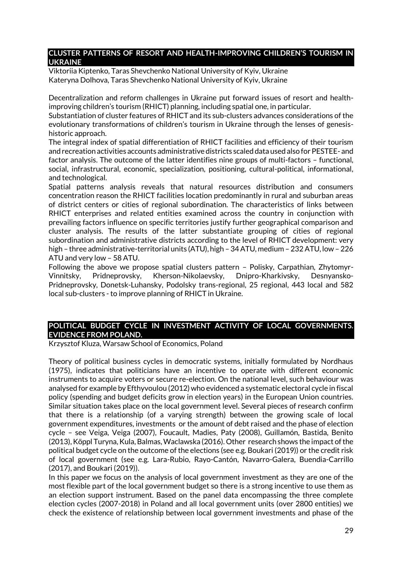### **CLUSTER PATTERNS OF RESORT AND HEALTH-IMPROVING CHILDREN'S TOURISM IN UKRAINE**

Viktoriia Kiptenko, Taras Shevchenko National University of Kyiv, Ukraine Kateryna Dolhova, Taras Shevchenko National University of Kyiv, Ukraine

Decentralization and reform challenges in Ukraine put forward issues of resort and healthimproving children's tourism (RHICT) planning, including spatial one, in particular.

Substantiation of cluster features of RHICT and its sub-clusters advances considerations of the evolutionary transformations of children's tourism in Ukraine through the lenses of genesishistoric approach.

The integral index of spatial differentiation of RHICT facilities and efficiency of their tourism and recreation activities accounts administrative districts scaled data used also for PESTEE- and factor analysis. The outcome of the latter identifies nine groups of multi-factors – functional, social, infrastructural, economic, specialization, positioning, cultural-political, informational, and technological.

Spatial patterns analysis reveals that natural resources distribution and consumers concentration reason the RHICT facilities location predominantly in rural and suburban areas of district centers or cities of regional subordination. The characteristics of links between RHICT enterprises and related entities examined across the country in conjunction with prevailing factors influence on specific territories justify further geographical comparison and cluster analysis. The results of the latter substantiate grouping of cities of regional subordination and administrative districts according to the level of RHICT development: very high – three administrative-territorial units (ATU), high – 34 ATU, medium – 232 ATU, low – 226 ATU and very low – 58 ATU.

Following the above we propose spatial clusters pattern – Polisky, Carpathian, Zhytomyr-Vinnitsky, Pridneprovsky, Kherson-Nikolaevsky, Dnipro-Kharkivsky, Desnyansko-Pridneprovsky, Donetsk-Luhansky, Podolsky trans-regional, 25 regional, 443 local and 582 local sub-clusters - to improve planning of RHICT in Ukraine.

### **POLITICAL BUDGET CYCLE IN INVESTMENT ACTIVITY OF LOCAL GOVERNMENTS. EVIDENCE FROM POLAND.**

Krzysztof Kluza, Warsaw School of Economics, Poland

Theory of political business cycles in democratic systems, initially formulated by Nordhaus (1975), indicates that politicians have an incentive to operate with different economic instruments to acquire voters or secure re-election. On the national level, such behaviour was analysed for example by Efthyvoulou (2012) who evidenced a systematic electoral cycle in fiscal policy (spending and budget deficits grow in election years) in the European Union countries. Similar situation takes place on the local government level. Several pieces of research confirm that there is a relationship (of a varying strength) between the growing scale of local government expenditures, investments or the amount of debt raised and the phase of election cycle – see Veiga, Veiga (2007), Foucault, Madies, Paty (2008), Guillamón, Bastida, Benito (2013), Köppl Turyna, Kula, Balmas, Waclawska (2016). Other research shows the impact of the political budget cycle on the outcome of the elections (see e.g. Boukari (2019)) or the credit risk of local government (see e.g. Lara-Rubio, Rayo-Cantón, Navarro-Galera, Buendia-Carrillo (2017), and Boukari (2019)).

In this paper we focus on the analysis of local government investment as they are one of the most flexible part of the local government budget so there is a strong incentive to use them as an election support instrument. Based on the panel data encompassing the three complete election cycles (2007-2018) in Poland and all local government units (over 2800 entities) we check the existence of relationship between local government investments and phase of the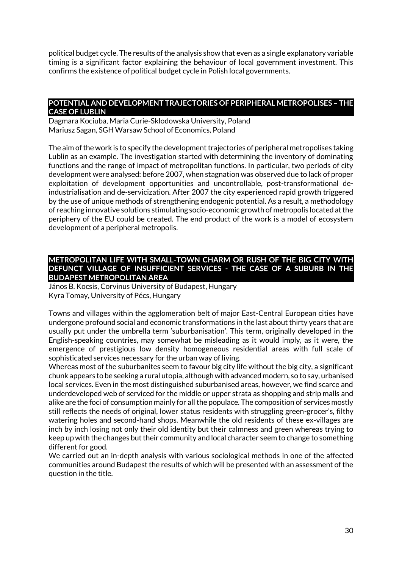political budget cycle. The results of the analysis show that even as a single explanatory variable timing is a significant factor explaining the behaviour of local government investment. This confirms the existence of political budget cycle in Polish local governments.

#### **POTENTIAL AND DEVELOPMENT TRAJECTORIES OF PERIPHERAL METROPOLISES – THE CASE OF LUBLIN**

Dagmara Kociuba, Maria Curie-Sklodowska University, Poland Mariusz Sagan, SGH Warsaw School of Economics, Poland

The aim of the work is to specify the development trajectories of peripheral metropolises taking Lublin as an example. The investigation started with determining the inventory of dominating functions and the range of impact of metropolitan functions. In particular, two periods of city development were analysed: before 2007, when stagnation was observed due to lack of proper exploitation of development opportunities and uncontrollable, post-transformational deindustrialisation and de-servicization. After 2007 the city experienced rapid growth triggered by the use of unique methods of strengthening endogenic potential. As a result, a methodology of reaching innovative solutions stimulating socio-economic growth of metropolis located at the periphery of the EU could be created. The end product of the work is a model of ecosystem development of a peripheral metropolis.

### **METROPOLITAN LIFE WITH SMALL-TOWN CHARM OR RUSH OF THE BIG CITY WITH DEFUNCT VILLAGE OF INSUFFICIENT SERVICES - THE CASE OF A SUBURB IN THE BUDAPEST METROPOLITAN AREA**

János B. Kocsis, Corvinus University of Budapest, Hungary Kyra Tomay, University of Pécs, Hungary

Towns and villages within the agglomeration belt of major East-Central European cities have undergone profound social and economic transformations in the last about thirty years that are usually put under the umbrella term 'suburbanisation'. This term, originally developed in the English-speaking countries, may somewhat be misleading as it would imply, as it were, the emergence of prestigious low density homogeneous residential areas with full scale of sophisticated services necessary for the urban way of living.

Whereas most of the suburbanites seem to favour big city life without the big city, a significant chunk appears to be seeking a rural utopia, although with advanced modern, so to say, urbanised local services. Even in the most distinguished suburbanised areas, however, we find scarce and underdeveloped web of serviced for the middle or upper strata as shopping and strip malls and alike are the foci of consumption mainly for all the populace. The composition of services mostly still reflects the needs of original, lower status residents with struggling green-grocer's, filthy watering holes and second-hand shops. Meanwhile the old residents of these ex-villages are inch by inch losing not only their old identity but their calmness and green whereas trying to keep up with the changes but their community and local character seem to change to something different for good.

We carried out an in-depth analysis with various sociological methods in one of the affected communities around Budapest the results of which will be presented with an assessment of the question in the title.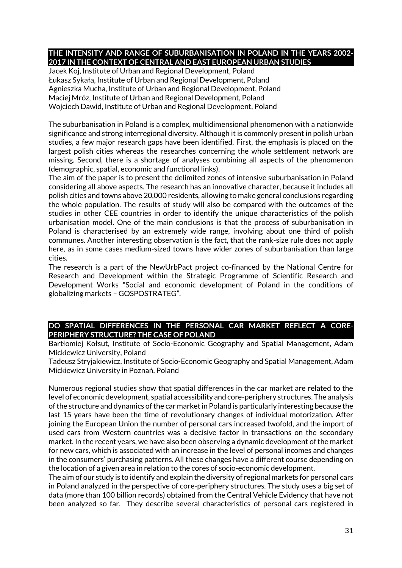## **THE INTENSITY AND RANGE OF SUBURBANISATION IN POLAND IN THE YEARS 2002- 2017 IN THE CONTEXT OF CENTRAL AND EAST EUROPEAN URBAN STUDIES**

Jacek Koj, Institute of Urban and Regional Development, Poland Łukasz Sykała, Institute of Urban and Regional Development, Poland Agnieszka Mucha, Institute of Urban and Regional Development, Poland Maciej Mróz, Institute of Urban and Regional Development, Poland Wojciech Dawid, Institute of Urban and Regional Development, Poland

The suburbanisation in Poland is a complex, multidimensional phenomenon with a nationwide significance and strong interregional diversity. Although it is commonly present in polish urban studies, a few major research gaps have been identified. First, the emphasis is placed on the largest polish cities whereas the researches concerning the whole settlement network are missing. Second, there is a shortage of analyses combining all aspects of the phenomenon (demographic, spatial, economic and functional links).

The aim of the paper is to present the delimited zones of intensive suburbanisation in Poland considering all above aspects. The research has an innovative character, because it includes all polish cities and towns above 20,000 residents, allowing to make general conclusions regarding the whole population. The results of study will also be compared with the outcomes of the studies in other CEE countries in order to identify the unique characteristics of the polish urbanisation model. One of the main conclusions is that the process of suburbanisation in Poland is characterised by an extremely wide range, involving about one third of polish communes. Another interesting observation is the fact, that the rank-size rule does not apply here, as in some cases medium-sized towns have wider zones of suburbanisation than large cities.

The research is a part of the NewUrbPact project co-financed by the National Centre for Research and Development within the Strategic Programme of Scientific Research and Development Works "Social and economic development of Poland in the conditions of globalizing markets – GOSPOSTRATEG".

### **DO SPATIAL DIFFERENCES IN THE PERSONAL CAR MARKET REFLECT A CORE-PERIPHERY STRUCTURE? THE CASE OF POLAND**

Bartłomiej Kołsut, Institute of Socio-Economic Geography and Spatial Management, Adam Mickiewicz University, Poland

Tadeusz Stryjakiewicz, Institute of Socio-Economic Geography and Spatial Management, Adam Mickiewicz University in Poznań, Poland

Numerous regional studies show that spatial differences in the car market are related to the level of economic development, spatial accessibility and core-periphery structures. The analysis of the structure and dynamics of the car market in Poland is particularly interesting because the last 15 years have been the time of revolutionary changes of individual motorization. After joining the European Union the number of personal cars increased twofold, and the import of used cars from Western countries was a decisive factor in transactions on the secondary market. In the recent years, we have also been observing a dynamic development of the market for new cars, which is associated with an increase in the level of personal incomes and changes in the consumers' purchasing patterns. All these changes have a different course depending on the location of a given area in relation to the cores of socio-economic development.

The aim of our study is to identify and explain the diversity of regional markets for personal cars in Poland analyzed in the perspective of core-periphery structures. The study uses a big set of data (more than 100 billion records) obtained from the Central Vehicle Evidency that have not been analyzed so far. They describe several characteristics of personal cars registered in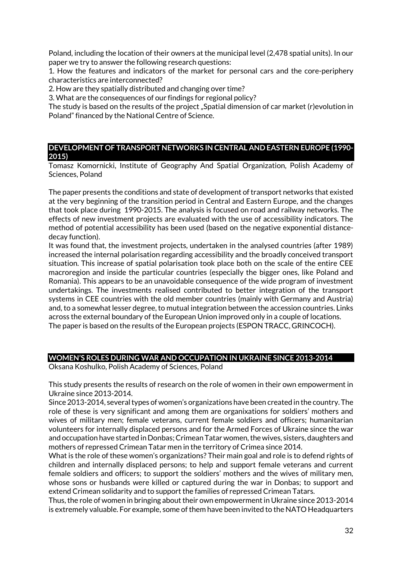Poland, including the location of their owners at the municipal level (2,478 spatial units). In our paper we try to answer the following research questions:

1. How the features and indicators of the market for personal cars and the core-periphery characteristics are interconnected?

2. How are they spatially distributed and changing over time?

3. What are the consequences of our findings for regional policy?

The study is based on the results of the project "Spatial dimension of car market (r)evolution in Poland" financed by the National Centre of Science.

#### **DEVELOPMENT OF TRANSPORT NETWORKS IN CENTRAL AND EASTERN EUROPE (1990- 2015)**

Tomasz Komornicki, Institute of Geography And Spatial Organization, Polish Academy of Sciences, Poland

The paper presents the conditions and state of development of transport networks that existed at the very beginning of the transition period in Central and Eastern Europe, and the changes that took place during 1990-2015. The analysis is focused on road and railway networks. The effects of new investment projects are evaluated with the use of accessibility indicators. The method of potential accessibility has been used (based on the negative exponential distancedecay function).

It was found that, the investment projects, undertaken in the analysed countries (after 1989) increased the internal polarisation regarding accessibility and the broadly conceived transport situation. This increase of spatial polarisation took place both on the scale of the entire CEE macroregion and inside the particular countries (especially the bigger ones, like Poland and Romania). This appears to be an unavoidable consequence of the wide program of investment undertakings. The investments realised contributed to better integration of the transport systems in CEE countries with the old member countries (mainly with Germany and Austria) and, to a somewhat lesser degree, to mutual integration between the accession countries. Links across the external boundary of the European Union improved only in a couple of locations. The paper is based on the results of the European projects (ESPON TRACC, GRINCOCH).

#### **WOMEN'S ROLES DURING WAR AND OCCUPATION IN UKRAINE SINCE 2013-2014**

Oksana Koshulko, Polish Academy of Sciences, Poland

This study presents the results of research on the role of women in their own empowerment in Ukraine since 2013-2014.

Since 2013-2014, several types of women's organizations have been created in the country. The role of these is very significant and among them are organixations for soldiers' mothers and wives of military men; female veterans, current female soldiers and officers; humanitarian volunteers for internally displaced persons and for the Armed Forces of Ukraine since the war and occupation have started in Donbas; Crimean Tatar women, the wives, sisters, daughters and mothers of repressed Crimean Tatar men in the territory of Crimea since 2014.

What is the role of these women's organizations? Their main goal and role is to defend rights of children and internally displaced persons; to help and support female veterans and current female soldiers and officers; to support the soldiers' mothers and the wives of military men, whose sons or husbands were killed or captured during the war in Donbas; to support and extend Crimean solidarity and to support the families of repressed Crimean Tatars.

Thus, the role of women in bringing about their own empowerment in Ukraine since 2013-2014 is extremely valuable. For example, some of them have been invited to the NATO Headquarters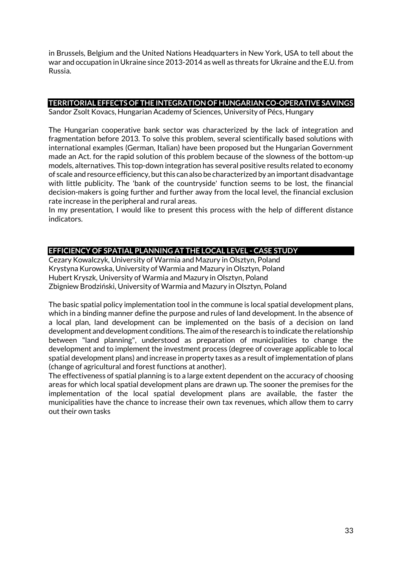in Brussels, Belgium and the United Nations Headquarters in New York, USA to tell about the war and occupation in Ukraine since 2013-2014 as well as threats for Ukraine and the E.U. from Russia.

# **TERRITORIAL EFFECTS OF THE INTEGRATION OF HUNGARIAN CO-OPERATIVE SAVINGS**

Sandor Zsolt Kovacs, Hungarian Academy of Sciences, University of Pécs, Hungary

The Hungarian cooperative bank sector was characterized by the lack of integration and fragmentation before 2013. To solve this problem, several scientifically based solutions with international examples (German, Italian) have been proposed but the Hungarian Government made an Act. for the rapid solution of this problem because of the slowness of the bottom-up models, alternatives. This top-down integration has several positive results related to economy of scale and resource efficiency, but this can also be characterized by an important disadvantage with little publicity. The 'bank of the countryside' function seems to be lost, the financial decision-makers is going further and further away from the local level, the financial exclusion rate increase in the peripheral and rural areas.

In my presentation, I would like to present this process with the help of different distance indicators.

## **EFFICIENCY OF SPATIAL PLANNING AT THE LOCAL LEVEL - CASE STUDY**

Cezary Kowalczyk, University of Warmia and Mazury in Olsztyn, Poland Krystyna Kurowska, University of Warmia and Mazury in Olsztyn, Poland Hubert Kryszk, University of Warmia and Mazury in Olsztyn, Poland Zbigniew Brodziński, University of Warmia and Mazury in Olsztyn, Poland

The basic spatial policy implementation tool in the commune is local spatial development plans, which in a binding manner define the purpose and rules of land development. In the absence of a local plan, land development can be implemented on the basis of a decision on land development and development conditions. The aim of the research is to indicate the relationship between "land planning", understood as preparation of municipalities to change the development and to implement the investment process (degree of coverage applicable to local spatial development plans) and increase in property taxes as a result of implementation of plans (change of agricultural and forest functions at another).

The effectiveness of spatial planning is to a large extent dependent on the accuracy of choosing areas for which local spatial development plans are drawn up. The sooner the premises for the implementation of the local spatial development plans are available, the faster the municipalities have the chance to increase their own tax revenues, which allow them to carry out their own tasks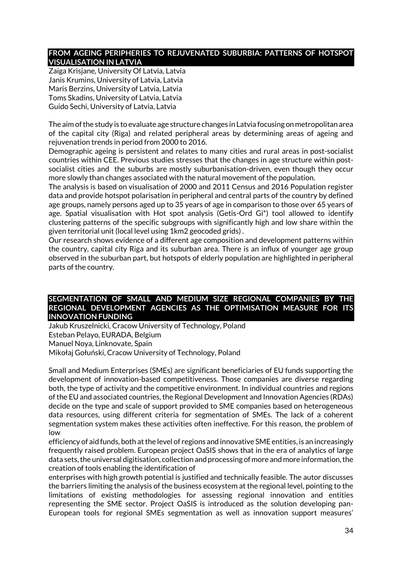#### **FROM AGEING PERIPHERIES TO REJUVENATED SUBURBIA: PATTERNS OF HOTSPOT VISUALISATION IN LATVIA**

Zaiga Krisjane, University Of Latvia, Latvia Janis Krumins, University of Latvia, Latvia Maris Berzins, University of Latvia, Latvia Toms Skadins, University of Latvia, Latvia Guido Sechi, University of Latvia, Latvia

The aim of the study is to evaluate age structure changes in Latvia focusing on metropolitan area of the capital city (Riga) and related peripheral areas by determining areas of ageing and rejuvenation trends in period from 2000 to 2016.

Demographic ageing is persistent and relates to many cities and rural areas in post-socialist countries within CEE. Previous studies stresses that the changes in age structure within postsocialist cities and the suburbs are mostly suburbanisation-driven, even though they occur more slowly than changes associated with the natural movement of the population.

The analysis is based on visualisation of 2000 and 2011 Census and 2016 Population register data and provide hotspot polarisation in peripheral and central parts of the country by defined age groups, namely persons aged up to 35 years of age in comparison to those over 65 years of age. Spatial visualisation with Hot spot analysis (Getis-Ord Gi\*) tool allowed to identify clustering patterns of the specific subgroups with significantly high and low share within the given territorial unit (local level using 1km2 geocoded grids) .

Our research shows evidence of a different age composition and development patterns within the country, capital city Riga and its suburban area. There is an influx of younger age group observed in the suburban part, but hotspots of elderly population are highlighted in peripheral parts of the country.

#### **SEGMENTATION OF SMALL AND MEDIUM SIZE REGIONAL COMPANIES BY THE REGIONAL DEVELOPMENT AGENCIES AS THE OPTIMISATION MEASURE FOR ITS INNOVATION FUNDING**

Jakub Kruszelnicki, Cracow University of Technology, Poland Esteban Pelayo, EURADA, Belgium Manuel Noya, Linknovate, Spain Mikołaj Gołuński, Cracow University of Technology, Poland

Small and Medium Enterprises (SMEs) are significant beneficiaries of EU funds supporting the development of innovation-based competitiveness. Those companies are diverse regarding both, the type of activity and the competitive environment. In individual countries and regions of the EU and associated countries, the Regional Development and Innovation Agencies (RDAs) decide on the type and scale of support provided to SME companies based on heterogeneous data resources, using different criteria for segmentation of SMEs. The lack of a coherent segmentation system makes these activities often ineffective. For this reason, the problem of low

efficiency of aid funds, both at the level of regions and innovative SME entities, is an increasingly frequently raised problem. European project OaSIS shows that in the era of analytics of large data sets, the universal digitisation, collection and processing of more and more information, the creation of tools enabling the identification of

enterprises with high growth potential is justified and technically feasible. The autor discusses the barriers limiting the analysis of the business ecosystem at the regional level, pointing to the limitations of existing methodologies for assessing regional innovation and entities representing the SME sector. Project OaSIS is introduced as the solution developing pan-European tools for regional SMEs segmentation as well as innovation support measures'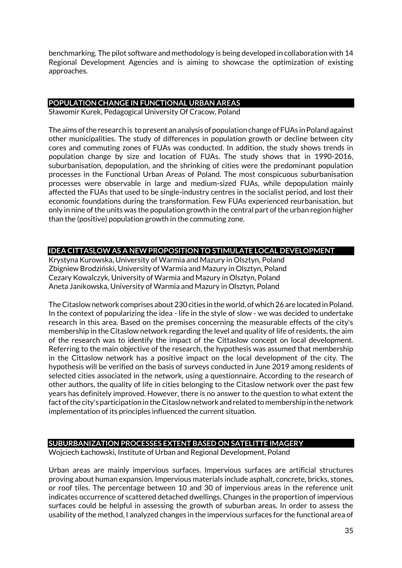benchmarking. The pilot software and methodology is being developed in collaboration with 14 Regional Development Agencies and is aiming to showcase the optimization of existing approaches.

# **POPULATION CHANGE IN FUNCTIONAL URBAN AREAS**

Sławomir Kurek, Pedagogical University Of Cracow, Poland

The aims of the research is to present an analysis of population change of FUAs in Poland against other municipalities. The study of differences in population growth or decline between city cores and commuting zones of FUAs was conducted. In addition, the study shows trends in population change by size and location of FUAs. The study shows that in 1990-2016, suburbanisation, depopulation, and the shrinking of cities were the predominant population processes in the Functional Urban Areas of Poland. The most conspicuous suburbanisation processes were observable in large and medium-sized FUAs, while depopulation mainly affected the FUAs that used to be single-industry centres in the socialist period, and lost their economic foundations during the transformation. Few FUAs experienced reurbanisation, but only in nine of the units was the population growth in the central part of the urban region higher than the (positive) population growth in the commuting zone.

## **IDEA CITTASLOW AS A NEW PROPOSITION TO STIMULATE LOCAL DEVELOPMENT**

Krystyna Kurowska, University of Warmia and Mazury in Olsztyn, Poland Zbigniew Brodziński, University of Warmia and Mazury in Olsztyn, Poland Cezary Kowalczyk, University of Warmia and Mazury in Olsztyn, Poland Aneta Janikowska, University of Warmia and Mazury in Olsztyn, Poland

The Citaslow network comprises about 230 cities in the world, of which 26 are located in Poland. In the context of popularizing the idea - life in the style of slow - we was decided to undertake research in this area. Based on the premises concerning the measurable effects of the city's membership in the Citaslow network regarding the level and quality of life of residents, the aim of the research was to identify the impact of the Cittaslow concept on local development. Referring to the main objective of the research, the hypothesis was assumed that membership in the Cittaslow network has a positive impact on the local development of the city. The hypothesis will be verified on the basis of surveys conducted in June 2019 among residents of selected cities associated in the network, using a questionnaire. According to the research of other authors, the quality of life in cities belonging to the Citaslow network over the past few years has definitely improved. However, there is no answer to the question to what extent the fact of the city's participation in the Citaslow network and related to membership in the network implementation of its principles influenced the current situation.

#### **SUBURBANIZATION PROCESSES EXTENT BASED ON SATELITTE IMAGERY**

Wojciech Łachowski, Institute of Urban and Regional Development, Poland

Urban areas are mainly impervious surfaces. Impervious surfaces are artificial structures proving about human expansion. Impervious materials include asphalt, concrete, bricks, stones, or roof tiles. The percentage between 10 and 30 of impervious areas in the reference unit indicates occurrence of scattered detached dwellings. Changes in the proportion of impervious surfaces could be helpful in assessing the growth of suburban areas. In order to assess the usability of the method, I analyzed changes in the impervious surfaces for the functional area of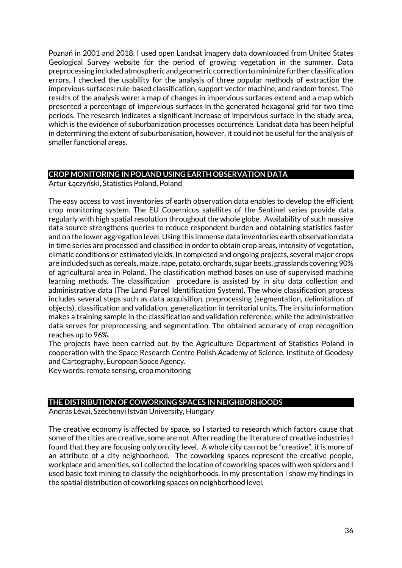Poznań in 2001 and 2018. I used open Landsat imagery data downloaded from United States Geological Survey website for the period of growing vegetation in the summer. Data preprocessing included atmospheric and geometric correction to minimize further classification errors. I checked the usability for the analysis of three popular methods of extraction the impervious surfaces: rule-based classification, support vector machine, and random forest. The results of the analysis were: a map of changes in impervious surfaces extend and a map which presented a percentage of impervious surfaces in the generated hexagonal grid for two time periods. The research indicates a significant increase of impervious surface in the study area, which is the evidence of suburbanization processes occurrence. Landsat data has been helpful in determining the extent of suburbanisation, however, it could not be useful for the analysis of smaller functional areas.

### **CROP MONITORING IN POLAND USING EARTH OBSERVATION DATA**

Artur Łączyński, Statistics Poland, Poland

The easy access to vast inventories of earth observation data enables to develop the efficient crop monitoring system. The EU Copernicus satellites of the Sentinel series provide data regularly with high spatial resolution throughout the whole globe. Availability of such massive data source strengthens queries to reduce respondent burden and obtaining statistics faster and on the lower aggregation level. Using this immense data inventories earth observation data in time series are processed and classified in order to obtain crop areas, intensity of vegetation, climatic conditions or estimated yields. In completed and ongoing projects, several major crops are included such as cereals, maize, rape, potato, orchards, sugar beets, grasslands covering 90% of agricultural area in Poland. The classification method bases on use of supervised machine learning methods. The classification procedure is assisted by in situ data collection and administrative data (The Land Parcel Identification System). The whole classification process includes several steps such as data acquisition, preprocessing (segmentation, delimitation of objects), classification and validation, generalization in territorial units. The in situ information makes a training sample in the classification and validation reference, while the administrative data serves for preprocessing and segmentation. The obtained accuracy of crop recognition reaches up to 96%.

The projects have been carried out by the Agriculture Department of Statistics Poland in cooperation with the Space Research Centre Polish Academy of Science, Institute of Geodesy and Cartography, European Space Agency.

Key words: remote sensing, crop monitoring

#### **THE DISTRIBUTION OF COWORKING SPACES IN NEIGHBORHOODS**

András Lévai, Széchenyi István University, Hungary

The creative economy is affected by space, so I started to research which factors cause that some of the cities are creative, some are not. After reading the literature of creative industries I found that they are focusing only on city level. A whole city can not be "creative", it is more of an attribute of a city neighborhood. The coworking spaces represent the creative people, workplace and amenities, so I collected the location of coworking spaces with web spiders and I used basic text mining to classify the neighborhoods. In my presentation I show my findings in the spatial distribution of coworking spaces on neighborhood level.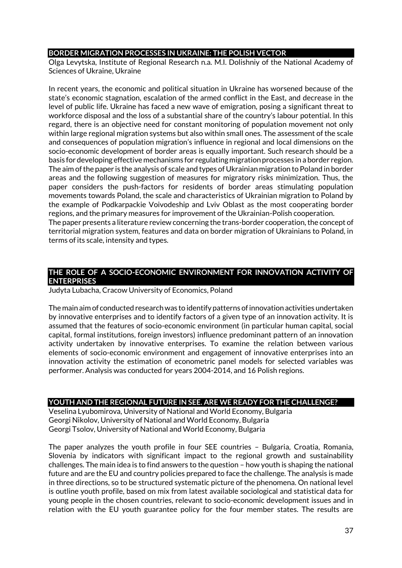#### **BORDER MIGRATION PROCESSES IN UKRAINE: THE POLISH VECTOR**

Olga Levytska, Institute of Regional Research n.a. M.I. Dolishniy of the National Academy of Sciences of Ukraine, Ukraine

In recent years, the economic and political situation in Ukraine has worsened because of the state's economic stagnation, escalation of the armed conflict in the East, and decrease in the level of public life. Ukraine has faced a new wave of emigration, posing a significant threat to workforce disposal and the loss of a substantial share of the country's labour potential. In this regard, there is an objective need for constant monitoring of population movement not only within large regional migration systems but also within small ones. The assessment of the scale and consequences of population migration's influence in regional and local dimensions on the socio-economic development of border areas is equally important. Such research should be a basis for developing effective mechanisms for regulating migration processes in a border region. The aim of the paper is the analysis of scale and types of Ukrainian migration to Poland in border areas and the following suggestion of measures for migratory risks minimization. Thus, the paper considers the push-factors for residents of border areas stimulating population movements towards Poland, the scale and characteristics of Ukrainian migration to Poland by the example of Podkarpackie Voivodeship and Lviv Oblast as the most cooperating border regions, and the primary measures for improvement of the Ukrainian-Polish cooperation. The paper presents a literature review concerning the trans-border cooperation, the concept of

territorial migration system, features and data on border migration of Ukrainians to Poland, in terms of its scale, intensity and types.

#### **THE ROLE OF A SOCIO-ECONOMIC ENVIRONMENT FOR INNOVATION ACTIVITY OF ENTERPRISES**

Judyta Lubacha, Cracow University of Economics, Poland

The main aim of conducted research was to identify patterns of innovation activities undertaken by innovative enterprises and to identify factors of a given type of an innovation activity. It is assumed that the features of socio-economic environment (in particular human capital, social capital, formal institutions, foreign investors) influence predominant pattern of an innovation activity undertaken by innovative enterprises. To examine the relation between various elements of socio-economic environment and engagement of innovative enterprises into an innovation activity the estimation of econometric panel models for selected variables was performer. Analysis was conducted for years 2004-2014, and 16 Polish regions.

## **YOUTH AND THE REGIONAL FUTURE IN SEE. ARE WE READY FOR THE CHALLENGE?**

Veselina Lyubomirova, University of National and World Economy, Bulgaria Georgi Nikolov, University of National and World Economy, Bulgaria Georgi Tsolov, University of National and World Economy, Bulgaria

The paper analyzes the youth profile in four SEE countries – Bulgaria, Croatia, Romania, Slovenia by indicators with significant impact to the regional growth and sustainability challenges. The main idea is to find answers to the question – how youth is shaping the national future and are the EU and country policies prepared to face the challenge. The analysis is made in three directions, so to be structured systematic picture of the phenomena. On national level is outline youth profile, based on mix from latest available sociological and statistical data for young people in the chosen countries, relevant to socio-economic development issues and in relation with the EU youth guarantee policy for the four member states. The results are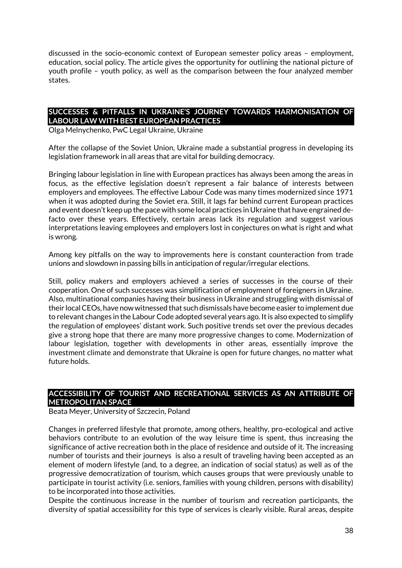discussed in the socio-economic context of European semester policy areas – employment, education, social policy. The article gives the opportunity for outlining the national picture of youth profile – youth policy, as well as the comparison between the four analyzed member states.

### **SUCCESSES & PITFALLS IN UKRAINE'S JOURNEY TOWARDS HARMONISATION OF LABOUR LAW WITH BEST EUROPEAN PRACTICES**

Olga Melnychenko, PwC Legal Ukraine, Ukraine

After the collapse of the Soviet Union, Ukraine made a substantial progress in developing its legislation framework in all areas that are vital for building democracy.

Bringing labour legislation in line with European practices has always been among the areas in focus, as the effective legislation doesn't represent a fair balance of interests between employers and employees. The effective Labour Code was many times modernized since 1971 when it was adopted during the Soviet era. Still, it lags far behind current European practices and event doesn't keep up the pace with some local practices in Ukraine that have engrained defacto over these years. Effectively, certain areas lack its regulation and suggest various interpretations leaving employees and employers lost in conjectures on what is right and what is wrong.

Among key pitfalls on the way to improvements here is constant counteraction from trade unions and slowdown in passing bills in anticipation of regular/irregular elections.

Still, policy makers and employers achieved a series of successes in the course of their cooperation. One of such successes was simplification of employment of foreigners in Ukraine. Also, multinational companies having their business in Ukraine and struggling with dismissal of their local CEOs, have now witnessed that such dismissals have become easier to implement due to relevant changes in the Labour Code adopted several years ago. It is also expected to simplify the regulation of employees' distant work. Such positive trends set over the previous decades give a strong hope that there are many more progressive changes to come. Modernization of labour legislation, together with developments in other areas, essentially improve the investment climate and demonstrate that Ukraine is open for future changes, no matter what future holds.

#### **ACCESSIBILITY OF TOURIST AND RECREATIONAL SERVICES AS AN ATTRIBUTE OF METROPOLITAN SPACE**

Beata Meyer, University of Szczecin, Poland

Changes in preferred lifestyle that promote, among others, healthy, pro-ecological and active behaviors contribute to an evolution of the way leisure time is spent, thus increasing the significance of active recreation both in the place of residence and outside of it. The increasing number of tourists and their journeys is also a result of traveling having been accepted as an element of modern lifestyle (and, to a degree, an indication of social status) as well as of the progressive democratization of tourism, which causes groups that were previously unable to participate in tourist activity (i.e. seniors, families with young children, persons with disability) to be incorporated into those activities.

Despite the continuous increase in the number of tourism and recreation participants, the diversity of spatial accessibility for this type of services is clearly visible. Rural areas, despite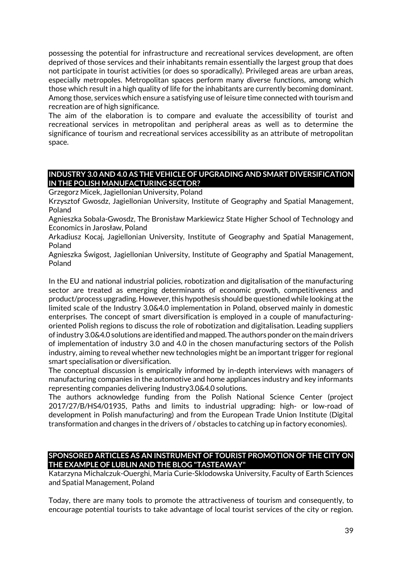possessing the potential for infrastructure and recreational services development, are often deprived of those services and their inhabitants remain essentially the largest group that does not participate in tourist activities (or does so sporadically). Privileged areas are urban areas, especially metropoles. Metropolitan spaces perform many diverse functions, among which those which result in a high quality of life for the inhabitants are currently becoming dominant. Among those, services which ensure a satisfying use of leisure time connected with tourism and recreation are of high significance.

The aim of the elaboration is to compare and evaluate the accessibility of tourist and recreational services in metropolitan and peripheral areas as well as to determine the significance of tourism and recreational services accessibility as an attribute of metropolitan space.

### **INDUSTRY 3.0 AND 4.0 AS THE VEHICLE OF UPGRADING AND SMART DIVERSIFICATION IN THE POLISH MANUFACTURING SECTOR?**

Grzegorz Micek, Jagiellonian University, Poland

Krzysztof Gwosdz, Jagiellonian University, Institute of Geography and Spatial Management, Poland

Agnieszka Sobala-Gwosdz, The Bronisław Markiewicz State Higher School of Technology and Economics in Jarosław, Poland

Arkadiusz Kocaj, Jagiellonian University, Institute of Geography and Spatial Management, Poland

Agnieszka Świgost, Jagiellonian University, Institute of Geography and Spatial Management, Poland

In the EU and national industrial policies, robotization and digitalisation of the manufacturing sector are treated as emerging determinants of economic growth, competitiveness and product/process upgrading. However, this hypothesis should be questioned while looking at the limited scale of the Industry 3.0&4.0 implementation in Poland, observed mainly in domestic enterprises. The concept of smart diversification is employed in a couple of manufacturingoriented Polish regions to discuss the role of robotization and digitalisation. Leading suppliers of industry 3.0&4.0 solutions are identified and mapped. The authors ponder on the main drivers of implementation of industry 3.0 and 4.0 in the chosen manufacturing sectors of the Polish industry, aiming to reveal whether new technologies might be an important trigger for regional smart specialisation or diversification.

The conceptual discussion is empirically informed by in-depth interviews with managers of manufacturing companies in the automotive and home appliances industry and key informants representing companies delivering Industry3.0&4.0 solutions.

The authors acknowledge funding from the Polish National Science Center (project 2017/27/B/HS4/01935, Paths and limits to industrial upgrading: high- or low-road of development in Polish manufacturing) and from the European Trade Union Institute (Digital transformation and changes in the drivers of / obstacles to catching up in factory economies).

### **SPONSORED ARTICLES AS AN INSTRUMENT OF TOURIST PROMOTION OF THE CITY ON THE EXAMPLE OF LUBLIN AND THE BLOG "TASTEAWAY"**

Katarzyna Michalczuk-Ouerghi, Maria Curie-Sklodowska University, Faculty of Earth Sciences and Spatial Management, Poland

Today, there are many tools to promote the attractiveness of tourism and consequently, to encourage potential tourists to take advantage of local tourist services of the city or region.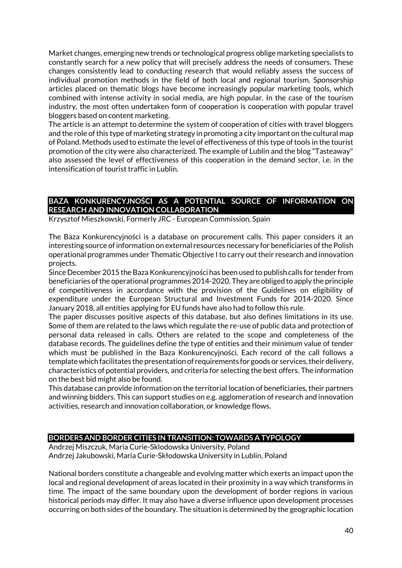Market changes, emerging new trends or technological progress oblige marketing specialists to constantly search for a new policy that will precisely address the needs of consumers. These changes consistently lead to conducting research that would reliably assess the success of individual promotion methods in the field of both local and regional tourism. Sponsorship articles placed on thematic blogs have become increasingly popular marketing tools, which combined with intense activity in social media, are high popular. In the case of the tourism industry, the most often undertaken form of cooperation is cooperation with popular travel bloggers based on content marketing.

The article is an attempt to determine the system of cooperation of cities with travel bloggers and the role of this type of marketing strategy in promoting a city important on the cultural map of Poland. Methods used to estimate the level of effectiveness of this type of tools in the tourist promotion of the city were also characterized. The example of Lublin and the blog "Tasteaway" also assessed the level of effectiveness of this cooperation in the demand sector, i.e. in the intensification of tourist traffic in Lublin.

# **BAZA KONKURENCYJNOŚCI AS A POTENTIAL SOURCE OF INFORMATION ON RESEARCH AND INNOVATION COLLABORATION**

Krzysztof Mieszkowski, Formerly JRC - European Commission, Spain

The Baza Konkurencyjności is a database on procurement calls. This paper considers it an interesting source of information on external resources necessary for beneficiaries of the Polish operational programmes under Thematic Objective I to carry out their research and innovation projects.

Since December 2015 the Baza Konkurencyjności has been used to publish calls for tender from beneficiaries of the operational programmes 2014-2020. They are obliged to apply the principle of competitiveness in accordance with the provision of the Guidelines on eligibility of expenditure under the European Structural and Investment Funds for 2014-2020. Since January 2018, all entities applying for EU funds have also had to follow this rule.

The paper discusses positive aspects of this database, but also defines limitations in its use. Some of them are related to the laws which regulate the re-use of public data and protection of personal data released in calls. Others are related to the scope and completeness of the database records. The guidelines define the type of entities and their minimum value of tender which must be published in the Baza Konkurencyjności. Each record of the call follows a template which facilitates the presentation of requirements for goods or services, their delivery, characteristics of potential providers, and criteria for selecting the best offers. The information on the best bid might also be found.

This database can provide information on the territorial location of beneficiaries, their partners and winning bidders. This can support studies on e.g. agglomeration of research and innovation activities, research and innovation collaboration, or knowledge flows.

#### **BORDERS AND BORDER CITIES IN TRANSITION: TOWARDS A TYPOLOGY**

Andrzej Miszczuk, Maria Curie-Sklodowska University, Poland Andrzej Jakubowski, Maria Curie-Skłodowska University in Lublin, Poland

National borders constitute a changeable and evolving matter which exerts an impact upon the local and regional development of areas located in their proximity in a way which transforms in time. The impact of the same boundary upon the development of border regions in various historical periods may differ. It may also have a diverse influence upon development processes occurring on both sides of the boundary. The situation is determined by the geographic location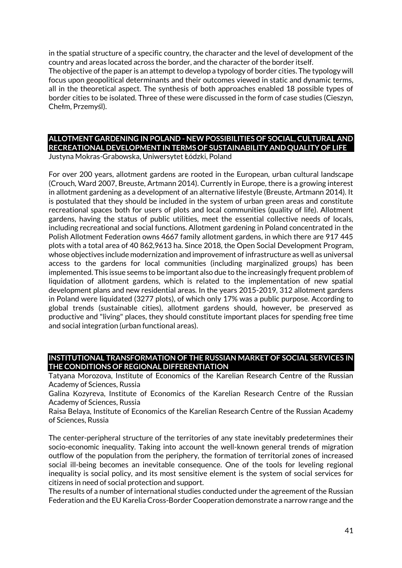in the spatial structure of a specific country, the character and the level of development of the country and areas located across the border, and the character of the border itself. The objective of the paper is an attempt to develop a typology of border cities. The typology will focus upon geopolitical determinants and their outcomes viewed in static and dynamic terms, all in the theoretical aspect. The synthesis of both approaches enabled 18 possible types of border cities to be isolated. Three of these were discussed in the form of case studies (Cieszyn, Chełm, Przemyśl).

# **ALLOTMENT GARDENING IN POLAND - NEW POSSIBILITIES OF SOCIAL, CULTURAL AND RECREATIONAL DEVELOPMENT IN TERMS OF SUSTAINABILITY AND QUALITY OF LIFE**

Justyna Mokras-Grabowska, Uniwersytet Łódzki, Poland

For over 200 years, allotment gardens are rooted in the European, urban cultural landscape (Crouch, Ward 2007, Breuste, Artmann 2014). Currently in Europe, there is a growing interest in allotment gardening as a development of an alternative lifestyle (Breuste, Artmann 2014). It is postulated that they should be included in the system of urban green areas and constitute recreational spaces both for users of plots and local communities (quality of life). Allotment gardens, having the status of public utilities, meet the essential collective needs of locals, including recreational and social functions. Allotment gardening in Poland concentrated in the Polish Allotment Federation owns 4667 family allotment gardens, in which there are 917 445 plots with a total area of 40 862,9613 ha. Since 2018, the Open Social Development Program, whose objectives include modernization and improvement of infrastructure as well as universal access to the gardens for local communities (including marginalized groups) has been implemented. This issue seems to be important also due to the increasingly frequent problem of liquidation of allotment gardens, which is related to the implementation of new spatial development plans and new residential areas. In the years 2015-2019, 312 allotment gardens in Poland were liquidated (3277 plots), of which only 17% was a public purpose. According to global trends (sustainable cities), allotment gardens should, however, be preserved as productive and "living" places, they should constitute important places for spending free time and social integration (urban functional areas).

#### **INSTITUTIONAL TRANSFORMATION OF THE RUSSIAN MARKET OF SOCIAL SERVICES IN THE CONDITIONS OF REGIONAL DIFFERENTIATION**

Tatyana Morozova, Institute of Economics of the Karelian Research Centre of the Russian Academy of Sciences, Russia

Galina Kozyreva, Institute of Economics of the Karelian Research Centre of the Russian Academy of Sciences, Russia

Raisa Belaya, Institute of Economics of the Karelian Research Centre of the Russian Academy of Sciences, Russia

The center-peripheral structure of the territories of any state inevitably predetermines their socio-economic inequality. Taking into account the well-known general trends of migration outflow of the population from the periphery, the formation of territorial zones of increased social ill-being becomes an inevitable consequence. One of the tools for leveling regional inequality is social policy, and its most sensitive element is the system of social services for citizens in need of social protection and support.

The results of a number of international studies conducted under the agreement of the Russian Federation and the EU Karelia Cross-Border Cooperation demonstrate a narrow range and the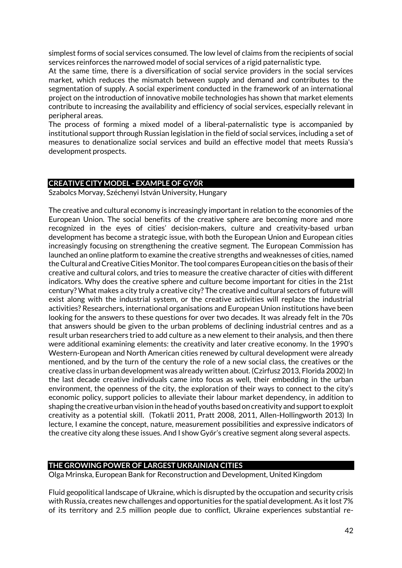simplest forms of social services consumed. The low level of claims from the recipients of social services reinforces the narrowed model of social services of a rigid paternalistic type.

At the same time, there is a diversification of social service providers in the social services market, which reduces the mismatch between supply and demand and contributes to the segmentation of supply. A social experiment conducted in the framework of an international project on the introduction of innovative mobile technologies has shown that market elements contribute to increasing the availability and efficiency of social services, especially relevant in peripheral areas.

The process of forming a mixed model of a liberal-paternalistic type is accompanied by institutional support through Russian legislation in the field of social services, including a set of measures to denationalize social services and build an effective model that meets Russia's development prospects.

#### **CREATIVE CITY MODEL - EXAMPLE OF GYŐR**

Szabolcs Morvay, Széchenyi István University, Hungary

The creative and cultural economy is increasingly important in relation to the economies of the European Union. The social benefits of the creative sphere are becoming more and more recognized in the eyes of cities' decision-makers, culture and creativity-based urban development has become a strategic issue, with both the European Union and European cities increasingly focusing on strengthening the creative segment. The European Commission has launched an online platform to examine the creative strengths and weaknesses of cities, named the Cultural and Creative Cities Monitor. The tool compares European cities on the basis of their creative and cultural colors, and tries to measure the creative character of cities with different indicators. Why does the creative sphere and culture become important for cities in the 21st century? What makes a city truly a creative city? The creative and cultural sectors of future will exist along with the industrial system, or the creative activities will replace the industrial activities? Researchers, international organisations and European Union institutions have been looking for the answers to these questions for over two decades. It was already felt in the 70s that answers should be given to the urban problems of declining industrial centres and as a result urban researchers tried to add culture as a new element to their analysis, and then there were additional examining elements: the creativity and later creative economy. In the 1990's Western-European and North American cities renewed by cultural development were already mentioned, and by the turn of the century the role of a new social class, the creatives or the creative class in urban development was already written about. (Czirfusz 2013, Florida 2002) In the last decade creative individuals came into focus as well, their embedding in the urban environment, the openness of the city, the exploration of their ways to connect to the city's economic policy, support policies to alleviate their labour market dependency, in addition to shaping the creative urban vision in the head of youths based on creativity and support to exploit creativity as a potential skill. (Tokatli 2011, Pratt 2008, 2011, Allen-Hollingworth 2013) In lecture, I examine the concept, nature, measurement possibilities and expressive indicators of the creative city along these issues. And I show Győr's creative segment along several aspects.

#### **THE GROWING POWER OF LARGEST UKRAINIAN CITIES**

Olga Mrinska, European Bank for Reconstruction and Development, United Kingdom

Fluid geopolitical landscape of Ukraine, which is disrupted by the occupation and security crisis with Russia, creates new challenges and opportunities for the spatial development. As it lost 7% of its territory and 2.5 million people due to conflict, Ukraine experiences substantial re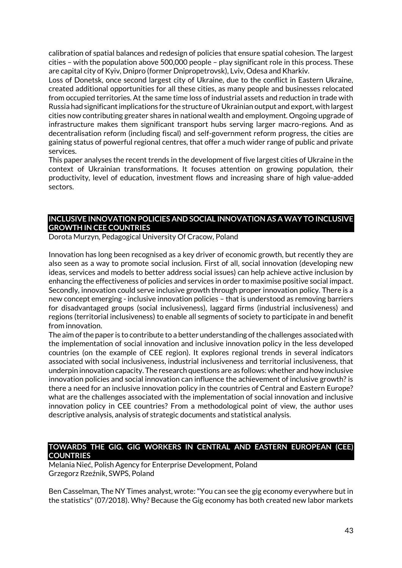calibration of spatial balances and redesign of policies that ensure spatial cohesion. The largest cities – with the population above 500,000 people – play significant role in this process. These are capital city of Kyiv, Dnipro (former Dnipropetrovsk), Lviv, Odesa and Kharkiv.

Loss of Donetsk, once second largest city of Ukraine, due to the conflict in Eastern Ukraine, created additional opportunities for all these cities, as many people and businesses relocated from occupied territories. At the same time loss of industrial assets and reduction in trade with Russia had significant implications for the structure of Ukrainian output and export, with largest cities now contributing greater shares in national wealth and employment. Ongoing upgrade of infrastructure makes them significant transport hubs serving larger macro-regions. And as decentralisation reform (including fiscal) and self-government reform progress, the cities are gaining status of powerful regional centres, that offer a much wider range of public and private services.

This paper analyses the recent trends in the development of five largest cities of Ukraine in the context of Ukrainian transformations. It focuses attention on growing population, their productivity, level of education, investment flows and increasing share of high value-added sectors.

### **INCLUSIVE INNOVATION POLICIES AND SOCIAL INNOVATION AS A WAY TO INCLUSIVE GROWTH IN CEE COUNTRIES**

Dorota Murzyn, Pedagogical University Of Cracow, Poland

Innovation has long been recognised as a key driver of economic growth, but recently they are also seen as a way to promote social inclusion. First of all, social innovation (developing new ideas, services and models to better address social issues) can help achieve active inclusion by enhancing the effectiveness of policies and services in order to maximise positive social impact. Secondly, innovation could serve inclusive growth through proper innovation policy. There is a new concept emerging - inclusive innovation policies – that is understood as removing barriers for disadvantaged groups (social inclusiveness), laggard firms (industrial inclusiveness) and regions (territorial inclusiveness) to enable all segments of society to participate in and benefit from innovation.

The aim of the paper is to contribute to a better understanding of the challenges associated with the implementation of social innovation and inclusive innovation policy in the less developed countries (on the example of CEE region). It explores regional trends in several indicators associated with social inclusiveness, industrial inclusiveness and territorial inclusiveness, that underpin innovation capacity. The research questions are as follows: whether and how inclusive innovation policies and social innovation can influence the achievement of inclusive growth? is there a need for an inclusive innovation policy in the countries of Central and Eastern Europe? what are the challenges associated with the implementation of social innovation and inclusive innovation policy in CEE countries? From a methodological point of view, the author uses descriptive analysis, analysis of strategic documents and statistical analysis.

### **TOWARDS THE GIG. GIG WORKERS IN CENTRAL AND EASTERN EUROPEAN (CEE) COUNTRIES**

Melania Nieć, Polish Agency for Enterprise Development, Poland Grzegorz Rzeźnik, SWPS, Poland

Ben Casselman, The NY Times analyst, wrote: "You can see the gig economy everywhere but in the statistics" (07/2018). Why? Because the Gig economy has both created new labor markets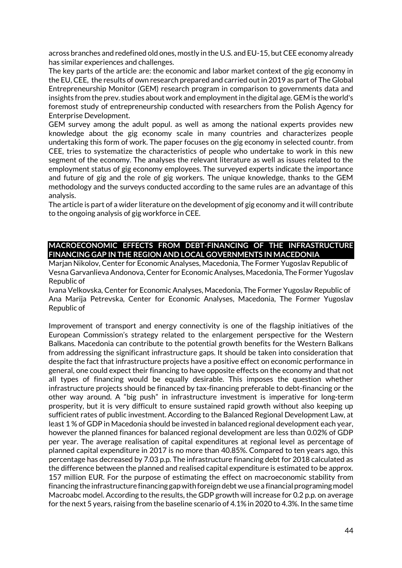across branches and redefined old ones, mostly in the U.S. and EU-15, but CEE economy already has similar experiences and challenges.

The key parts of the article are: the economic and labor market context of the gig economy in the EU, CEE, the results of own research prepared and carried out in 2019 as part of The Global Entrepreneurship Monitor (GEM) research program in comparison to governments data and insights from the prev. studies about work and employment in the digital age. GEM is the world's foremost study of entrepreneurship conducted with researchers from the Polish Agency for Enterprise Development.

GEM survey among the adult popul. as well as among the national experts provides new knowledge about the gig economy scale in many countries and characterizes people undertaking this form of work. The paper focuses on the gig economy in selected countr. from CEE, tries to systematize the characteristics of people who undertake to work in this new segment of the economy. The analyses the relevant literature as well as issues related to the employment status of gig economy employees. The surveyed experts indicate the importance and future of gig and the role of gig workers. The unique knowledge, thanks to the GEM methodology and the surveys conducted according to the same rules are an advantage of this analysis.

The article is part of a wider literature on the development of gig economy and it will contribute to the ongoing analysis of gig workforce in CEE.

### **MACROECONOMIC EFFECTS FROM DEBT-FINANCING OF THE INFRASTRUCTURE FINANCING GAP IN THE REGION AND LOCAL GOVERNMENTS IN MACEDONIA**

Marjan Nikolov, Center for Economic Analyses, Macedonia, The Former Yugoslav Republic of Vesna Garvanlieva Andonova, Center for Economic Analyses, Macedonia, The Former Yugoslav Republic of

Ivana Velkovska, Center for Economic Analyses, Macedonia, The Former Yugoslav Republic of Ana Marija Petrevska, Center for Economic Analyses, Macedonia, The Former Yugoslav Republic of

Improvement of transport and energy connectivity is one of the flagship initiatives of the European Commission's strategy related to the enlargement perspective for the Western Balkans. Macedonia can contribute to the potential growth benefits for the Western Balkans from addressing the significant infrastructure gaps. It should be taken into consideration that despite the fact that infrastructure projects have a positive effect on economic performance in general, one could expect their financing to have opposite effects on the economy and that not all types of financing would be equally desirable. This imposes the question whether infrastructure projects should be financed by tax-financing preferable to debt-financing or the other way around. A "big push" in infrastructure investment is imperative for long-term prosperity, but it is very difficult to ensure sustained rapid growth without also keeping up sufficient rates of public investment. According to the Balanced Regional Development Law, at least 1 % of GDP in Macedonia should be invested in balanced regional development each year, however the planned finances for balanced regional development are less than 0.02% of GDP per year. The average realisation of capital expenditures at regional level as percentage of planned capital expenditure in 2017 is no more than 40.85%. Compared to ten years ago, this percentage has decreased by 7.03 p.p. The infrastructure financing debt for 2018 calculated as the difference between the planned and realised capital expenditure is estimated to be approx. 157 million EUR. For the purpose of estimating the effect on macroeconomic stability from financing the infrastructure financing gap with foreign debt we use a financial programing model Macroabc model. According to the results, the GDP growth will increase for 0.2 p.p. on average for the next 5 years, raising from the baseline scenario of 4.1% in 2020 to 4.3%. In the same time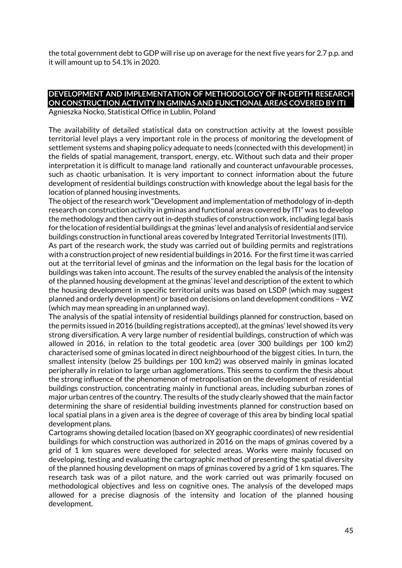the total government debt to GDP will rise up on average for the next five years for 2.7 p.p. and it will amount up to 54.1% in 2020.

# **DEVELOPMENT AND IMPLEMENTATION OF METHODOLOGY OF IN-DEPTH RESEARCH ON CONSTRUCTION ACTIVITY IN GMINAS AND FUNCTIONAL AREAS COVERED BY ITI**

Agnieszka Nocko, Statistical Office in Lublin, Poland

The availability of detailed statistical data on construction activity at the lowest possible territorial level plays a very important role in the process of monitoring the development of settlement systems and shaping policy adequate to needs (connected with this development) in the fields of spatial management, transport, energy, etc. Without such data and their proper interpretation it is difficult to manage land rationally and counteract unfavourable processes, such as chaotic urbanisation. It is very important to connect information about the future development of residential buildings construction with knowledge about the legal basis for the location of planned housing investments.

The object of the research work "Development and implementation of methodology of in-depth research on construction activity in gminas and functional areas covered by ITI" was to develop the methodology and then carry out in-depth studies of construction work, including legal basis for the location of residential buildings at the gminas' level and analysis of residential and service buildings construction in functional areas covered by Integrated Territorial Investments (ITI).

As part of the research work, the study was carried out of building permits and registrations with a construction project of new residential buildings in 2016. For the first time it was carried out at the territorial level of gminas and the information on the legal basis for the location of buildings was taken into account. The results of the survey enabled the analysis of the intensity of the planned housing development at the gminas' level and description of the extent to which the housing development in specific territorial units was based on LSDP (which may suggest planned and orderly development) or based on decisions on land development conditions – WZ (which may mean spreading in an unplanned way).

The analysis of the spatial intensity of residential buildings planned for construction, based on the permits issued in 2016 (building registrations accepted), at the gminas' level showed its very strong diversification. A very large number of residential buildings, construction of which was allowed in 2016, in relation to the total geodetic area (over 300 buildings per 100 km2) characterised some of gminas located in direct neighbourhood of the biggest cities. In turn, the smallest intensity (below 25 buildings per 100 km2) was observed mainly in gminas located peripherally in relation to large urban agglomerations. This seems to confirm the thesis about the strong influence of the phenomenon of metropolisation on the development of residential buildings construction, concentrating mainly in functional areas, including suburban zones of major urban centres of the country. The results of the study clearly showed that the main factor determining the share of residential building investments planned for construction based on local spatial plans in a given area is the degree of coverage of this area by binding local spatial development plans.

Cartograms showing detailed location (based on XY geographic coordinates) of new residential buildings for which construction was authorized in 2016 on the maps of gminas covered by a grid of 1 km squares were developed for selected areas. Works were mainly focused on developing, testing and evaluating the cartographic method of presenting the spatial diversity of the planned housing development on maps of gminas covered by a grid of 1 km squares. The research task was of a pilot nature, and the work carried out was primarily focused on methodological objectives and less on cognitive ones. The analysis of the developed maps allowed for a precise diagnosis of the intensity and location of the planned housing development.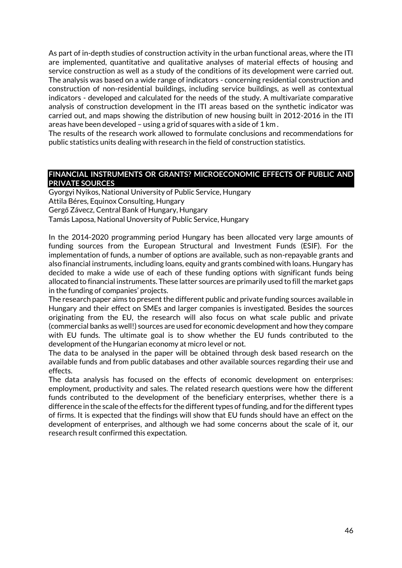As part of in-depth studies of construction activity in the urban functional areas, where the ITI are implemented, quantitative and qualitative analyses of material effects of housing and service construction as well as a study of the conditions of its development were carried out. The analysis was based on a wide range of indicators - concerning residential construction and construction of non-residential buildings, including service buildings, as well as contextual indicators - developed and calculated for the needs of the study. A multivariate comparative analysis of construction development in the ITI areas based on the synthetic indicator was carried out, and maps showing the distribution of new housing built in 2012-2016 in the ITI areas have been developed – using a grid of squares with a side of 1 km .

The results of the research work allowed to formulate conclusions and recommendations for public statistics units dealing with research in the field of construction statistics.

#### **FINANCIAL INSTRUMENTS OR GRANTS? MICROECONOMIC EFFECTS OF PUBLIC AND PRIVATE SOURCES**

Gyorgyi Nyikos, National University of Public Service, Hungary Attila Béres, Equinox Consulting, Hungary Gergő Závecz, Central Bank of Hungary, Hungary Tamás Laposa, National Unoversity of Public Service, Hungary

In the 2014-2020 programming period Hungary has been allocated very large amounts of funding sources from the European Structural and Investment Funds (ESIF). For the implementation of funds, a number of options are available, such as non-repayable grants and also financial instruments, including loans, equity and grants combined with loans. Hungary has decided to make a wide use of each of these funding options with significant funds being allocated to financial instruments. These latter sources are primarily used to fill the market gaps in the funding of companies' projects.

The research paper aims to present the different public and private funding sources available in Hungary and their effect on SMEs and larger companies is investigated. Besides the sources originating from the EU, the research will also focus on what scale public and private (commercial banks as well!) sources are used for economic development and how they compare with EU funds. The ultimate goal is to show whether the EU funds contributed to the development of the Hungarian economy at micro level or not.

The data to be analysed in the paper will be obtained through desk based research on the available funds and from public databases and other available sources regarding their use and effects.

The data analysis has focused on the effects of economic development on enterprises: employment, productivity and sales. The related research questions were how the different funds contributed to the development of the beneficiary enterprises, whether there is a difference in the scale of the effects for the different types of funding, and for the different types of firms. It is expected that the findings will show that EU funds should have an effect on the development of enterprises, and although we had some concerns about the scale of it, our research result confirmed this expectation.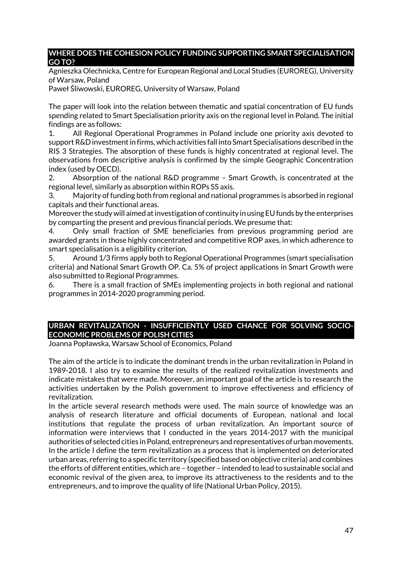### **WHERE DOES THE COHESION POLICY FUNDING SUPPORTING SMART SPECIALISATION GO TO?**

Agnieszka Olechnicka, Centre for European Regional and Local Studies (EUROREG), University of Warsaw, Poland

Paweł Śliwowski, EUROREG, University of Warsaw, Poland

The paper will look into the relation between thematic and spatial concentration of EU funds spending related to Smart Specialisation priority axis on the regional level in Poland. The initial findings are as follows:

1. All Regional Operational Programmes in Poland include one priority axis devoted to support R&D investment in firms, which activities fall into Smart Specialisations described in the RIS 3 Strategies. The absorption of these funds is highly concentrated at regional level. The observations from descriptive analysis is confirmed by the simple Geographic Concentration index (used by OECD).

2. Absorption of the national R&D programme – Smart Growth, is concentrated at the regional level, similarly as absorption within ROPs SS axis.

3. Majority of funding both from regional and national programmes is absorbed in regional capitals and their functional areas.

Moreover the study will aimed at investigation of continuity in using EU funds by the enterprises by comparting the present and previous financial periods. We presume that:

4. Only small fraction of SME beneficiaries from previous programming period are awarded grants in those highly concentrated and competitive ROP axes, in which adherence to smart specialisation is a eligibility criterion.

5. Around 1/3 firms apply both to Regional Operational Programmes (smart specialisation criteria) and National Smart Growth OP. Ca. 5% of project applications in Smart Growth were also submitted to Regional Programmes.

6. There is a small fraction of SMEs implementing projects in both regional and national programmes in 2014-2020 programming period.

# **URBAN REVITALIZATION - INSUFFICIENTLY USED CHANCE FOR SOLVING SOCIO-ECONOMIC PROBLEMS OF POLISH CITIES**

Joanna Popławska, Warsaw School of Economics, Poland

The aim of the article is to indicate the dominant trends in the urban revitalization in Poland in 1989-2018. I also try to examine the results of the realized revitalization investments and indicate mistakes that were made. Moreover, an important goal of the article is to research the activities undertaken by the Polish government to improve effectiveness and efficiency of revitalization.

In the article several research methods were used. The main source of knowledge was an analysis of research literature and official documents of European, national and local institutions that regulate the process of urban revitalization. An important source of information were interviews that I conducted in the years 2014-2017 with the municipal authorities of selected cities in Poland, entrepreneurs and representatives of urban movements. In the article I define the term revitalization as a process that is implemented on deteriorated urban areas, referring to a specific territory (specified based on objective criteria) and combines the efforts of different entities, which are – together – intended to lead to sustainable social and economic revival of the given area, to improve its attractiveness to the residents and to the entrepreneurs, and to improve the quality of life (National Urban Policy, 2015).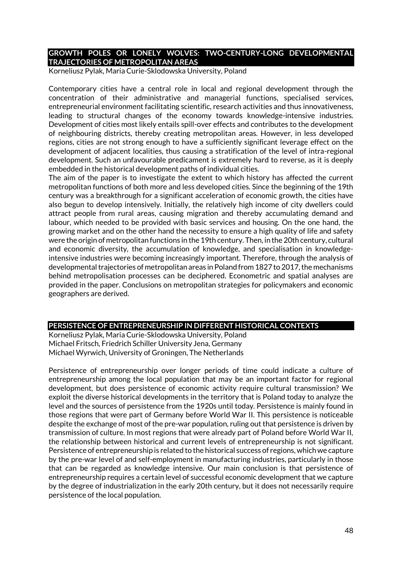### **GROWTH POLES OR LONELY WOLVES: TWO-CENTURY-LONG DEVELOPMENTAL TRAJECTORIES OF METROPOLITAN AREAS**

Korneliusz Pylak, Maria Curie-Sklodowska University, Poland

Contemporary cities have a central role in local and regional development through the concentration of their administrative and managerial functions, specialised services, entrepreneurial environment facilitating scientific, research activities and thus innovativeness, leading to structural changes of the economy towards knowledge-intensive industries. Development of cities most likely entails spill-over effects and contributes to the development of neighbouring districts, thereby creating metropolitan areas. However, in less developed regions, cities are not strong enough to have a sufficiently significant leverage effect on the development of adjacent localities, thus causing a stratification of the level of intra-regional development. Such an unfavourable predicament is extremely hard to reverse, as it is deeply embedded in the historical development paths of individual cities.

The aim of the paper is to investigate the extent to which history has affected the current metropolitan functions of both more and less developed cities. Since the beginning of the 19th century was a breakthrough for a significant acceleration of economic growth, the cities have also begun to develop intensively. Initially, the relatively high income of city dwellers could attract people from rural areas, causing migration and thereby accumulating demand and labour, which needed to be provided with basic services and housing. On the one hand, the growing market and on the other hand the necessity to ensure a high quality of life and safety were the origin of metropolitan functions in the 19th century. Then, in the 20th century, cultural and economic diversity, the accumulation of knowledge, and specialisation in knowledgeintensive industries were becoming increasingly important. Therefore, through the analysis of developmental trajectories of metropolitan areas in Poland from 1827 to 2017, the mechanisms behind metropolisation processes can be deciphered. Econometric and spatial analyses are provided in the paper. Conclusions on metropolitan strategies for policymakers and economic geographers are derived.

#### **PERSISTENCE OF ENTREPRENEURSHIP IN DIFFERENT HISTORICAL CONTEXTS**

Korneliusz Pylak, Maria Curie-Sklodowska University, Poland Michael Fritsch, Friedrich Schiller University Jena, Germany Michael Wyrwich, University of Groningen, The Netherlands

Persistence of entrepreneurship over longer periods of time could indicate a culture of entrepreneurship among the local population that may be an important factor for regional development, but does persistence of economic activity require cultural transmission? We exploit the diverse historical developments in the territory that is Poland today to analyze the level and the sources of persistence from the 1920s until today. Persistence is mainly found in those regions that were part of Germany before World War II. This persistence is noticeable despite the exchange of most of the pre-war population, ruling out that persistence is driven by transmission of culture. In most regions that were already part of Poland before World War II, the relationship between historical and current levels of entrepreneurship is not significant. Persistence of entrepreneurship is related to the historical success of regions, which we capture by the pre-war level of and self-employment in manufacturing industries, particularly in those that can be regarded as knowledge intensive. Our main conclusion is that persistence of entrepreneurship requires a certain level of successful economic development that we capture by the degree of industrialization in the early 20th century, but it does not necessarily require persistence of the local population.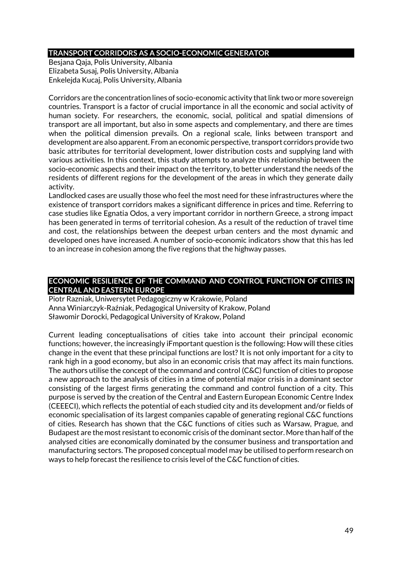### **TRANSPORT CORRIDORS AS A SOCIO-ECONOMIC GENERATOR**

Besjana Qaja, Polis University, Albania Elizabeta Susaj, Polis University, Albania Enkelejda Kucaj, Polis University, Albania

Corridors are the concentration lines of socio-economic activity that link two or more sovereign countries. Transport is a factor of crucial importance in all the economic and social activity of human society. For researchers, the economic, social, political and spatial dimensions of transport are all important, but also in some aspects and complementary, and there are times when the political dimension prevails. On a regional scale, links between transport and development are also apparent. From an economic perspective, transport corridors provide two basic attributes for territorial development, lower distribution costs and supplying land with various activities. In this context, this study attempts to analyze this relationship between the socio-economic aspects and their impact on the territory, to better understand the needs of the residents of different regions for the development of the areas in which they generate daily activity.

Landlocked cases are usually those who feel the most need for these infrastructures where the existence of transport corridors makes a significant difference in prices and time. Referring to case studies like Egnatia Odos, a very important corridor in northern Greece, a strong impact has been generated in terms of territorial cohesion. As a result of the reduction of travel time and cost, the relationships between the deepest urban centers and the most dynamic and developed ones have increased. A number of socio-economic indicators show that this has led to an increase in cohesion among the five regions that the highway passes.

### **ECONOMIC RESILIENCE OF THE COMMAND AND CONTROL FUNCTION OF CITIES IN CENTRAL AND EASTERN EUROPE**

Piotr Razniak, Uniwersytet Pedagogiczny w Krakowie, Poland Anna Winiarczyk-Raźniak, Pedagogical University of Krakow, Poland Sławomir Dorocki, Pedagogical University of Krakow, Poland

Current leading conceptualisations of cities take into account their principal economic functions; however, the increasingly iFmportant question is the following: How will these cities change in the event that these principal functions are lost? It is not only important for a city to rank high in a good economy, but also in an economic crisis that may affect its main functions. The authors utilise the concept of the command and control (C&C) function of cities to propose a new approach to the analysis of cities in a time of potential major crisis in a dominant sector consisting of the largest firms generating the command and control function of a city. This purpose is served by the creation of the Central and Eastern European Economic Centre Index (CEEECI), which reflects the potential of each studied city and its development and/or fields of economic specialisation of its largest companies capable of generating regional C&C functions of cities. Research has shown that the C&C functions of cities such as Warsaw, Prague, and Budapest are the most resistant to economic crisis of the dominant sector. More than half of the analysed cities are economically dominated by the consumer business and transportation and manufacturing sectors. The proposed conceptual model may be utilised to perform research on ways to help forecast the resilience to crisis level of the C&C function of cities.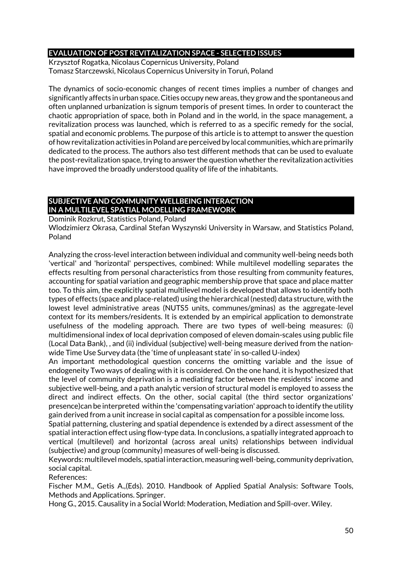### **EVALUATION OF POST REVITALIZATION SPACE - SELECTED ISSUES**

Krzysztof Rogatka, Nicolaus Copernicus University, Poland Tomasz Starczewski, Nicolaus Copernicus University in Toruń, Poland

The dynamics of socio-economic changes of recent times implies a number of changes and significantly affects in urban space. Cities occupy new areas, they grow and the spontaneous and often unplanned urbanization is signum temporis of present times. In order to counteract the chaotic appropriation of space, both in Poland and in the world, in the space management, a revitalization process was launched, which is referred to as a specific remedy for the social, spatial and economic problems. The purpose of this article is to attempt to answer the question of how revitalization activities in Poland are perceived by local communities, which are primarily dedicated to the process. The authors also test different methods that can be used to evaluate the post-revitalization space, trying to answer the question whether the revitalization activities have improved the broadly understood quality of life of the inhabitants.

# **SUBJECTIVE AND COMMUNITY WELLBEING INTERACTION IN A MULTILEVEL SPATIAL MODELLING FRAMEWORK**

Dominik Rozkrut, Statistics Poland, Poland

Wlodzimierz Okrasa, Cardinal Stefan Wyszynski University in Warsaw, and Statistics Poland, Poland

Analyzing the cross-level interaction between individual and community well-being needs both 'vertical' and 'horizontal' perspectives, combined: While multilevel modelling separates the effects resulting from personal characteristics from those resulting from community features, accounting for spatial variation and geographic membership prove that space and place matter too. To this aim, the explicitly spatial multilevel model is developed that allows to identify both types of effects (space and place-related) using the hierarchical (nested) data structure, with the lowest level administrative areas (NUTS5 units, communes/gminas) as the aggregate-level context for its members/residents. It is extended by an empirical application to demonstrate usefulness of the modeling approach. There are two types of well-being measures: (i) multidimensional index of local deprivation composed of eleven domain-scales using public file (Local Data Bank), , and (ii) individual (subjective) well-being measure derived from the nationwide Time Use Survey data (the 'time of unpleasant state' in so-called U-index)

An important methodological question concerns the omitting variable and the issue of endogeneity Two ways of dealing with it is considered. On the one hand, it is hypothesized that the level of community deprivation is a mediating factor between the residents' income and subjective well-being, and a path analytic version of structural model is employed to assess the direct and indirect effects. On the other, social capital (the third sector organizations' presence)can be interpreted within the 'compensating variation' approach to identify the utility gain derived from a unit increase in social capital as compensation for a possible income loss.

Spatial patterning, clustering and spatial dependence is extended by a direct assessment of the spatial interaction effect using flow-type data. In conclusions, a spatially integrated approach to vertical (multilevel) and horizontal (across areal units) relationships between individual (subjective) and group (community) measures of well-being is discussed.

Keywords: multilevel models, spatial interaction, measuring well-being, community deprivation, social capital.

References:

Fischer M.M., Getis A.,(Eds). 2010. Handbook of Applied Spatial Analysis: Software Tools, Methods and Applications. Springer.

Hong G., 2015. Causality in a Social World: Moderation, Mediation and Spill-over. Wiley.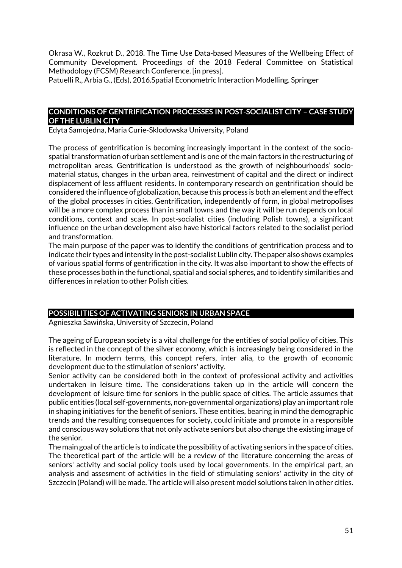Okrasa W., Rozkrut D., 2018. The Time Use Data-based Measures of the Wellbeing Effect of Community Development. Proceedings of the 2018 Federal Committee on Statistical Methodology (FCSM) Research Conference. [in press].

Patuelli R., Arbia G., (Eds), 2016.Spatial Econometric Interaction Modelling. Springer

### **CONDITIONS OF GENTRIFICATION PROCESSES IN POST-SOCIALIST CITY – CASE STUDY OF THE LUBLIN CITY**

Edyta Samojedna, Maria Curie-Sklodowska University, Poland

The process of gentrification is becoming increasingly important in the context of the sociospatial transformation of urban settlement and is one of the main factors in the restructuring of metropolitan areas. Gentrification is understood as the growth of neighbourhoods' sociomaterial status, changes in the urban area, reinvestment of capital and the direct or indirect displacement of less affluent residents. In contemporary research on gentrification should be considered the influence of globalization, because this process is both an element and the effect of the global processes in cities. Gentrification, independently of form, in global metropolises will be a more complex process than in small towns and the way it will be run depends on local conditions, context and scale. In post-socialist cities (including Polish towns), a significant influence on the urban development also have historical factors related to the socialist period and transformation.

The main purpose of the paper was to identify the conditions of gentrification process and to indicate their types and intensity in the post-socialist Lublin city. The paper also shows examples of various spatial forms of gentrification in the city. It was also important to show the effects of these processes both in the functional, spatial and social spheres, and to identify similarities and differences in relation to other Polish cities.

#### **POSSIBILITIES OF ACTIVATING SENIORS IN URBAN SPACE**

Agnieszka Sawińska, University of Szczecin, Poland

The ageing of European society is a vital challenge for the entities of social policy of cities. This is reflected in the concept of the silver economy, which is increasingly being considered in the literature. In modern terms, this concept refers, inter alia, to the growth of economic development due to the stimulation of seniors' activity.

Senior activity can be considered both in the context of professional activity and activities undertaken in leisure time. The considerations taken up in the article will concern the development of leisure time for seniors in the public space of cities. The article assumes that public entities (local self-governments, non-governmental organizations) play an important role in shaping initiatives for the benefit of seniors. These entities, bearing in mind the demographic trends and the resulting consequences for society, could initiate and promote in a responsible and conscious way solutions that not only activate seniors but also change the existing image of the senior.

The main goal of the article is to indicate the possibility of activating seniors in the space of cities. The theoretical part of the article will be a review of the literature concerning the areas of seniors' activity and social policy tools used by local governments. In the empirical part, an analysis and assesment of activities in the field of stimulating seniors' activity in the city of Szczecin (Poland) will be made. The article will also present model solutions taken in other cities.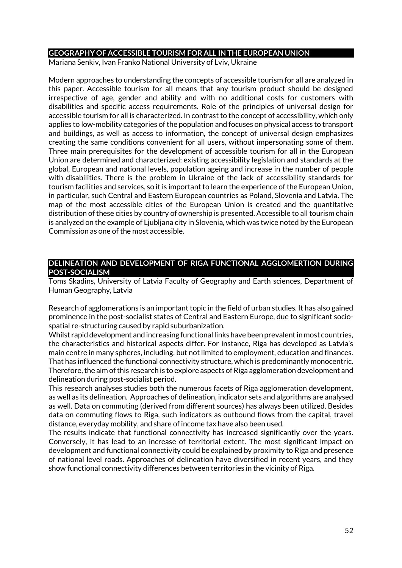#### **GEOGRAPHY OF ACCESSIBLE TOURISM FOR ALL IN THE EUROPEAN UNION**

Mariana Senkiv, Ivan Franko National University of Lviv, Ukraine

Modern approaches to understanding the concepts of accessible tourism for all are analyzed in this paper. Accessible tourism for all means that any tourism product should be designed irrespective of age, gender and ability and with no additional costs for customers with disabilities and specific access requirements. Role of the principles of universal design for accessible tourism for all is characterized. In contrast to the concept of accessibility, which only applies to low-mobility categories of the population and focuses on physical access to transport and buildings, as well as access to information, the concept of universal design emphasizes creating the same conditions convenient for all users, without impersonating some of them. Three main prerequisites for the development of accessible tourism for all in the European Union are determined and characterized: existing accessibility legislation and standards at the global, European and national levels, population ageing and increase in the number of people with disabilities. There is the problem in Ukraine of the lack of accessibility standards for tourism facilities and services, so it is important to learn the experience of the European Union, in particular, such Central and Eastern European countries as Poland, Slovenia and Latvia. The map of the most accessible cities of the European Union is created and the quantitative distribution of these cities by country of ownership is presented. Accessible to all tourism chain is analyzed on the example of Ljubljana city in Slovenia, which was twice noted by the European Commission as one of the most accessible.

#### **DELINEATION AND DEVELOPMENT OF RIGA FUNCTIONAL AGGLOMERTION DURING POST-SOCIALISM**

Toms Skadins, University of Latvia Faculty of Geography and Earth sciences, Department of Human Geography, Latvia

Research of agglomerations is an important topic in the field of urban studies. It has also gained prominence in the post-socialist states of Central and Eastern Europe, due to significant sociospatial re-structuring caused by rapid suburbanization.

Whilst rapid development and increasing functional links have been prevalent in most countries, the characteristics and historical aspects differ. For instance, Riga has developed as Latvia's main centre in many spheres, including, but not limited to employment, education and finances. That has influenced the functional connectivity structure, which is predominantly monocentric. Therefore, the aim of this research is to explore aspects of Riga agglomeration development and delineation during post-socialist period.

This research analyses studies both the numerous facets of Riga agglomeration development, as well as its delineation. Approaches of delineation, indicator sets and algorithms are analysed as well. Data on commuting (derived from different sources) has always been utilized. Besides data on commuting flows to Riga, such indicators as outbound flows from the capital, travel distance, everyday mobility, and share of income tax have also been used.

The results indicate that functional connectivity has increased significantly over the years. Conversely, it has lead to an increase of territorial extent. The most significant impact on development and functional connectivity could be explained by proximity to Riga and presence of national level roads. Approaches of delineation have diversified in recent years, and they show functional connectivity differences between territories in the vicinity of Riga.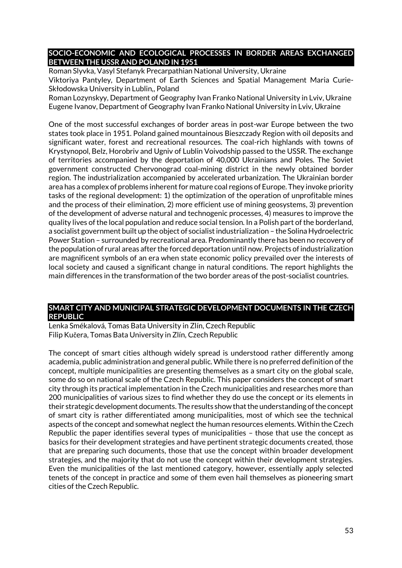### **SOCIO-ECONOMIC AND ECOLOGICAL PROCESSES IN BORDER AREAS EXCHANGED BETWEEN THE USSR AND POLAND IN 1951**

Roman Slyvka, Vasyl Stefanyk Precarpathian National University, Ukraine Viktoriya Pantyley, Department of Earth Sciences and Spatial Management Maria Curie-Skłodowska University in Lublin,, Poland

Roman Lozynskyy, Department of Geography Ivan Franko National University in Lviv, Ukraine Eugene Ivanov, Department of Geography Ivan Franko National University in Lviv, Ukraine

One of the most successful exchanges of border areas in post-war Europe between the two states took place in 1951. Poland gained mountainous Bieszczady Region with oil deposits and significant water, forest and recreational resources. The coal-rich highlands with towns of Krystynopol, Belz, Horobriv and Ugniv of Lublin Voivodship passed to the USSR. The exchange of territories accompanied by the deportation of 40,000 Ukrainians and Poles. The Soviet government constructed Chervonograd coal-mining district in the newly obtained border region. The industrialization accompanied by accelerated urbanization. The Ukrainian border area has a complex of problems inherent for mature coal regions of Europe. They invoke priority tasks of the regional development: 1) the optimization of the operation of unprofitable mines and the process of their elimination, 2) more efficient use of mining geosystems, 3) prevention of the development of adverse natural and technogenic processes, 4) measures to improve the quality lives of the local population and reduce social tension. In a Polish part of the borderland, a socialist government built up the object of socialist industrialization – the Solina Hydroelectric Power Station – surrounded by recreational area. Predominantly there has been no recovery of the population of rural areas after the forced deportation until now. Projects of industrialization are magnificent symbols of an era when state economic policy prevailed over the interests of local society and caused a significant change in natural conditions. The report highlights the main differences in the transformation of the two border areas of the post-socialist countries.

### **SMART CITY AND MUNICIPAL STRATEGIC DEVELOPMENT DOCUMENTS IN THE CZECH REPUBLIC**

Lenka Smékalová, Tomas Bata University in Zlín, Czech Republic Filip Kučera, Tomas Bata University in Zlín, Czech Republic

The concept of smart cities although widely spread is understood rather differently among academia, public administration and general public. While there is no preferred definition of the concept, multiple municipalities are presenting themselves as a smart city on the global scale, some do so on national scale of the Czech Republic. This paper considers the concept of smart city through its practical implementation in the Czech municipalities and researches more than 200 municipalities of various sizes to find whether they do use the concept or its elements in their strategic development documents. The results show that the understanding of the concept of smart city is rather differentiated among municipalities, most of which see the technical aspects of the concept and somewhat neglect the human resources elements. Within the Czech Republic the paper identifies several types of municipalities – those that use the concept as basics for their development strategies and have pertinent strategic documents created, those that are preparing such documents, those that use the concept within broader development strategies, and the majority that do not use the concept within their development strategies. Even the municipalities of the last mentioned category, however, essentially apply selected tenets of the concept in practice and some of them even hail themselves as pioneering smart cities of the Czech Republic.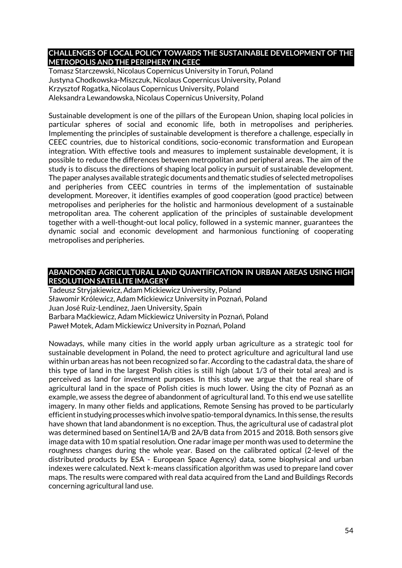### **CHALLENGES OF LOCAL POLICY TOWARDS THE SUSTAINABLE DEVELOPMENT OF THE METROPOLIS AND THE PERIPHERY IN CEEC**

Tomasz Starczewski, Nicolaus Copernicus University in Toruń, Poland Justyna Chodkowska-Miszczuk, Nicolaus Copernicus University, Poland Krzysztof Rogatka, Nicolaus Copernicus University, Poland Aleksandra Lewandowska, Nicolaus Copernicus University, Poland

Sustainable development is one of the pillars of the European Union, shaping local policies in particular spheres of social and economic life, both in metropolises and peripheries. Implementing the principles of sustainable development is therefore a challenge, especially in CEEC countries, due to historical conditions, socio-economic transformation and European integration. With effective tools and measures to implement sustainable development, it is possible to reduce the differences between metropolitan and peripheral areas. The aim of the study is to discuss the directions of shaping local policy in pursuit of sustainable development. The paper analyses available strategic documents and thematic studies of selected metropolises and peripheries from CEEC countries in terms of the implementation of sustainable development. Moreover, it identifies examples of good cooperation (good practice) between metropolises and peripheries for the holistic and harmonious development of a sustainable metropolitan area. The coherent application of the principles of sustainable development together with a well-thought-out local policy, followed in a systemic manner, guarantees the dynamic social and economic development and harmonious functioning of cooperating metropolises and peripheries.

#### **ABANDONED AGRICULTURAL LAND QUANTIFICATION IN URBAN AREAS USING HIGH RESOLUTION SATELLITE IMAGERY**

Tadeusz Stryjakiewicz, Adam Mickiewicz University, Poland Sławomir Królewicz, Adam Mickiewicz University in Poznań, Poland Juan José Ruiz-Lendínez, Jaen University, Spain Barbara Maćkiewicz, Adam Mickiewicz University in Poznań, Poland Paweł Motek, Adam Mickiewicz University in Poznań, Poland

Nowadays, while many cities in the world apply urban agriculture as a strategic tool for sustainable development in Poland, the need to protect agriculture and agricultural land use within urban areas has not been recognized so far. According to the cadastral data, the share of this type of land in the largest Polish cities is still high (about 1/3 of their total area) and is perceived as land for investment purposes. In this study we argue that the real share of agricultural land in the space of Polish cities is much lower. Using the city of Poznań as an example, we assess the degree of abandonment of agricultural land. To this end we use satellite imagery. In many other fields and applications, Remote Sensing has proved to be particularly efficient in studying processes which involve spatio-temporal dynamics. In this sense, the results have shown that land abandonment is no exception. Thus, the agricultural use of cadastral plot was determined based on Sentinel1A/B and 2A/B data from 2015 and 2018. Both sensors give image data with 10 m spatial resolution. One radar image per month was used to determine the roughness changes during the whole year. Based on the calibrated optical (2-level of the distributed products by ESA - European Space Agency) data, some biophysical and urban indexes were calculated. Next k-means classification algorithm was used to prepare land cover maps. The results were compared with real data acquired from the Land and Buildings Records concerning agricultural land use.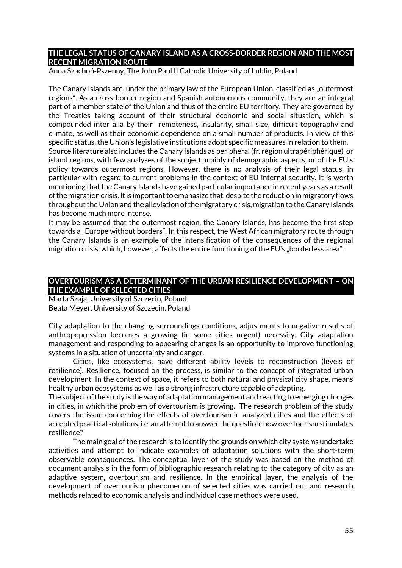#### **THE LEGAL STATUS OF CANARY ISLAND AS A CROSS-BORDER REGION AND THE MOST RECENT MIGRATION ROUTE**

Anna Szachoń-Pszenny, The John Paul II Catholic University of Lublin, Poland

The Canary Islands are, under the primary law of the European Union, classified as "outermost regions". As a cross-border region and Spanish autonomous community, they are an integral part of a member state of the Union and thus of the entire EU territory. They are governed by the Treaties taking account of their structural economic and social situation, which is compounded inter alia by their remoteness, insularity, small size, difficult topography and climate, as well as their economic dependence on a small number of products. In view of this specific status, the Union's legislative institutions adopt specific measures in relation to them. Source literature also includes the Canary Islands as peripheral (fr. région ultrapériphérique) or island regions, with few analyses of the subject, mainly of demographic aspects, or of the EU's policy towards outermost regions. However, there is no analysis of their legal status, in particular with regard to current problems in the context of EU internal security. It is worth mentioning that the Canary Islands have gained particular importance in recent years as a result of the migration crisis. It is important to emphasize that, despite the reduction in migratory flows throughout the Union and the alleviation of the migratory crisis, migration to the Canary Islands has become much more intense.

It may be assumed that the outermost region, the Canary Islands, has become the first step towards a "Europe without borders". In this respect, the West African migratory route through the Canary Islands is an example of the intensification of the consequences of the regional migration crisis, which, however, affects the entire functioning of the EU's "borderless area".

### **OVERTOURISM AS A DETERMINANT OF THE URBAN RESILIENCE DEVELOPMENT – ON THE EXAMPLE OF SELECTED CITIES**

Marta Szaja, University of Szczecin, Poland Beata Meyer, University of Szczecin, Poland

City adaptation to the changing surroundings conditions, adjustments to negative results of anthropopression becomes a growing (in some cities urgent) necessity. City adaptation management and responding to appearing changes is an opportunity to improve functioning systems in a situation of uncertainty and danger.

Cities, like ecosystems, have different ability levels to reconstruction (levels of resilience). Resilience, focused on the process, is similar to the concept of integrated urban development. In the context of space, it refers to both natural and physical city shape, means healthy urban ecosystems as well as a strong infrastructure capable of adapting.

The subject of the study is the way of adaptation management and reacting to emerging changes in cities, in which the problem of overtourism is growing. The research problem of the study covers the issue concerning the effects of overtourism in analyzed cities and the effects of accepted practical solutions, i.e. an attempt to answer the question: how overtourism stimulates resilience?

The main goal of the research is to identify the grounds on which city systems undertake activities and attempt to indicate examples of adaptation solutions with the short-term observable consequences. The conceptual layer of the study was based on the method of document analysis in the form of bibliographic research relating to the category of city as an adaptive system, overtourism and resilience. In the empirical layer, the analysis of the development of overtourism phenomenon of selected cities was carried out and research methods related to economic analysis and individual case methods were used.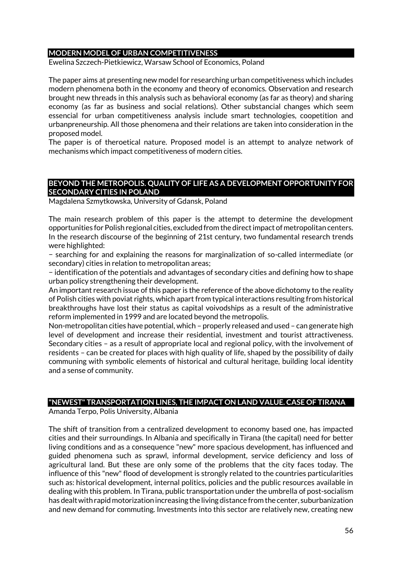#### **MODERN MODEL OF URBAN COMPETITIVENESS**

Ewelina Szczech-Pietkiewicz, Warsaw School of Economics, Poland

The paper aims at presenting new model for researching urban competitiveness which includes modern phenomena both in the economy and theory of economics. Observation and research brought new threads in this analysis such as behavioral economy (as far as theory) and sharing economy (as far as business and social relations). Other substancial changes which seem essencial for urban competitiveness analysis include smart technologies, coopetition and urbanpreneurship. All those phenomena and their relations are taken into consideration in the proposed model.

The paper is of theroetical nature. Proposed model is an attempt to analyze network of mechanisms which impact competitiveness of modern cities.

#### **BEYOND THE METROPOLIS. QUALITY OF LIFE AS A DEVELOPMENT OPPORTUNITY FOR SECONDARY CITIES IN POLAND**

Magdalena Szmytkowska, University of Gdansk, Poland

The main research problem of this paper is the attempt to determine the development opportunities for Polish regional cities, excluded from the direct impact of metropolitan centers. In the research discourse of the beginning of 21st century, two fundamental research trends were highlighted:

− searching for and explaining the reasons for marginalization of so-called intermediate (or secondary) cities in relation to metropolitan areas;

− identification of the potentials and advantages of secondary cities and defining how to shape urban policy strengthening their development.

An important research issue of this paper is the reference of the above dichotomy to the reality of Polish cities with poviat rights, which apart from typical interactions resulting from historical breakthroughs have lost their status as capital voivodships as a result of the administrative reform implemented in 1999 and are located beyond the metropolis.

Non-metropolitan cities have potential, which – properly released and used – can generate high level of development and increase their residential, investment and tourist attractiveness. Secondary cities – as a result of appropriate local and regional policy, with the involvement of residents – can be created for places with high quality of life, shaped by the possibility of daily communing with symbolic elements of historical and cultural heritage, building local identity and a sense of community.

# **"NEWEST" TRANSPORTATION LINES, THE IMPACT ON LAND VALUE. CASE OF TIRANA**

Amanda Terpo, Polis University, Albania

The shift of transition from a centralized development to economy based one, has impacted cities and their surroundings. In Albania and specifically in Tirana (the capital) need for better living conditions and as a consequence "new" more spacious development, has influenced and guided phenomena such as sprawl, informal development, service deficiency and loss of agricultural land. But these are only some of the problems that the city faces today. The influence of this "new" flood of development is strongly related to the countries particularities such as: historical development, internal politics, policies and the public resources available in dealing with this problem. In Tirana, public transportation under the umbrella of post-socialism has dealt with rapid motorization increasing the living distance from the center, suburbanization and new demand for commuting. Investments into this sector are relatively new, creating new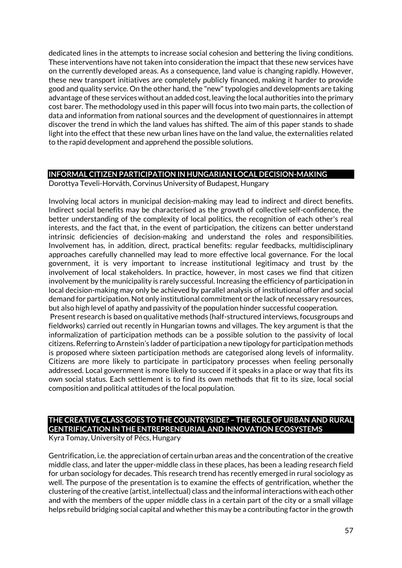dedicated lines in the attempts to increase social cohesion and bettering the living conditions. These interventions have not taken into consideration the impact that these new services have on the currently developed areas. As a consequence, land value is changing rapidly. However, these new transport initiatives are completely publicly financed, making it harder to provide good and quality service. On the other hand, the "new" typologies and developments are taking advantage of these services without an added cost, leaving the local authorities into the primary cost barer. The methodology used in this paper will focus into two main parts, the collection of data and information from national sources and the development of questionnaires in attempt discover the trend in which the land values has shifted. The aim of this paper stands to shade light into the effect that these new urban lines have on the land value, the externalities related to the rapid development and apprehend the possible solutions.

# **INFORMAL CITIZEN PARTICIPATION IN HUNGARIAN LOCAL DECISION-MAKING**

Dorottya Teveli-Horváth, Corvinus University of Budapest, Hungary

Involving local actors in municipal decision-making may lead to indirect and direct benefits. Indirect social benefits may be characterised as the growth of collective self-confidence, the better understanding of the complexity of local politics, the recognition of each other's real interests, and the fact that, in the event of participation, the citizens can better understand intrinsic deficiencies of decision-making and understand the roles and responsibilities. Involvement has, in addition, direct, practical benefits: regular feedbacks, multidisciplinary approaches carefully channelled may lead to more effective local governance. For the local government, it is very important to increase institutional legitimacy and trust by the involvement of local stakeholders. In practice, however, in most cases we find that citizen involvement by the municipality is rarely successful. Increasing the efficiency of participation in local decision-making may only be achieved by parallel analysis of institutional offer and social demand for participation. Not only institutional commitment or the lack of necessary resources, but also high level of apathy and passivity of the population hinder successful cooperation. Present research is based on qualitative methods (half-structured interviews, focusgroups and fieldworks) carried out recently in Hungarian towns and villages. The key argument is that the informalization of participation methods can be a possible solution to the passivity of local citizens. Referring to Arnstein's ladder of participation a new tipology for participation methods is proposed where sixteen participation methods are categorised along levels of informality. Citizens are more likely to participate in participatory processes when feeling personally addressed. Local government is more likely to succeed if it speaks in a place or way that fits its own social status. Each settlement is to find its own methods that fit to its size, local social composition and political attitudes of the local population.

# **THE CREATIVE CLASS GOES TO THE COUNTRYSIDE? – THE ROLE OF URBAN AND RURAL GENTRIFICATION IN THE ENTREPRENEURIAL AND INNOVATION ECOSYSTEMS**

Kyra Tomay, University of Pécs, Hungary

Gentrification, i.e. the appreciation of certain urban areas and the concentration of the creative middle class, and later the upper-middle class in these places, has been a leading research field for urban sociology for decades. This research trend has recently emerged in rural sociology as well. The purpose of the presentation is to examine the effects of gentrification, whether the clustering of the creative (artist, intellectual) class and the informal interactions with each other and with the members of the upper middle class in a certain part of the city or a small village helps rebuild bridging social capital and whether this may be a contributing factor in the growth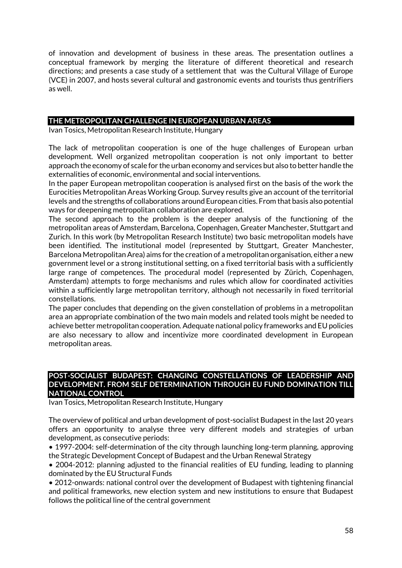of innovation and development of business in these areas. The presentation outlines a conceptual framework by merging the literature of different theoretical and research directions; and presents a case study of a settlement that was the Cultural Village of Europe (VCE) in 2007, and hosts several cultural and gastronomic events and tourists thus gentrifiers as well.

### **THE METROPOLITAN CHALLENGE IN EUROPEAN URBAN AREAS**

Ivan Tosics, Metropolitan Research Institute, Hungary

The lack of metropolitan cooperation is one of the huge challenges of European urban development. Well organized metropolitan cooperation is not only important to better approach the economy of scale for the urban economy and services but also to better handle the externalities of economic, environmental and social interventions.

In the paper European metropolitan cooperation is analysed first on the basis of the work the Eurocities Metropolitan Areas Working Group. Survey results give an account of the territorial levels and the strengths of collaborations around European cities. From that basis also potential ways for deepening metropolitan collaboration are explored.

The second approach to the problem is the deeper analysis of the functioning of the metropolitan areas of Amsterdam, Barcelona, Copenhagen, Greater Manchester, Stuttgart and Zurich. In this work (by Metropolitan Research Institute) two basic metropolitan models have been identified. The institutional model (represented by Stuttgart, Greater Manchester, Barcelona Metropolitan Area) aims for the creation of a metropolitan organisation, either a new government level or a strong institutional setting, on a fixed territorial basis with a sufficiently large range of competences. The procedural model (represented by Zürich, Copenhagen, Amsterdam) attempts to forge mechanisms and rules which allow for coordinated activities within a sufficiently large metropolitan territory, although not necessarily in fixed territorial constellations.

The paper concludes that depending on the given constellation of problems in a metropolitan area an appropriate combination of the two main models and related tools might be needed to achieve better metropolitan cooperation. Adequate national policy frameworks and EU policies are also necessary to allow and incentivize more coordinated development in European metropolitan areas.

#### **POST-SOCIALIST BUDAPEST: CHANGING CONSTELLATIONS OF LEADERSHIP AND DEVELOPMENT. FROM SELF DETERMINATION THROUGH EU FUND DOMINATION TILL NATIONAL CONTROL**

Ivan Tosics, Metropolitan Research Institute, Hungary

The overview of political and urban development of post-socialist Budapest in the last 20 years offers an opportunity to analyse three very different models and strategies of urban development, as consecutive periods:

• 1997-2004: self-determination of the city through launching long-term planning, approving the Strategic Development Concept of Budapest and the Urban Renewal Strategy

• 2004-2012: planning adjusted to the financial realities of EU funding, leading to planning dominated by the EU Structural Funds

• 2012-onwards: national control over the development of Budapest with tightening financial and political frameworks, new election system and new institutions to ensure that Budapest follows the political line of the central government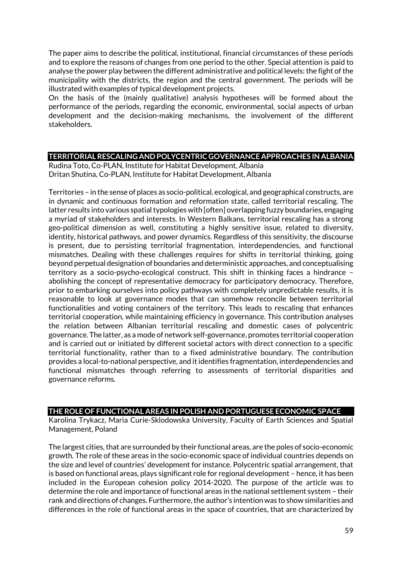The paper aims to describe the political, institutional, financial circumstances of these periods and to explore the reasons of changes from one period to the other. Special attention is paid to analyse the power play between the different administrative and political levels: the fight of the municipality with the districts, the region and the central government. The periods will be illustrated with examples of typical development projects.

On the basis of the (mainly qualitative) analysis hypotheses will be formed about the performance of the periods, regarding the economic, environmental, social aspects of urban development and the decision-making mechanisms, the involvement of the different stakeholders.

### **TERRITORIAL RESCALING AND POLYCENTRIC GOVERNANCE APPROACHES IN ALBANIA**

Rudina Toto, Co-PLAN, Institute for Habitat Development, Albania Dritan Shutina, Co-PLAN, Institute for Habitat Development, Albania

Territories – in the sense of places as socio-political, ecological, and geographical constructs, are in dynamic and continuous formation and reformation state, called territorial rescaling. The latter results into various spatial typologies with [often] overlapping fuzzy boundaries, engaging a myriad of stakeholders and interests. In Western Balkans, territorial rescaling has a strong geo-political dimension as well, constituting a highly sensitive issue, related to diversity, identity, historical pathways, and power dynamics. Regardless of this sensitivity, the discourse is present, due to persisting territorial fragmentation, interdependencies, and functional mismatches. Dealing with these challenges requires for shifts in territorial thinking, going beyond perpetual designation of boundaries and deterministic approaches, and conceptualising territory as a socio-psycho-ecological construct. This shift in thinking faces a hindrance – abolishing the concept of representative democracy for participatory democracy. Therefore, prior to embarking ourselves into policy pathways with completely unpredictable results, it is reasonable to look at governance modes that can somehow reconcile between territorial functionalities and voting containers of the territory. This leads to rescaling that enhances territorial cooperation, while maintaining efficiency in governance. This contribution analyses the relation between Albanian territorial rescaling and domestic cases of polycentric governance. The latter, as a mode of network self-governance, promotes territorial cooperation and is carried out or initiated by different societal actors with direct connection to a specific territorial functionality, rather than to a fixed administrative boundary. The contribution provides a local-to-national perspective, and it identifies fragmentation, interdependencies and functional mismatches through referring to assessments of territorial disparities and governance reforms.

## **THE ROLE OF FUNCTIONAL AREAS IN POLISH AND PORTUGUESE ECONOMIC SPACE**

Karolina Trykacz, Maria Curie-Sklodowska University, Faculty of Earth Sciences and Spatial Management, Poland

The largest cities, that are surrounded by their functional areas, are the poles of socio-economic growth. The role of these areas in the socio-economic space of individual countries depends on the size and level of countries' development for instance. Polycentric spatial arrangement, that is based on functional areas, plays significant role for regional development – hence, it has been included in the European cohesion policy 2014-2020. The purpose of the article was to determine the role and importance of functional areas in the national settlement system – their rank and directions of changes. Furthermore, the author's intention was to show similarities and differences in the role of functional areas in the space of countries, that are characterized by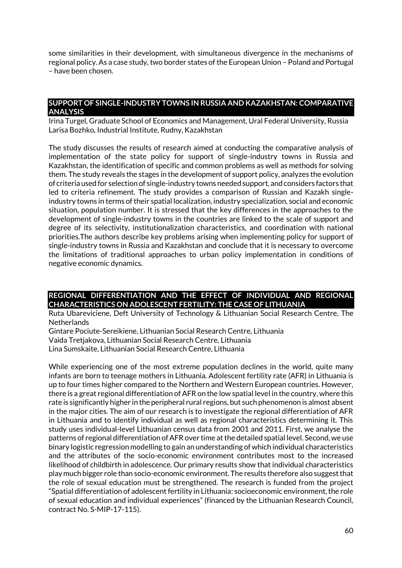some similarities in their development, with simultaneous divergence in the mechanisms of regional policy. As a case study, two border states of the European Union – Poland and Portugal – have been chosen.

### **SUPPORT OF SINGLE-INDUSTRY TOWNS IN RUSSIA AND KAZAKHSTAN: COMPARATIVE ANALYSIS**

Irina Turgel, Graduate School of Economics and Management, Ural Federal University, Russia Larisa Bozhko, Industrial Institute, Rudny, Kazakhstan

The study discusses the results of research aimed at conducting the comparative analysis of implementation of the state policy for support of single-industry towns in Russia and Kazakhstan, the identification of specific and common problems as well as methods for solving them. The study reveals the stages in the development of support policy, analyzes the evolution of criteria used for selection of single-industry towns needed support, and considers factors that led to criteria refinement. The study provides a comparison of Russian and Kazakh singleindustry towns in terms of their spatial localization, industry specialization, social and economic situation, population number. It is stressed that the key differences in the approaches to the development of single-industry towns in the countries are linked to the scale of support and degree of its selectivity, institutionalization characteristics, and coordination with national priorities.The authors describe key problems arising when implementing policy for support of single-industry towns in Russia and Kazakhstan and conclude that it is necessary to overcome the limitations of traditional approaches to urban policy implementation in conditions of negative economic dynamics.

## **REGIONAL DIFFERENTIATION AND THE EFFECT OF INDIVIDUAL AND REGIONAL CHARACTERISTICS ON ADOLESCENT FERTILITY: THE CASE OF LITHUANIA**

Ruta Ubareviciene, Deft University of Technology & Lithuanian Social Research Centre, The **Netherlands** 

Gintare Pociute-Sereikiene, Lithuanian Social Research Centre, Lithuania Vaida Tretjakova, Lithuanian Social Research Centre, Lithuania Lina Sumskaite, Lithuanian Social Research Centre, Lithuania

While experiencing one of the most extreme population declines in the world, quite many infants are born to teenage mothers in Lithuania. Adolescent fertility rate (AFR) in Lithuania is up to four times higher compared to the Northern and Western European countries. However, there is a great regional differentiation of AFR on the low spatial level in the country, where this rate is significantly higher in the peripheral rural regions, but such phenomenon is almost absent in the major cities. The aim of our research is to investigate the regional differentiation of AFR in Lithuania and to identify individual as well as regional characteristics determining it. This study uses individual-level Lithuanian census data from 2001 and 2011. First, we analyse the patterns of regional differentiation of AFR over time at the detailed spatial level. Second, we use binary logistic regression modelling to gain an understanding of which individual characteristics and the attributes of the socio-economic environment contributes most to the increased likelihood of childbirth in adolescence. Our primary results show that individual characteristics play much bigger role than socio-economic environment. The results therefore also suggest that the role of sexual education must be strengthened. The research is funded from the project "Spatial differentiation of adolescent fertility in Lithuania: socioeconomic environment, the role of sexual education and individual experiences" (financed by the Lithuanian Research Council, contract No. S-MIP-17-115).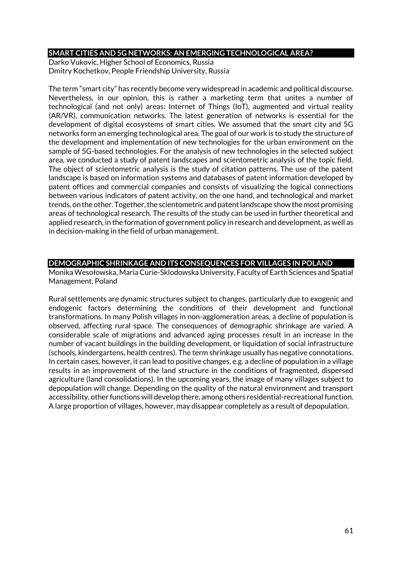#### **SMART CITIES AND 5G NETWORKS: AN EMERGING TECHNOLOGICAL AREA?**

Darko Vukovic, Higher School of Economics, Russia Dmitry Kochetkov, People Friendship University, Russia

The term "smart city" has recently become very widespread in academic and political discourse. Nevertheless, in our opinion, this is rather a marketing term that unites a number of technological (and not only) areas: Internet of Things (IoT), augmented and virtual reality (AR/VR), communication networks. The latest generation of networks is essential for the development of digital ecosystems of smart cities. We assumed that the smart city and 5G networks form an emerging technological area. The goal of our work is to study the structure of the development and implementation of new technologies for the urban environment on the sample of 5G-based technologies. For the analysis of new technologies in the selected subject area, we conducted a study of patent landscapes and scientometric analysis of the topic field. The object of scientometric analysis is the study of citation patterns. The use of the patent landscape is based on information systems and databases of patent information developed by patent offices and commercial companies and consists of visualizing the logical connections between various indicators of patent activity, on the one hand, and technological and market trends, on the other. Together, the scientometric and patent landscape show the most promising areas of technological research. The results of the study can be used in further theoretical and applied research, in the formation of government policy in research and development, as well as in decision-making in the field of urban management.

## **DEMOGRAPHIC SHRINKAGE AND ITS CONSEQUENCES FOR VILLAGES IN POLAND**

MonikaWesołowska, Maria Curie-Sklodowska University, Faculty of Earth Sciences and Spatial Management, Poland

Rural settlements are dynamic structures subject to changes, particularly due to exogenic and endogenic factors determining the conditions of their development and functional transformations. In many Polish villages in non-agglomeration areas, a decline of population is observed, affecting rural space. The consequences of demographic shrinkage are varied. A considerable scale of migrations and advanced aging processes result in an increase in the number of vacant buildings in the building development, or liquidation of social infrastructure (schools, kindergartens, health centres). The term shrinkage usually has negative connotations. In certain cases, however, it can lead to positive changes, e.g. a decline of population in a village results in an improvement of the land structure in the conditions of fragmented, dispersed agriculture (land consolidations). In the upcoming years, the image of many villages subject to depopulation will change. Depending on the quality of the natural environment and transport accessibility, other functions will develop there, among others residential-recreational function. A large proportion of villages, however, may disappear completely as a result of depopulation.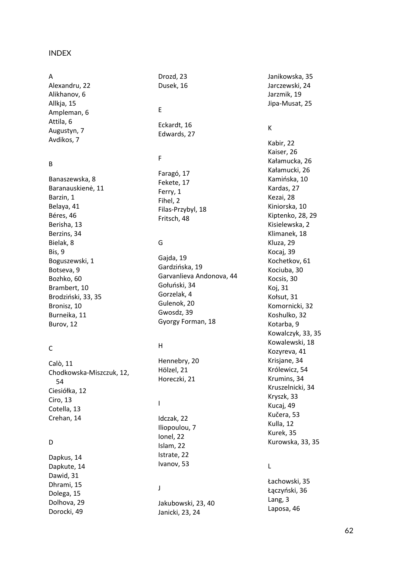#### INDEX

#### A

Alexandru, 22 Alikhanov, 6 Allkja, 15 Ampleman, 6 Attila, 6 Augustyn, 7 Avdikos, 7

#### B

Banaszewska, 8 Baranauskien ė, 11 Barzin, 1 Belaya, 41 Béres, 46 Berisha, 13 Berzins, 34 Bielak, 8 Bis, 9 Boguszewski, 1 Botseva, 9 Bozhko, 60 Brambert, 10 Brodziński, 33, 35 Bronisz, 10 Burneika, 11 Burov, 12

#### C

Calò, 11 Chodkowska -Miszczuk, 12, 54 Ciesiółka, 12 Ciro, 13 Cotella, 13 Crehan, 14

## D

Dapkus, 14 Dapkute, 14 Dawid, 31 Dhrami, 15 Dolega, 15 Dolhova, 29 Dorocki, 49

# Drozd, 23 Dusek, 16 E

Eckardt, 16 Edwards, 27

## F

Faragó, 17 Fekete, 17 Ferry, 1 Fihel, 2 Filas -Przybyl, 18 Fritsch, 48

## G

Gajda, 19 Gardzińska, 19 Garvanlieva Andonova, 44 Gołuński, 34 Gorzelak, 4 Gulenok, 20 Gwosdz, 39 Gyorgy Forman, 18

## H

Hennebry, 20 Hölzel, 21 Horeczki, 21

## I

Idczak, 22 Iliopoulou, 7 Ionel, 22 Islam, 22 Istrate, 22 Ivanov, 53

#### J

Jakubowski, 23, 40 Janicki, 23, 24

Janikowska, 35 Jarczewski, 24 Jarzmik, 19 Jipa -Musat, 25

#### K

Kabir, 22 Kaiser, 26 Kałamucka, 26 Kałamucki, 26 Kamińska, 10 Kardas, 27 Kezai, 28 Kiniorska, 10 Kiptenko, 28, 29 Kisielewska, 2 Klimanek, 18 Kluza, 29 Kocaj, 39 Kochetkov, 61 Kociuba, 30 Kocsis, 30 Koj, 31 Kołsut, 31 Komornicki, 32 Koshulko, 32 Kotarba, 9 Kowalczyk, 33, 35 Kowalewski, 18 Kozyreva, 41 Krisjane, 34 Królewicz, 54 Krumins, 34 Kruszelnicki, 34 Kryszk, 33 Kucaj, 49 Ku čera, 53 Kulla, 12 Kurek, 35 Kurowska, 33, 35

#### L

Łachowski, 35 Łączyński, 36 Lang, 3 Laposa, 46